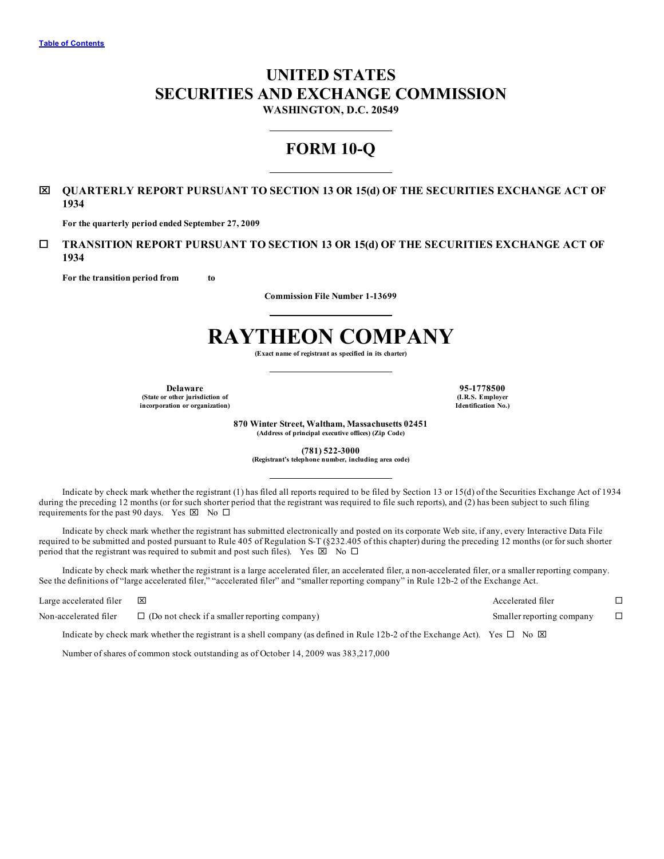## **UNITED STATES SECURITIES AND EXCHANGE COMMISSION**

**WASHINGTON, D.C. 20549**

## **FORM 10-Q**

## x **QUARTERLY REPORT PURSUANT TO SECTION 13 OR 15(d) OF THE SECURITIES EXCHANGE ACT OF 1934**

**For the quarterly period ended September 27, 2009**

## ¨ **TRANSITION REPORT PURSUANT TO SECTION 13 OR 15(d) OF THE SECURITIES EXCHANGE ACT OF 1934**

**For the transition period from to**

**Commission File Number 1-13699**

# **RAYTHEON COMPANY**

**(Exact name of registrant as specified in its charter)**

**Delaware 95-1778500 (State or other jurisdiction of incorporation or organization)**

**(I.R.S. Employer Identification No.)**

**870 Winter Street, Waltham, Massachusetts 02451 (Address of principal executive offices) (Zip Code)**

**(781) 522-3000**

**(Registrant's telephone number, including area code)**

Indicate by check mark whether the registrant (1) has filed all reports required to be filed by Section 13 or 15(d) of the Securities Exchange Act of 1934 during the preceding 12 months (or for such shorter period that the registrant was required to file such reports), and (2) has been subject to such filing requirements for the past 90 days. Yes  $\boxtimes$  No  $\square$ 

Indicate by check mark whether the registrant has submitted electronically and posted on its corporate Web site, if any, every Interactive Data File required to be submitted and posted pursuant to Rule 405 of Regulation S-T (§232.405 of this chapter) during the preceding 12 months (or for such shorter period that the registrant was required to submit and post such files). Yes  $\boxtimes$  No  $\square$ 

Indicate by check mark whether the registrant is a large accelerated filer, an accelerated filer, a non-accelerated filer, or a smaller reporting company. See the definitions of "large accelerated filer," "accelerated filer" and "smaller reporting company" in Rule 12b-2 of the Exchange Act.

| Large accelerated filer | $\overline{\mathbf{x}}$                                                                                                                    | Accelerated filer         |  |
|-------------------------|--------------------------------------------------------------------------------------------------------------------------------------------|---------------------------|--|
| Non-accelerated filer   | $\Box$ (Do not check if a smaller reporting company)                                                                                       | Smaller reporting company |  |
|                         | Indicate by check mark whether the registrant is a shell company (as defined in Rule 12b-2 of the Exchange Act). Yes $\Box$ No $\boxtimes$ |                           |  |

Number of shares of common stock outstanding as of October 14, 2009 was 383,217,000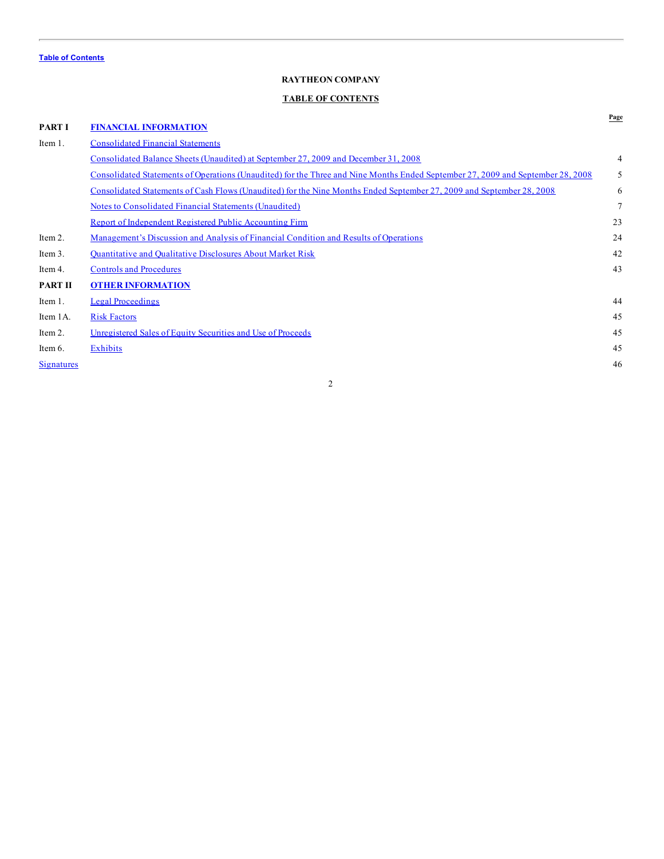## **RAYTHEON COMPANY**

## **TABLE OF CONTENTS**

<span id="page-1-0"></span>

| <b>PART I</b>     | <b>FINANCIAL INFORMATION</b>                                                                                                    | Page |
|-------------------|---------------------------------------------------------------------------------------------------------------------------------|------|
| Item 1.           | <b>Consolidated Financial Statements</b>                                                                                        |      |
|                   | Consolidated Balance Sheets (Unaudited) at September 27, 2009 and December 31, 2008                                             | 4    |
|                   | Consolidated Statements of Operations (Unaudited) for the Three and Nine Months Ended September 27, 2009 and September 28, 2008 | 5    |
|                   | Consolidated Statements of Cash Flows (Unaudited) for the Nine Months Ended September 27, 2009 and September 28, 2008           | 6    |
|                   | <b>Notes to Consolidated Financial Statements (Unaudited)</b>                                                                   | 7    |
|                   | Report of Independent Registered Public Accounting Firm                                                                         | 23   |
| Item 2.           | Management's Discussion and Analysis of Financial Condition and Results of Operations                                           | 24   |
| Item 3.           | <b>Quantitative and Qualitative Disclosures About Market Risk</b>                                                               | 42   |
| Item 4.           | <b>Controls and Procedures</b>                                                                                                  | 43   |
| <b>PART II</b>    | <b>OTHER INFORMATION</b>                                                                                                        |      |
| Item 1.           | <b>Legal Proceedings</b>                                                                                                        | 44   |
| Item 1A.          | <b>Risk Factors</b>                                                                                                             | 45   |
| Item 2.           | Unregistered Sales of Equity Securities and Use of Proceeds                                                                     | 45   |
| Item 6.           | Exhibits                                                                                                                        | 45   |
| <b>Signatures</b> |                                                                                                                                 | 46   |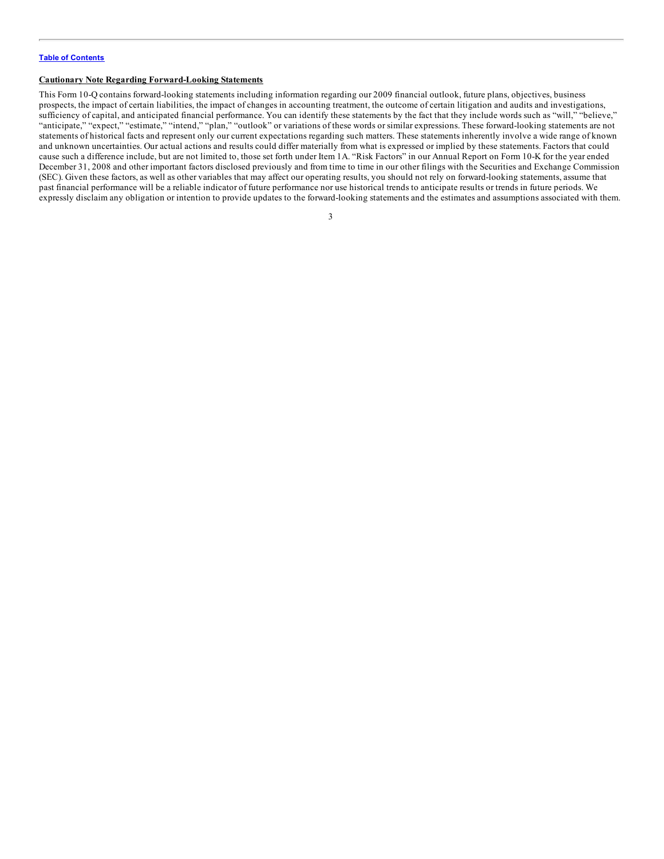#### **Cautionary Note Regarding Forward-Looking Statements**

This Form 10-Q contains forward-looking statements including information regarding our 2009 financial outlook, future plans, objectives, business prospects, the impact of certain liabilities, the impact of changes in accounting treatment, the outcome of certain litigation and audits and investigations, sufficiency of capital, and anticipated financial performance. You can identify these statements by the fact that they include words such as "will," "believe," "anticipate," "expect," "estimate," "intend," "plan," "outlook" or variations of these words or similar expressions. These forward-looking statements are not statements of historical facts and represent only our current expectations regarding such matters. These statements inherently involve a wide range of known and unknown uncertainties. Our actual actions and results could differ materially from what is expressed or implied by these statements. Factors that could cause such a difference include, but are not limited to, those set forth under Item 1A. "Risk Factors" in our Annual Report on Form 10-K for the year ended December 31, 2008 and other important factors disclosed previously and from time to time in our other filings with the Securities and Exchange Commission (SEC). Given these factors, as well as other variables that may affect our operating results, you should not rely on forward-looking statements, assume that past financial performance will be a reliable indicator of future performance nor use historical trends to anticipate results or trends in future periods. We expressly disclaim any obligation or intention to provide updates to the forward-looking statements and the estimates and assumptions associated with them.

| I      |
|--------|
|        |
| I<br>I |
| ×<br>v |
|        |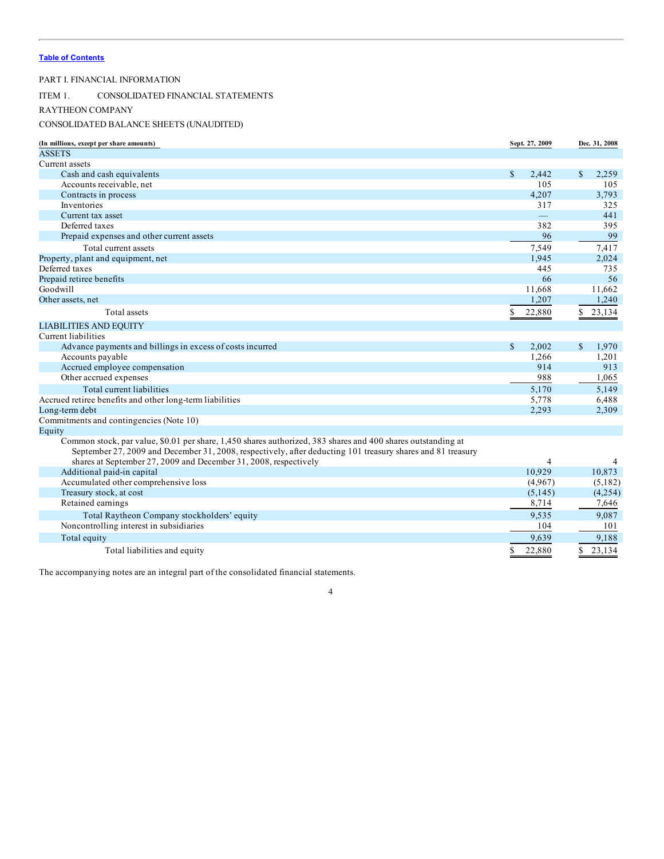<span id="page-3-0"></span>PART I. FINANCIAL INFORMATION

ITEM 1. CONSOLIDATED FINANCIAL STATEMENTS

RAYTHEON COMPANY

## CONSOLIDATED BALANCE SHEETS (UNAUDITED)

| (In millions, except per share amounts)                                                                                                                                                                                     |              | Sept. 27, 2009 |              | Dec. 31, 2008 |
|-----------------------------------------------------------------------------------------------------------------------------------------------------------------------------------------------------------------------------|--------------|----------------|--------------|---------------|
| <b>ASSETS</b>                                                                                                                                                                                                               |              |                |              |               |
| Current assets                                                                                                                                                                                                              |              |                |              |               |
| Cash and cash equivalents                                                                                                                                                                                                   | $\mathbb{S}$ | 2,442          | \$           | 2,259         |
| Accounts receivable, net                                                                                                                                                                                                    |              | 105            |              | 105           |
| Contracts in process                                                                                                                                                                                                        |              | 4.207          |              | 3,793         |
| Inventories                                                                                                                                                                                                                 |              | 317            |              | 325           |
| Current tax asset                                                                                                                                                                                                           |              |                |              | 441           |
| Deferred taxes                                                                                                                                                                                                              |              | 382            |              | 395           |
| Prepaid expenses and other current assets                                                                                                                                                                                   |              | 96             |              | 99            |
| Total current assets                                                                                                                                                                                                        |              | 7.549          |              | 7,417         |
| Property, plant and equipment, net                                                                                                                                                                                          |              | 1,945          |              | 2,024         |
| Deferred taxes                                                                                                                                                                                                              |              | 445            |              | 735           |
| Prepaid retiree benefits                                                                                                                                                                                                    |              | 66             |              | 56            |
| Goodwill                                                                                                                                                                                                                    |              | 11,668         |              | 11,662        |
| Other assets, net                                                                                                                                                                                                           |              | 1,207          |              | 1,240         |
| Total assets                                                                                                                                                                                                                | \$           | 22,880         |              | \$23,134      |
| <b>LIABILITIES AND EQUITY</b>                                                                                                                                                                                               |              |                |              |               |
| Current liabilities                                                                                                                                                                                                         |              |                |              |               |
| Advance payments and billings in excess of costs incurred                                                                                                                                                                   | $\mathbf{s}$ | 2,002          | $\mathbb{S}$ | 1,970         |
| Accounts payable                                                                                                                                                                                                            |              | 1,266          |              | 1,201         |
| Accrued employee compensation                                                                                                                                                                                               |              | 914            |              | 913           |
| Other accrued expenses                                                                                                                                                                                                      |              | 988            |              | 1,065         |
| Total current liabilities                                                                                                                                                                                                   |              | 5,170          |              | 5,149         |
| Accrued retiree benefits and other long-term liabilities                                                                                                                                                                    |              | 5,778          |              | 6,488         |
| Long-term debt                                                                                                                                                                                                              |              | 2,293          |              | 2,309         |
| Commitments and contingencies (Note 10)                                                                                                                                                                                     |              |                |              |               |
| Equity                                                                                                                                                                                                                      |              |                |              |               |
| Common stock, par value, \$0.01 per share, 1,450 shares authorized, 383 shares and 400 shares outstanding at<br>September 27, 2009 and December 31, 2008, respectively, after deducting 101 treasury shares and 81 treasury |              |                |              |               |
| shares at September 27, 2009 and December 31, 2008, respectively                                                                                                                                                            |              | 4              |              | 4             |
| Additional paid-in capital                                                                                                                                                                                                  |              | 10,929         |              | 10,873        |
| Accumulated other comprehensive loss                                                                                                                                                                                        |              | (4,967)        |              | (5,182)       |
| Treasury stock, at cost                                                                                                                                                                                                     |              | (5,145)        |              | (4,254)       |
| Retained earnings                                                                                                                                                                                                           |              | 8,714          |              | 7,646         |
| Total Raytheon Company stockholders' equity                                                                                                                                                                                 |              | 9,535          |              | 9,087         |
| Noncontrolling interest in subsidiaries                                                                                                                                                                                     |              | 104            |              | 101           |
| Total equity                                                                                                                                                                                                                |              | 9,639          |              | 9.188         |
| Total liabilities and equity                                                                                                                                                                                                | \$           | 22,880         | \$           | 23,134        |

The accompanying notes are an integral part of the consolidated financial statements.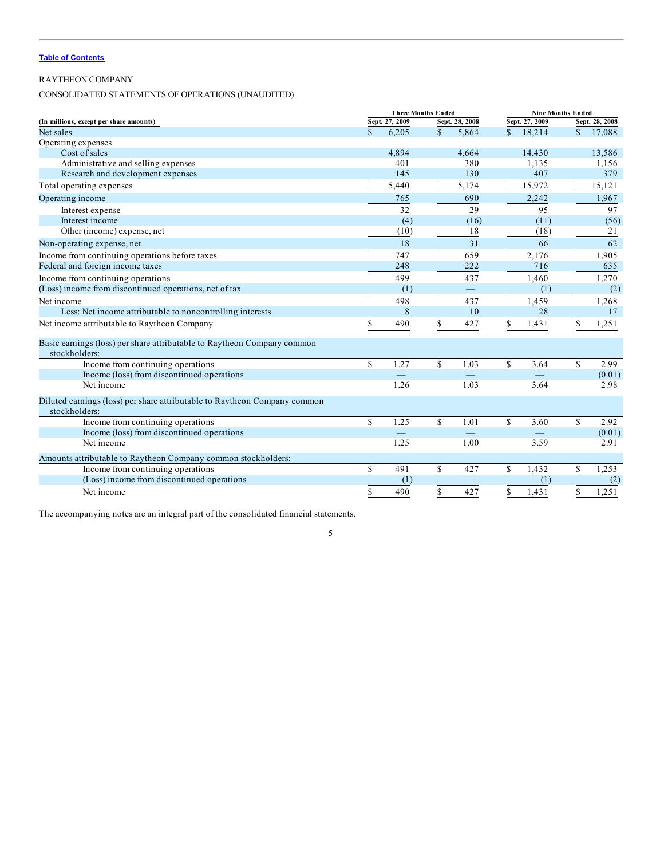## <span id="page-4-0"></span>RAYTHEON COMPANY

## CONSOLIDATED STATEMENTS OF OPERATIONS (UNAUDITED)

|                                                                                            |                    | <b>Three Months Ended</b> |              |                   |              | <b>Nine Months Ended</b> |               |                |  |
|--------------------------------------------------------------------------------------------|--------------------|---------------------------|--------------|-------------------|--------------|--------------------------|---------------|----------------|--|
| (In millions, except per share amounts)                                                    |                    | Sept. 27, 2009            |              | Sept. 28, 2008    |              | Sept. 27, 2009           |               | Sept. 28, 2008 |  |
| Net sales                                                                                  | $\mathbf{\hat{S}}$ | 6.205                     | $\mathbf{s}$ | 5,864             | $\mathbf{S}$ | 18,214                   | $\mathcal{S}$ | 17,088         |  |
| Operating expenses                                                                         |                    |                           |              |                   |              |                          |               |                |  |
| Cost of sales                                                                              |                    | 4.894                     |              | 4.664             |              | 14.430                   |               | 13,586         |  |
| Administrative and selling expenses                                                        |                    | 401                       |              | 380               |              | 1,135                    |               | 1,156          |  |
| Research and development expenses                                                          |                    | 145                       |              | 130               |              | 407                      |               | 379            |  |
| Total operating expenses                                                                   |                    | 5,440                     |              | 5,174             |              | 15,972                   |               | 15,121         |  |
| Operating income                                                                           |                    | 765                       |              | 690               |              | 2,242                    |               | 1,967          |  |
| Interest expense                                                                           |                    | 32                        |              | 29                |              | 95                       |               | 97             |  |
| Interest income                                                                            |                    | (4)                       |              | (16)              |              | (11)                     |               | (56)           |  |
| Other (income) expense, net                                                                |                    | (10)                      |              | 18                |              | (18)                     |               | 21             |  |
| Non-operating expense, net                                                                 |                    | 18                        |              | 31                |              | 66                       |               | 62             |  |
| Income from continuing operations before taxes                                             |                    | 747                       |              | 659               |              | 2,176                    |               | 1,905          |  |
| Federal and foreign income taxes                                                           |                    | 248                       |              | 222               |              | 716                      |               | 635            |  |
| Income from continuing operations                                                          |                    | 499                       |              | 437               |              | 1,460                    |               | 1,270          |  |
| (Loss) income from discontinued operations, net of tax                                     |                    | (1)                       |              | $\hspace{0.05cm}$ |              | (1)                      |               | (2)            |  |
| Net income                                                                                 |                    | 498                       |              | 437               |              | 1,459                    |               | 1,268          |  |
| Less: Net income attributable to noncontrolling interests                                  |                    | 8                         |              | 10                |              | 28                       |               | 17             |  |
| Net income attributable to Raytheon Company                                                | S                  | 490                       | \$           | 427               |              | 1,431                    |               | 1,251          |  |
| Basic earnings (loss) per share attributable to Raytheon Company common<br>stockholders:   |                    |                           |              |                   |              |                          |               |                |  |
| Income from continuing operations                                                          | $\mathbb S$        | 1.27                      | \$           | 1.03              | \$           | 3.64                     | $\mathbb{S}$  | 2.99           |  |
| Income (loss) from discontinued operations                                                 |                    |                           |              |                   |              |                          |               | (0.01)         |  |
| Net income                                                                                 |                    | 1.26                      |              | 1.03              |              | 3.64                     |               | 2.98           |  |
| Diluted earnings (loss) per share attributable to Raytheon Company common<br>stockholders: |                    |                           |              |                   |              |                          |               |                |  |
| Income from continuing operations                                                          | \$                 | 1.25                      | \$           | 1.01              | \$           | 3.60                     | \$            | 2.92           |  |
| Income (loss) from discontinued operations                                                 |                    |                           |              |                   |              |                          |               | (0.01)         |  |
| Net income                                                                                 |                    | 1.25                      |              | 1.00              |              | 3.59                     |               | 2.91           |  |
| Amounts attributable to Raytheon Company common stockholders:                              |                    |                           |              |                   |              |                          |               |                |  |
| Income from continuing operations                                                          | \$                 | 491                       | \$           | 427               | $\mathbb{S}$ | 1,432                    | \$            | 1,253          |  |
| (Loss) income from discontinued operations                                                 |                    | (1)                       |              |                   |              | (1)                      |               | (2)            |  |
| Net income                                                                                 | \$                 | 490                       | \$           | 427               | \$           | 1,431                    | \$            | 1,251          |  |

5

The accompanying notes are an integral part of the consolidated financial statements.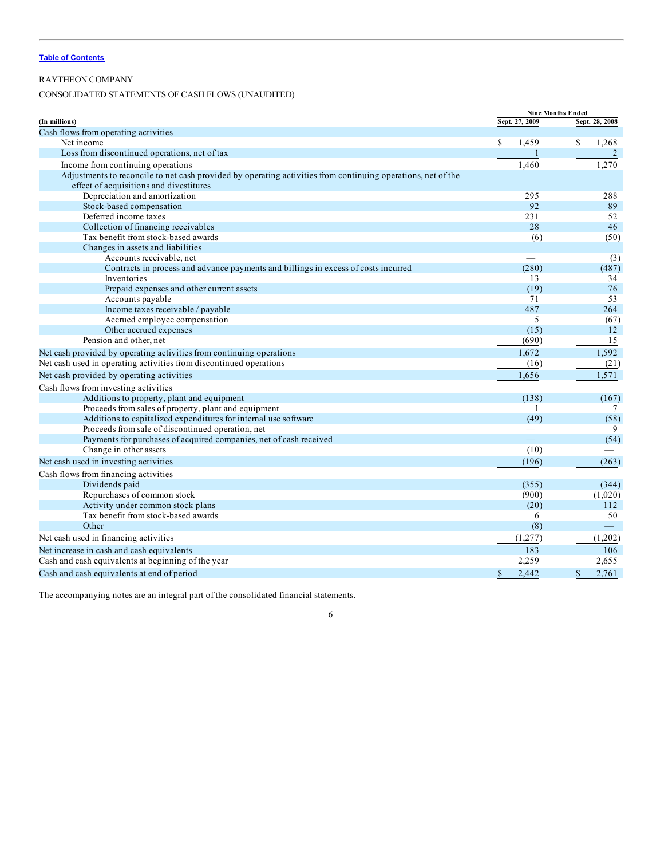## <span id="page-5-0"></span>RAYTHEON COMPANY

## CONSOLIDATED STATEMENTS OF CASH FLOWS (UNAUDITED)

|                                                                                                              |                | <b>Nine Months Ended</b> |  |  |
|--------------------------------------------------------------------------------------------------------------|----------------|--------------------------|--|--|
| (In millions)                                                                                                | Sept. 27, 2009 | Sept. 28, 2008           |  |  |
| Cash flows from operating activities                                                                         |                |                          |  |  |
| Net income                                                                                                   | \$<br>1,459    | \$<br>1,268              |  |  |
| Loss from discontinued operations, net of tax                                                                |                | $\overline{2}$           |  |  |
| Income from continuing operations                                                                            | 1,460          | 1,270                    |  |  |
| Adjustments to reconcile to net cash provided by operating activities from continuing operations, net of the |                |                          |  |  |
| effect of acquisitions and divestitures                                                                      |                |                          |  |  |
| Depreciation and amortization                                                                                | 295            | 288                      |  |  |
| Stock-based compensation                                                                                     | 92             | 89                       |  |  |
| Deferred income taxes                                                                                        | 231            | 52                       |  |  |
| Collection of financing receivables                                                                          | 28             | 46                       |  |  |
| Tax benefit from stock-based awards                                                                          | (6)            | (50)                     |  |  |
| Changes in assets and liabilities                                                                            |                |                          |  |  |
| Accounts receivable, net                                                                                     |                | (3)                      |  |  |
| Contracts in process and advance payments and billings in excess of costs incurred                           | (280)          | (487)                    |  |  |
| Inventories                                                                                                  | 13             | 34                       |  |  |
| Prepaid expenses and other current assets                                                                    | (19)           | 76                       |  |  |
| Accounts payable                                                                                             | 71             | 53                       |  |  |
| Income taxes receivable / payable                                                                            | 487            | 264                      |  |  |
| Accrued employee compensation                                                                                | 5              | (67)                     |  |  |
| Other accrued expenses                                                                                       | (15)           | 12                       |  |  |
| Pension and other, net                                                                                       | (690)          | 15                       |  |  |
| Net cash provided by operating activities from continuing operations                                         | 1,672          | 1,592                    |  |  |
| Net cash used in operating activities from discontinued operations                                           | (16)           | (21)                     |  |  |
| Net cash provided by operating activities                                                                    | 1,656          | 1,571                    |  |  |
| Cash flows from investing activities                                                                         |                |                          |  |  |
| Additions to property, plant and equipment                                                                   | (138)          | (167)                    |  |  |
| Proceeds from sales of property, plant and equipment                                                         | 1              | 7                        |  |  |
| Additions to capitalized expenditures for internal use software                                              | (49)           | (58)                     |  |  |
| Proceeds from sale of discontinued operation, net                                                            |                | 9                        |  |  |
| Payments for purchases of acquired companies, net of cash received                                           |                | (54)                     |  |  |
| Change in other assets                                                                                       | (10)           |                          |  |  |
|                                                                                                              |                | (263)                    |  |  |
| Net cash used in investing activities                                                                        | (196)          |                          |  |  |
| Cash flows from financing activities                                                                         |                |                          |  |  |
| Dividends paid                                                                                               | (355)          | (344)                    |  |  |
| Repurchases of common stock                                                                                  | (900)          | (1,020)                  |  |  |
| Activity under common stock plans                                                                            | (20)           | 112                      |  |  |
| Tax benefit from stock-based awards                                                                          | 6              | 50                       |  |  |
| Other                                                                                                        | (8)            |                          |  |  |
| Net cash used in financing activities                                                                        | (1,277)        | (1,202)                  |  |  |
| Net increase in cash and cash equivalents                                                                    | 183            | 106                      |  |  |
| Cash and cash equivalents at beginning of the year                                                           | 2,259          | 2,655                    |  |  |
| Cash and cash equivalents at end of period                                                                   | \$<br>2,442    | \$<br>2,761              |  |  |

The accompanying notes are an integral part of the consolidated financial statements.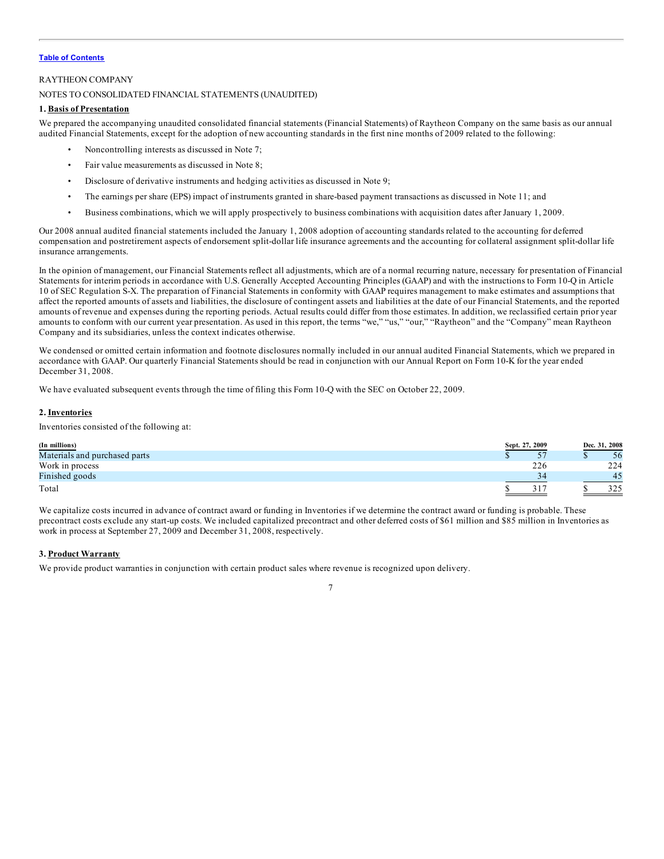#### <span id="page-6-0"></span>RAYTHEON COMPANY

#### NOTES TO CONSOLIDATED FINANCIAL STATEMENTS (UNAUDITED)

#### **1. Basis of Presentation**

We prepared the accompanying unaudited consolidated financial statements (Financial Statements) of Raytheon Company on the same basis as our annual audited Financial Statements, except for the adoption of new accounting standards in the first nine months of 2009 related to the following:

- Noncontrolling interests as discussed in Note 7;
- Fair value measurements as discussed in Note 8;
- Disclosure of derivative instruments and hedging activities as discussed in Note 9;
- The earnings per share (EPS) impact of instruments granted in share-based payment transactions as discussed in Note 11; and
- Business combinations, which we will apply prospectively to business combinations with acquisition dates after January 1, 2009.

Our 2008 annual audited financial statements included the January 1, 2008 adoption of accounting standards related to the accounting for deferred compensation and postretirement aspects of endorsement split-dollar life insurance agreements and the accounting for collateral assignment split-dollar life insurance arrangements.

In the opinion of management, our Financial Statements reflect all adjustments, which are of a normal recurring nature, necessary for presentation of Financial Statements for interim periods in accordance with U.S. Generally Accepted Accounting Principles (GAAP) and with the instructions to Form 10-Q in Article 10 of SEC Regulation S-X. The preparation of Financial Statements in conformity with GAAP requires management to make estimates and assumptions that affect the reported amounts of assets and liabilities, the disclosure of contingent assets and liabilities at the date of our Financial Statements, and the reported amounts of revenue and expenses during the reporting periods. Actual results could differ from those estimates. In addition, we reclassified certain prior year amounts to conform with our current year presentation. As used in this report, the terms "we," "us," "our," "Raytheon" and the "Company" mean Raytheon Company and its subsidiaries, unless the context indicates otherwise.

We condensed or omitted certain information and footnote disclosures normally included in our annual audited Financial Statements, which we prepared in accordance with GAAP. Our quarterly Financial Statements should be read in conjunction with our Annual Report on Form 10-K for the year ended December 31, 2008.

We have evaluated subsequent events through the time of filing this Form 10-Q with the SEC on October 22, 2009.

#### **2. Inventories**

Inventories consisted of the following at:

| (In millions)                 |  | Sept. 27, 2009 | Dec. 31, 2008 |     |  |
|-------------------------------|--|----------------|---------------|-----|--|
| Materials and purchased parts |  | ັ              |               | 56  |  |
| Work in process               |  | 226            |               | 224 |  |
| Finished goods                |  |                |               | 45  |  |
| Total                         |  | 317            |               | 325 |  |

We capitalize costs incurred in advance of contract award or funding in Inventories if we determine the contract award or funding is probable. These precontract costs exclude any start-up costs. We included capitalized precontract and other deferred costs of \$61 million and \$85 million in Inventories as work in process at September 27, 2009 and December 31, 2008, respectively.

#### **3. Product Warranty**

We provide product warranties in conjunction with certain product sales where revenue is recognized upon delivery.

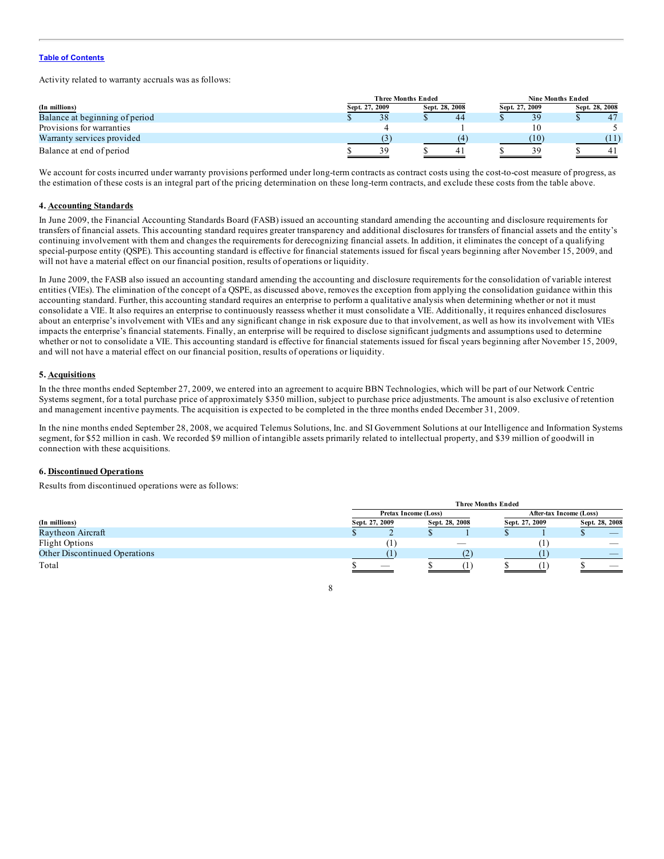Activity related to warranty accruals was as follows:

|                                |                | <b>Three Months Ended</b> |                |     |  | <b>Nine Months Ended</b> |  |    |  |                |
|--------------------------------|----------------|---------------------------|----------------|-----|--|--------------------------|--|----|--|----------------|
| (In millions)                  | Sept. 27, 2009 |                           | Sept. 28, 2008 |     |  | Sept. 27, 2009           |  |    |  | Sept. 28, 2008 |
| Balance at beginning of period |                | 38                        |                | 44  |  | 39                       |  | 47 |  |                |
| Provisions for warranties      |                |                           |                |     |  |                          |  |    |  |                |
| Warranty services provided     |                |                           |                | (4) |  | (10)                     |  |    |  |                |
| Balance at end of period       |                | 39                        |                | 4   |  | 39                       |  | 4  |  |                |

We account for costs incurred under warranty provisions performed under long-term contracts as contract costs using the cost-to-cost measure of progress, as the estimation of these costs is an integral part of the pricing determination on these long-term contracts, and exclude these costs from the table above.

#### **4. Accounting Standards**

In June 2009, the Financial Accounting Standards Board (FASB) issued an accounting standard amending the accounting and disclosure requirements for transfers of financial assets. This accounting standard requires greater transparency and additional disclosures for transfers of financial assets and the entity's continuing involvement with them and changes the requirements for derecognizing financial assets. In addition, it eliminates the concept of a qualifying special-purpose entity (QSPE). This accounting standard is effective for financial statements issued for fiscal years beginning after November 15, 2009, and will not have a material effect on our financial position, results of operations or liquidity.

In June 2009, the FASB also issued an accounting standard amending the accounting and disclosure requirements for the consolidation of variable interest entities (VIEs). The elimination of the concept of a QSPE, as discussed above, removes the exception from applying the consolidation guidance within this accounting standard. Further, this accounting standard requires an enterprise to perform a qualitative analysis when determining whether or not it must consolidate a VIE. It also requires an enterprise to continuously reassess whether it must consolidate a VIE. Additionally, it requires enhanced disclosures about an enterprise's involvement with VIEs and any significant change in risk exposure due to that involvement, as well as how its involvement with VIEs impacts the enterprise's financial statements. Finally, an enterprise will be required to disclose significant judgments and assumptions used to determine whether or not to consolidate a VIE. This accounting standard is effective for financial statements issued for fiscal years beginning after November 15, 2009, and will not have a material effect on our financial position, results of operations or liquidity.

#### **5. Acquisitions**

In the three months ended September 27, 2009, we entered into an agreement to acquire BBN Technologies, which will be part of our Network Centric Systems segment, for a total purchase price of approximately \$350 million, subject to purchase price adjustments. The amount is also exclusive of retention and management incentive payments. The acquisition is expected to be completed in the three months ended December 31, 2009.

In the nine months ended September 28, 2008, we acquired Telemus Solutions, Inc. and SI Government Solutions at our Intelligence and Information Systems segment, for \$52 million in cash. We recorded \$9 million of intangible assets primarily related to intellectual property, and \$39 million of goodwill in connection with these acquisitions.

#### **6. Discontinued Operations**

Results from discontinued operations were as follows:

|                               | <b>Three Months Ended</b>   |                |                |                         |  |  |  |  |  |  |
|-------------------------------|-----------------------------|----------------|----------------|-------------------------|--|--|--|--|--|--|
|                               | <b>Pretax Income (Loss)</b> |                |                | After-tax Income (Loss) |  |  |  |  |  |  |
| (In millions)                 | Sept. 27, 2009              | Sept. 28, 2008 | Sept. 27, 2009 | Sept. 28, 2008          |  |  |  |  |  |  |
| Raytheon Aircraft             |                             |                |                |                         |  |  |  |  |  |  |
| <b>Flight Options</b>         |                             |                |                |                         |  |  |  |  |  |  |
| Other Discontinued Operations |                             |                |                |                         |  |  |  |  |  |  |
| Total                         |                             |                |                |                         |  |  |  |  |  |  |

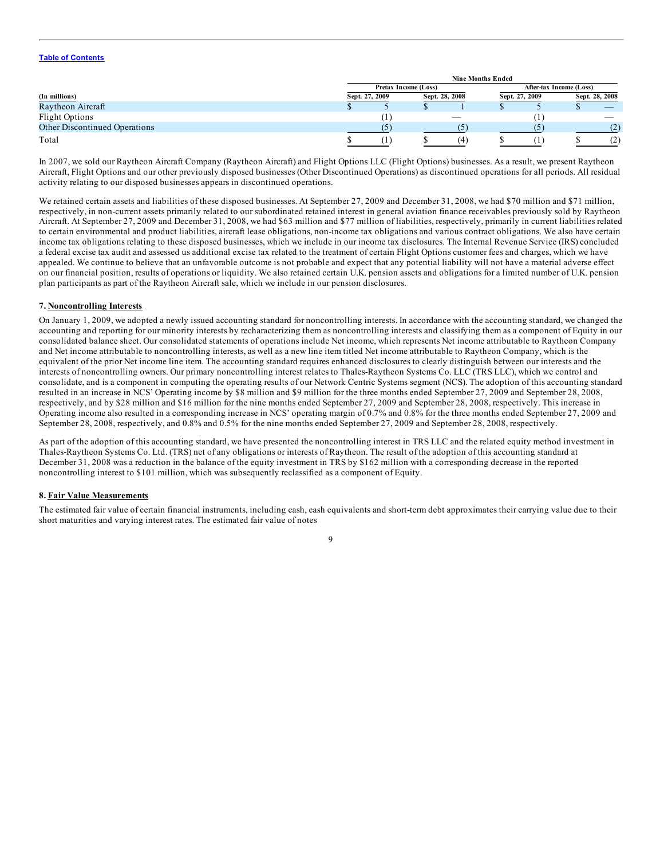|                                      | <b>Nine Months Ended</b> |  |                      |     |                         |  |                |     |  |
|--------------------------------------|--------------------------|--|----------------------|-----|-------------------------|--|----------------|-----|--|
|                                      |                          |  | Pretax Income (Loss) |     | After-tax Income (Loss) |  |                |     |  |
| (In millions)                        | Sept. 27, 2009           |  | Sept. 28, 2008       |     | Sept. 27, 2009          |  | Sept. 28, 2008 |     |  |
| Raytheon Aircraft                    |                          |  |                      |     |                         |  |                |     |  |
| Flight Options                       |                          |  |                      |     |                         |  |                |     |  |
| <b>Other Discontinued Operations</b> |                          |  |                      |     |                         |  |                | (2) |  |
| Total                                |                          |  |                      | (4) |                         |  |                | (2) |  |

In 2007, we sold our Raytheon Aircraft Company (Raytheon Aircraft) and Flight Options LLC (Flight Options) businesses. As a result, we present Raytheon Aircraft, Flight Options and our other previously disposed businesses (Other Discontinued Operations) as discontinued operations for all periods. All residual activity relating to our disposed businesses appears in discontinued operations.

We retained certain assets and liabilities of these disposed businesses. At September 27, 2009 and December 31, 2008, we had \$70 million and \$71 million, respectively, in non-current assets primarily related to our subordinated retained interest in general aviation finance receivables previously sold by Raytheon Aircraft. At September 27, 2009 and December 31, 2008, we had \$63 million and \$77 million of liabilities, respectively, primarily in current liabilities related to certain environmental and product liabilities, aircraft lease obligations, non-income tax obligations and various contract obligations. We also have certain income tax obligations relating to these disposed businesses, which we include in our income tax disclosures. The Internal Revenue Service (IRS) concluded a federal excise tax audit and assessed us additional excise tax related to the treatment of certain Flight Options customer fees and charges, which we have appealed. We continue to believe that an unfavorable outcome is not probable and expect that any potential liability will not have a material adverse effect on our financial position, results of operations or liquidity. We also retained certain U.K. pension assets and obligations for a limited number of U.K. pension plan participants as part of the Raytheon Aircraft sale, which we include in our pension disclosures.

#### **7. Noncontrolling Interests**

On January 1, 2009, we adopted a newly issued accounting standard for noncontrolling interests. In accordance with the accounting standard, we changed the accounting and reporting for our minority interests by recharacterizing them as noncontrolling interests and classifying them as a component of Equity in our consolidated balance sheet. Our consolidated statements of operations include Net income, which represents Net income attributable to Raytheon Company and Net income attributable to noncontrolling interests, as well as a new line item titled Net income attributable to Raytheon Company, which is the equivalent of the prior Net income line item. The accounting standard requires enhanced disclosures to clearly distinguish between our interests and the interests of noncontrolling owners. Our primary noncontrolling interest relates to Thales-Raytheon Systems Co. LLC (TRS LLC), which we control and consolidate, and is a component in computing the operating results of our Network Centric Systems segment (NCS). The adoption of this accounting standard resulted in an increase in NCS' Operating income by \$8 million and \$9 million for the three months ended September 27, 2009 and September 28, 2008, respectively, and by \$28 million and \$16 million for the nine months ended September 27, 2009 and September 28, 2008, respectively. This increase in Operating income also resulted in a corresponding increase in NCS' operating margin of 0.7% and 0.8% for the three months ended September 27, 2009 and September 28, 2008, respectively, and 0.8% and 0.5% for the nine months ended September 27, 2009 and September 28, 2008, respectively.

As part of the adoption of this accounting standard, we have presented the noncontrolling interest in TRS LLC and the related equity method investment in Thales-Raytheon Systems Co. Ltd. (TRS) net of any obligations or interests of Raytheon. The result of the adoption of this accounting standard at December 31, 2008 was a reduction in the balance of the equity investment in TRS by \$162 million with a corresponding decrease in the reported noncontrolling interest to \$101 million, which was subsequently reclassified as a component of Equity.

#### **8. Fair Value Measurements**

The estimated fair value of certain financial instruments, including cash, cash equivalents and short-term debt approximates their carrying value due to their short maturities and varying interest rates. The estimated fair value of notes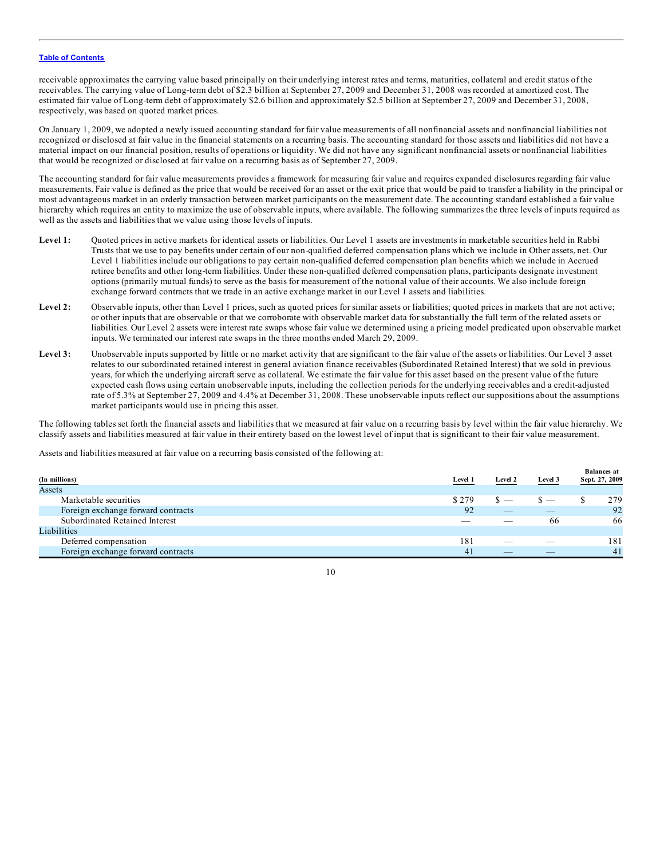receivable approximates the carrying value based principally on their underlying interest rates and terms, maturities, collateral and credit status of the receivables. The carrying value of Long-term debt of \$2.3 billion at September 27, 2009 and December 31, 2008 was recorded at amortized cost. The estimated fair value of Long-term debt of approximately \$2.6 billion and approximately \$2.5 billion at September 27, 2009 and December 31, 2008, respectively, was based on quoted market prices.

On January 1, 2009, we adopted a newly issued accounting standard for fair value measurements of all nonfinancial assets and nonfinancial liabilities not recognized or disclosed at fair value in the financial statements on a recurring basis. The accounting standard for those assets and liabilities did not have a material impact on our financial position, results of operations or liquidity. We did not have any significant nonfinancial assets or nonfinancial liabilities that would be recognized or disclosed at fair value on a recurring basis as of September 27, 2009.

The accounting standard for fair value measurements provides a framework for measuring fair value and requires expanded disclosures regarding fair value measurements. Fair value is defined as the price that would be received for an asset or the exit price that would be paid to transfer a liability in the principal or most advantageous market in an orderly transaction between market participants on the measurement date. The accounting standard established a fair value hierarchy which requires an entity to maximize the use of observable inputs, where available. The following summarizes the three levels of inputs required as well as the assets and liabilities that we value using those levels of inputs.

- **Level 1:** Quoted prices in active markets for identical assets or liabilities. Our Level 1 assets are investments in marketable securities held in Rabbi Trusts that we use to pay benefits under certain of our non-qualified deferred compensation plans which we include in Other assets, net. Our Level 1 liabilities include our obligations to pay certain non-qualified deferred compensation plan benefits which we include in Accrued retiree benefits and other long-term liabilities. Under these non-qualified deferred compensation plans, participants designate investment options (primarily mutual funds) to serve as the basis for measurement of the notional value of their accounts. We also include foreign exchange forward contracts that we trade in an active exchange market in our Level 1 assets and liabilities.
- Level 2: Observable inputs, other than Level 1 prices, such as quoted prices for similar assets or liabilities; quoted prices in markets that are not active; or other inputs that are observable or that we corroborate with observable market data for substantially the full term of the related assets or liabilities. Our Level 2 assets were interest rate swaps whose fair value we determined using a pricing model predicated upon observable market inputs. We terminated our interest rate swaps in the three months ended March 29, 2009.
- Level 3: Unobservable inputs supported by little or no market activity that are significant to the fair value of the assets or liabilities. Our Level 3 asset relates to our subordinated retained interest in general aviation finance receivables (Subordinated Retained Interest) that we sold in previous years, for which the underlying aircraft serve as collateral. We estimate the fair value for this asset based on the present value of the future expected cash flows using certain unobservable inputs, including the collection periods for the underlying receivables and a credit-adjusted rate of 5.3% at September 27, 2009 and 4.4% at December 31, 2008. These unobservable inputs reflect our suppositions about the assumptions market participants would use in pricing this asset.

The following tables set forth the financial assets and liabilities that we measured at fair value on a recurring basis by level within the fair value hierarchy. We classify assets and liabilities measured at fair value in their entirety based on the lowest level of input that is significant to their fair value measurement.

Assets and liabilities measured at fair value on a recurring basis consisted of the following at:

| (In millions)<br>Assets |                                    | Level 1        | Level 2 | Level 3 | <b>Balances</b> at<br>Sept. 27, 2009 |
|-------------------------|------------------------------------|----------------|---------|---------|--------------------------------------|
|                         | Marketable securities              | \$279          |         |         | 279                                  |
|                         | Foreign exchange forward contracts | 92             |         |         | 92                                   |
|                         | Subordinated Retained Interest     |                |         | 66      | 66                                   |
|                         | Liabilities                        |                |         |         |                                      |
|                         | Deferred compensation              | 181            |         |         | 181                                  |
|                         | Foreign exchange forward contracts | $\overline{4}$ | __      |         | 41                                   |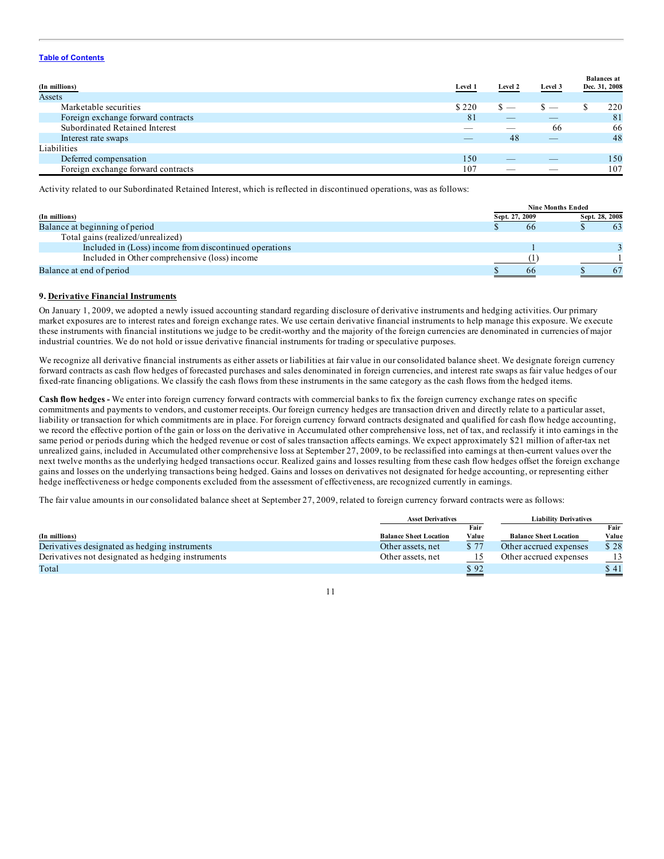| (In millions)<br>Assets            |       | Level 2 | Level 3 | <b>Balances at</b><br>Dec. 31, 2008 |
|------------------------------------|-------|---------|---------|-------------------------------------|
|                                    |       |         |         |                                     |
| Marketable securities              | \$220 |         |         | 220                                 |
| Foreign exchange forward contracts | 81    |         |         | 81                                  |
| Subordinated Retained Interest     |       | __      | 66      | 66                                  |
| Interest rate swaps                |       | 48      | __      | 48                                  |
| Liabilities                        |       |         |         |                                     |
| Deferred compensation              | 150   | __      |         | 150                                 |
| Foreign exchange forward contracts | 107   | __      |         | 107                                 |

Activity related to our Subordinated Retained Interest, which is reflected in discontinued operations, was as follows:

|                                                        | <b>Nine Months Ended</b> |                |  |                |  |
|--------------------------------------------------------|--------------------------|----------------|--|----------------|--|
| (In millions)                                          |                          | Sept. 27, 2009 |  | Sept. 28, 2008 |  |
| Balance at beginning of period                         |                          | 66             |  | 63             |  |
| Total gains (realized/unrealized)                      |                          |                |  |                |  |
| Included in (Loss) income from discontinued operations |                          |                |  |                |  |
| Included in Other comprehensive (loss) income          |                          |                |  |                |  |
| Balance at end of period                               |                          | .66            |  | 67             |  |

#### **9. Derivative Financial Instruments**

On January 1, 2009, we adopted a newly issued accounting standard regarding disclosure of derivative instruments and hedging activities. Our primary market exposures are to interest rates and foreign exchange rates. We use certain derivative financial instruments to help manage this exposure. We execute these instruments with financial institutions we judge to be credit-worthy and the majority of the foreign currencies are denominated in currencies of major industrial countries. We do not hold or issue derivative financial instruments for trading or speculative purposes.

We recognize all derivative financial instruments as either assets or liabilities at fair value in our consolidated balance sheet. We designate foreign currency forward contracts as cash flow hedges of forecasted purchases and sales denominated in foreign currencies, and interest rate swaps as fair value hedges of our fixed-rate financing obligations. We classify the cash flows from these instruments in the same category as the cash flows from the hedged items.

**Cash flow hedges -** We enter into foreign currency forward contracts with commercial banks to fix the foreign currency exchange rates on specific commitments and payments to vendors, and customer receipts. Our foreign currency hedges are transaction driven and directly relate to a particular asset, liability or transaction for which commitments are in place. For foreign currency forward contracts designated and qualified for cash flow hedge accounting, we record the effective portion of the gain or loss on the derivative in Accumulated other comprehensive loss, net of tax, and reclassify it into earnings in the same period or periods during which the hedged revenue or cost of sales transaction affects earnings. We expect approximately \$21 million of after-tax net unrealized gains, included in Accumulated other comprehensive loss at September 27, 2009, to be reclassified into earnings at then-current values over the next twelve months as the underlying hedged transactions occur. Realized gains and losses resulting from these cash flow hedges offset the foreign exchange gains and losses on the underlying transactions being hedged. Gains and losses on derivatives not designated for hedge accounting, or representing either hedge ineffectiveness or hedge components excluded from the assessment of effectiveness, are recognized currently in earnings.

The fair value amounts in our consolidated balance sheet at September 27, 2009, related to foreign currency forward contracts were as follows:

|                                                   | <b>Asset Derivatives</b>      |       | <b>Liability Derivatives</b>  |       |
|---------------------------------------------------|-------------------------------|-------|-------------------------------|-------|
|                                                   |                               | Fair  |                               | Fair  |
| (In millions)                                     | <b>Balance Sheet Location</b> | Value | <b>Balance Sheet Location</b> | Value |
| Derivatives designated as hedging instruments     | Other assets, net             | \$77  | Other accrued expenses        | \$28  |
| Derivatives not designated as hedging instruments | Other assets, net             |       | Other accrued expenses        | 13    |
| Total                                             |                               | \$92  |                               | \$41  |

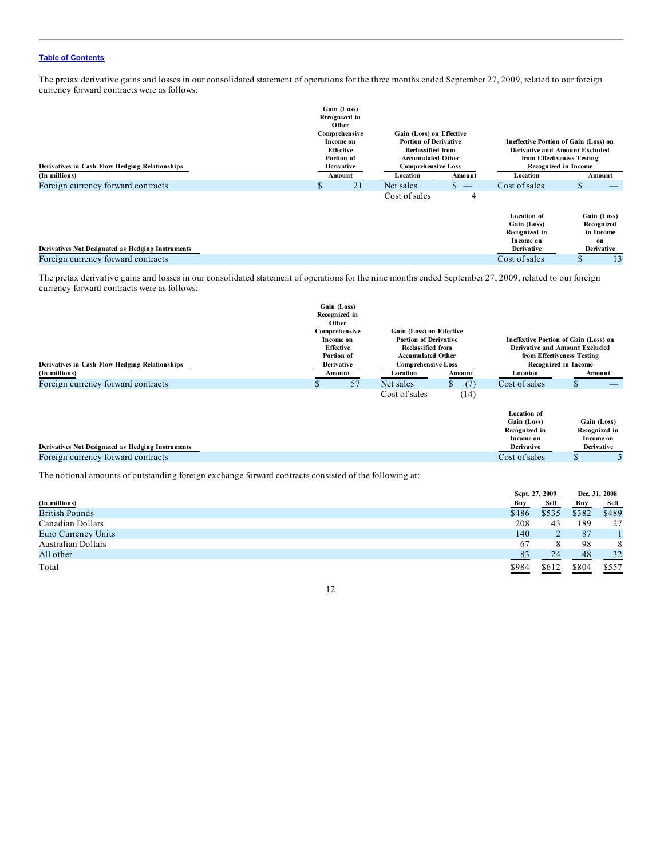The pretax derivative gains and losses in our consolidated statement of operations for the three months ended September 27, 2009, related to our foreign currency forward contracts were as follows:

|                                                   | Gain (Loss)       |                              |                          |                                       |                   |
|---------------------------------------------------|-------------------|------------------------------|--------------------------|---------------------------------------|-------------------|
|                                                   | Recognized in     |                              |                          |                                       |                   |
|                                                   | Other             |                              |                          |                                       |                   |
|                                                   | Comprehensive     | Gain (Loss) on Effective     |                          |                                       |                   |
|                                                   | Income on         | <b>Portion of Derivative</b> |                          | Ineffective Portion of Gain (Loss) on |                   |
|                                                   | <b>Effective</b>  | <b>Reclassified from</b>     |                          | Derivative and Amount Excluded        |                   |
|                                                   | Portion of        | <b>Accumulated Other</b>     |                          | from Effectiveness Testing            |                   |
| Derivatives in Cash Flow Hedging Relationships    | <b>Derivative</b> | <b>Comprehensive Loss</b>    |                          | Recognized in Income                  |                   |
| (In millions)                                     | Amount            | Location                     | Amount                   | Location                              | Amount            |
| Foreign currency forward contracts                | 21<br>ъ.          | Net sales                    | $\overline{\phantom{m}}$ | Cost of sales                         |                   |
|                                                   |                   | Cost of sales                | 4                        |                                       |                   |
|                                                   |                   |                              |                          | Location of                           | Gain (Loss)       |
|                                                   |                   |                              |                          | Gain (Loss)                           | Recognized        |
|                                                   |                   |                              |                          | Recognized in                         | in Income         |
|                                                   |                   |                              |                          | Income on                             | on                |
| Derivatives Not Designated as Hedging Instruments |                   |                              |                          | <b>Derivative</b>                     | <b>Derivative</b> |
| Foreign currency forward contracts                |                   |                              |                          | Cost of sales                         | 13                |

The pretax derivative gains and losses in our consolidated statement of operations for the nine months ended September 27, 2009, related to our foreign currency forward contracts were as follows:

| Derivatives in Cash Flow Hedging Relationships<br>(In millions) | Gain (Loss)<br>Recognized in<br>Other<br>Comprehensive<br>Income on<br><b>Effective</b><br>Portion of | <b>Derivative</b><br>Amount | Gain (Loss) on Effective<br><b>Portion of Derivative</b><br><b>Reclassified from</b><br><b>Accumulated Other</b><br><b>Comprehensive Loss</b><br>Location<br>Amount |           | Ineffective Portion of Gain (Loss) on<br>Derivative and Amount Excluded<br>from Effectiveness Testing<br>Location | Recognized in Income | Amount                                    |
|-----------------------------------------------------------------|-------------------------------------------------------------------------------------------------------|-----------------------------|---------------------------------------------------------------------------------------------------------------------------------------------------------------------|-----------|-------------------------------------------------------------------------------------------------------------------|----------------------|-------------------------------------------|
| Foreign currency forward contracts                              |                                                                                                       | 57                          | Net sales                                                                                                                                                           | \$<br>(7) | Cost of sales                                                                                                     | JD.                  |                                           |
|                                                                 |                                                                                                       |                             | Cost of sales                                                                                                                                                       | (14)      | Location of<br>Gain (Loss)<br>Recognized in<br>Income on                                                          |                      | Gain (Loss)<br>Recognized in<br>Income on |
| Derivatives Not Designated as Hedging Instruments               |                                                                                                       |                             |                                                                                                                                                                     |           | <b>Derivative</b>                                                                                                 |                      | Derivative                                |
| Foreign currency forward contracts                              |                                                                                                       |                             |                                                                                                                                                                     |           | Cost of sales                                                                                                     | æ                    |                                           |

The notional amounts of outstanding foreign exchange forward contracts consisted of the following at:

|                            |       | Sept. 27, 2009 |       | Dec. 31, 2008 |
|----------------------------|-------|----------------|-------|---------------|
| (In millions)              | Buy   | Sell           | Buy   | Sell          |
| <b>British Pounds</b>      | \$486 | \$535          | \$382 | \$489         |
| Canadian Dollars           | 208   | 43             | 189   | 27            |
| <b>Euro Currency Units</b> | 140   |                | 87    |               |
| Australian Dollars         | 67    | 8              | 98    | 8             |
| All other                  | 83    | 24             | 48    | 32            |
| Total                      | \$984 | \$612          | \$804 | \$557         |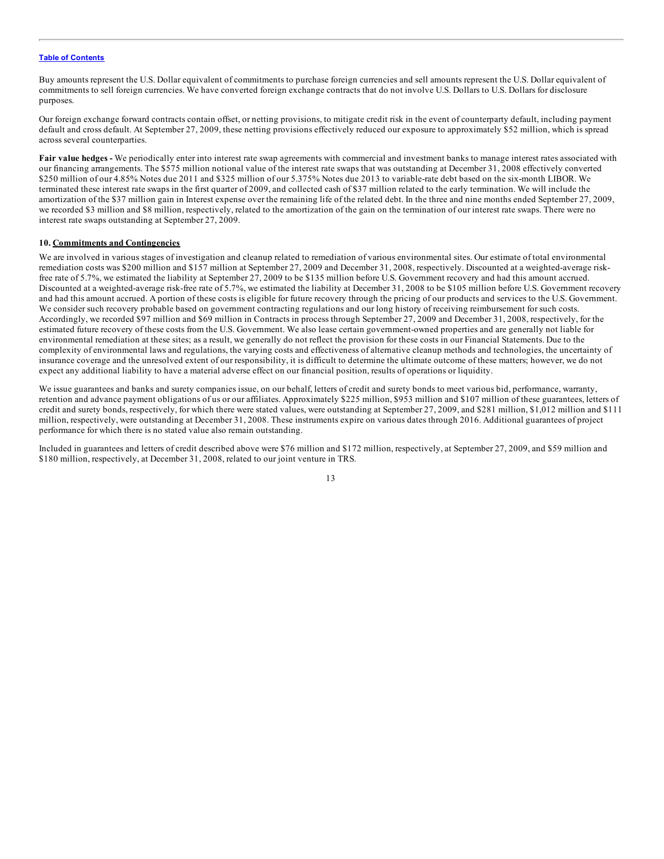Buy amounts represent the U.S. Dollar equivalent of commitments to purchase foreign currencies and sell amounts represent the U.S. Dollar equivalent of commitments to sell foreign currencies. We have converted foreign exchange contracts that do not involve U.S. Dollars to U.S. Dollars for disclosure purposes.

Our foreign exchange forward contracts contain offset, or netting provisions, to mitigate credit risk in the event of counterparty default, including payment default and cross default. At September 27, 2009, these netting provisions effectively reduced our exposure to approximately \$52 million, which is spread across several counterparties.

**Fair value hedges -** We periodically enter into interest rate swap agreements with commercial and investment banks to manage interest rates associated with our financing arrangements. The \$575 million notional value of the interest rate swaps that was outstanding at December 31, 2008 effectively converted \$250 million of our 4.85% Notes due 2011 and \$325 million of our 5.375% Notes due 2013 to variable-rate debt based on the six-month LIBOR. We terminated these interest rate swaps in the first quarter of 2009, and collected cash of \$37 million related to the early termination. We will include the amortization of the \$37 million gain in Interest expense over the remaining life of the related debt. In the three and nine months ended September 27, 2009, we recorded \$3 million and \$8 million, respectively, related to the amortization of the gain on the termination of our interest rate swaps. There were no interest rate swaps outstanding at September 27, 2009.

#### **10. Commitments and Contingencies**

We are involved in various stages of investigation and cleanup related to remediation of various environmental sites. Our estimate of total environmental remediation costs was \$200 million and \$157 million at September 27, 2009 and December 31, 2008, respectively. Discounted at a weighted-average riskfree rate of 5.7%, we estimated the liability at September 27, 2009 to be \$135 million before U.S. Government recovery and had this amount accrued. Discounted at a weighted-average risk-free rate of 5.7%, we estimated the liability at December 31, 2008 to be \$105 million before U.S. Government recovery and had this amount accrued. A portion of these costs is eligible for future recovery through the pricing of our products and services to the U.S. Government. We consider such recovery probable based on government contracting regulations and our long history of receiving reimbursement for such costs. Accordingly, we recorded \$97 million and \$69 million in Contracts in process through September 27, 2009 and December 31, 2008, respectively, for the estimated future recovery of these costs from the U.S. Government. We also lease certain government-owned properties and are generally not liable for environmental remediation at these sites; as a result, we generally do not reflect the provision for these costs in our Financial Statements. Due to the complexity of environmental laws and regulations, the varying costs and effectiveness of alternative cleanup methods and technologies, the uncertainty of insurance coverage and the unresolved extent of our responsibility, it is difficult to determine the ultimate outcome of these matters; however, we do not expect any additional liability to have a material adverse effect on our financial position, results of operations or liquidity.

We issue guarantees and banks and surety companies issue, on our behalf, letters of credit and surety bonds to meet various bid, performance, warranty, retention and advance payment obligations of us or our affiliates. Approximately \$225 million, \$953 million and \$107 million of these guarantees, letters of credit and surety bonds, respectively, for which there were stated values, were outstanding at September 27, 2009, and \$281 million, \$1,012 million and \$111 million, respectively, were outstanding at December 31, 2008. These instruments expire on various dates through 2016. Additional guarantees of project performance for which there is no stated value also remain outstanding.

Included in guarantees and letters of credit described above were \$76 million and \$172 million, respectively, at September 27, 2009, and \$59 million and \$180 million, respectively, at December 31, 2008, related to our joint venture in TRS.

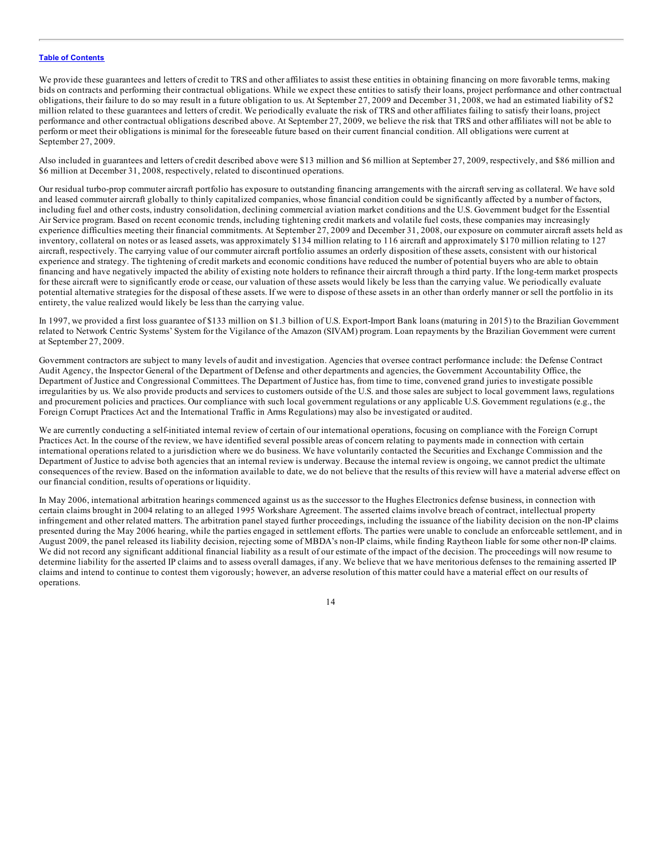We provide these guarantees and letters of credit to TRS and other affiliates to assist these entities in obtaining financing on more favorable terms, making bids on contracts and performing their contractual obligations. While we expect these entities to satisfy their loans, project performance and other contractual obligations, their failure to do so may result in a future obligation to us. At September 27, 2009 and December 31, 2008, we had an estimated liability of \$2 million related to these guarantees and letters of credit. We periodically evaluate the risk of TRS and other affiliates failing to satisfy their loans, project performance and other contractual obligations described above. At September 27, 2009, we believe the risk that TRS and other affiliates will not be able to perform or meet their obligations is minimal for the foreseeable future based on their current financial condition. All obligations were current at September 27, 2009.

Also included in guarantees and letters of credit described above were \$13 million and \$6 million at September 27, 2009, respectively, and \$86 million and \$6 million at December 31, 2008, respectively, related to discontinued operations.

Our residual turbo-prop commuter aircraft portfolio has exposure to outstanding financing arrangements with the aircraft serving as collateral. We have sold and leased commuter aircraft globally to thinly capitalized companies, whose financial condition could be significantly affected by a number of factors, including fuel and other costs, industry consolidation, declining commercial aviation market conditions and the U.S. Government budget for the Essential Air Service program. Based on recent economic trends, including tightening credit markets and volatile fuel costs, these companies may increasingly experience difficulties meeting their financial commitments. At September 27, 2009 and December 31, 2008, our exposure on commuter aircraft assets held as inventory, collateral on notes or as leased assets, was approximately \$134 million relating to 116 aircraft and approximately \$170 million relating to 127 aircraft, respectively. The carrying value of our commuter aircraft portfolio assumes an orderly disposition of these assets, consistent with our historical experience and strategy. The tightening of credit markets and economic conditions have reduced the number of potential buyers who are able to obtain financing and have negatively impacted the ability of existing note holders to refinance their aircraft through a third party. If the long-term market prospects for these aircraft were to significantly erode or cease, our valuation of these assets would likely be less than the carrying value. We periodically evaluate potential alternative strategies for the disposal of these assets. If we were to dispose of these assets in an other than orderly manner or sell the portfolio in its entirety, the value realized would likely be less than the carrying value.

In 1997, we provided a first loss guarantee of \$133 million on \$1.3 billion of U.S. Export-Import Bank loans (maturing in 2015) to the Brazilian Government related to Network Centric Systems' System for the Vigilance of the Amazon (SIVAM) program. Loan repayments by the Brazilian Government were current at September 27, 2009.

Government contractors are subject to many levels of audit and investigation. Agencies that oversee contract performance include: the Defense Contract Audit Agency, the Inspector General of the Department of Defense and other departments and agencies, the Government Accountability Office, the Department of Justice and Congressional Committees. The Department of Justice has, from time to time, convened grand juries to investigate possible irregularities by us. We also provide products and services to customers outside of the U.S. and those sales are subject to local government laws, regulations and procurement policies and practices. Our compliance with such local government regulations or any applicable U.S. Government regulations (e.g., the Foreign Corrupt Practices Act and the International Traffic in Arms Regulations) may also be investigated or audited.

We are currently conducting a self-initiated internal review of certain of our international operations, focusing on compliance with the Foreign Corrupt Practices Act. In the course of the review, we have identified several possible areas of concern relating to payments made in connection with certain international operations related to a jurisdiction where we do business. We have voluntarily contacted the Securities and Exchange Commission and the Department of Justice to advise both agencies that an internal review is underway. Because the internal review is ongoing, we cannot predict the ultimate consequences of the review. Based on the information available to date, we do not believe that the results of this review will have a material adverse effect on our financial condition, results of operations or liquidity.

In May 2006, international arbitration hearings commenced against us as the successor to the Hughes Electronics defense business, in connection with certain claims brought in 2004 relating to an alleged 1995 Workshare Agreement. The asserted claims involve breach of contract, intellectual property infringement and other related matters. The arbitration panel stayed further proceedings, including the issuance of the liability decision on the non-IP claims presented during the May 2006 hearing, while the parties engaged in settlement efforts. The parties were unable to conclude an enforceable settlement, and in August 2009, the panel released its liability decision, rejecting some of MBDA's non-IP claims, while finding Raytheon liable for some other non-IP claims. We did not record any significant additional financial liability as a result of our estimate of the impact of the decision. The proceedings will now resume to determine liability for the asserted IP claims and to assess overall damages, if any. We believe that we have meritorious defenses to the remaining asserted IP claims and intend to continue to contest them vigorously; however, an adverse resolution of this matter could have a material effect on our results of operations.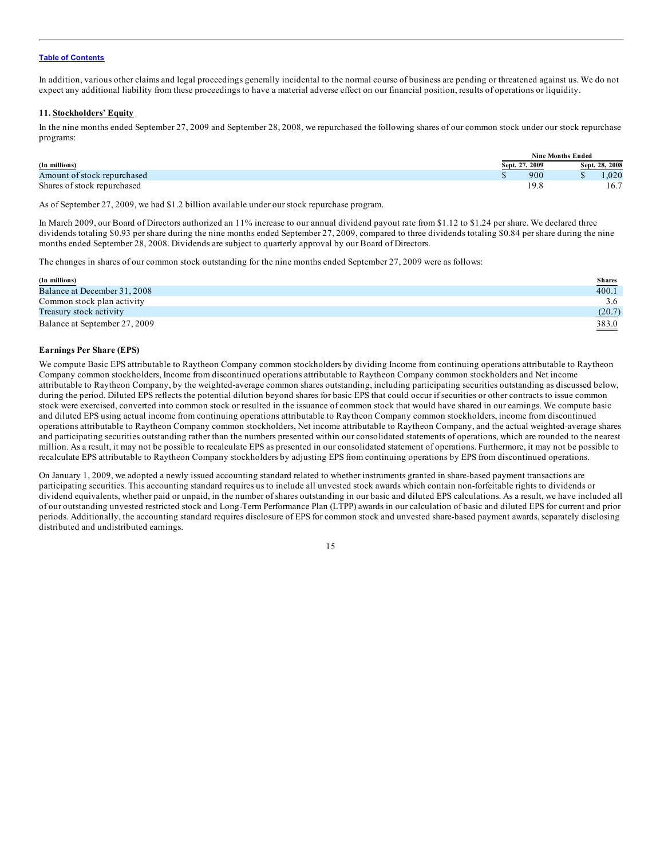In addition, various other claims and legal proceedings generally incidental to the normal course of business are pending or threatened against us. We do not expect any additional liability from these proceedings to have a material adverse effect on our financial position, results of operations or liquidity.

#### **11. Stockholders' Equity**

In the nine months ended September 27, 2009 and September 28, 2008, we repurchased the following shares of our common stock under our stock repurchase programs:

|                             |                | <b>Nine Months Ended</b> |                |
|-----------------------------|----------------|--------------------------|----------------|
| (In millions)               | Sept. 27, 2009 |                          | Sept. 28, 2008 |
| Amount of stock repurchased | 900            |                          | .020           |
| Shares of stock repurchased | 9.8            |                          | 16.7           |

As of September 27, 2009, we had \$1.2 billion available under our stock repurchase program.

In March 2009, our Board of Directors authorized an 11% increase to our annual dividend payout rate from \$1.12 to \$1.24 per share. We declared three dividends totaling \$0.93 per share during the nine months ended September 27, 2009, compared to three dividends totaling \$0.84 per share during the nine months ended September 28, 2008. Dividends are subject to quarterly approval by our Board of Directors.

The changes in shares of our common stock outstanding for the nine months ended September 27, 2009 were as follows:

| (In millions)                 | <b>Shares</b> |
|-------------------------------|---------------|
| Balance at December 31, 2008  | 400.1         |
| Common stock plan activity    | 3.6           |
| Treasury stock activity       | (20.7)        |
| Balance at September 27, 2009 | 383.0         |

#### **Earnings Per Share (EPS)**

We compute Basic EPS attributable to Raytheon Company common stockholders by dividing Income from continuing operations attributable to Raytheon Company common stockholders, Income from discontinued operations attributable to Raytheon Company common stockholders and Net income attributable to Raytheon Company, by the weighted-average common shares outstanding, including participating securities outstanding as discussed below, during the period. Diluted EPS reflects the potential dilution beyond shares for basic EPS that could occur if securities or other contracts to issue common stock were exercised, converted into common stock or resulted in the issuance of common stock that would have shared in our earnings. We compute basic and diluted EPS using actual income from continuing operations attributable to Raytheon Company common stockholders, income from discontinued operations attributable to Raytheon Company common stockholders, Net income attributable to Raytheon Company, and the actual weighted-average shares and participating securities outstanding rather than the numbers presented within our consolidated statements of operations, which are rounded to the nearest million. As a result, it may not be possible to recalculate EPS as presented in our consolidated statement of operations. Furthermore, it may not be possible to recalculate EPS attributable to Raytheon Company stockholders by adjusting EPS from continuing operations by EPS from discontinued operations.

On January 1, 2009, we adopted a newly issued accounting standard related to whether instruments granted in share-based payment transactions are participating securities. This accounting standard requires us to include all unvested stock awards which contain non-forfeitable rights to dividends or dividend equivalents, whether paid or unpaid, in the number of shares outstanding in our basic and diluted EPS calculations. As a result, we have included all of our outstanding unvested restricted stock and Long-Term Performance Plan (LTPP) awards in our calculation of basic and diluted EPS for current and prior periods. Additionally, the accounting standard requires disclosure of EPS for common stock and unvested share-based payment awards, separately disclosing distributed and undistributed earnings.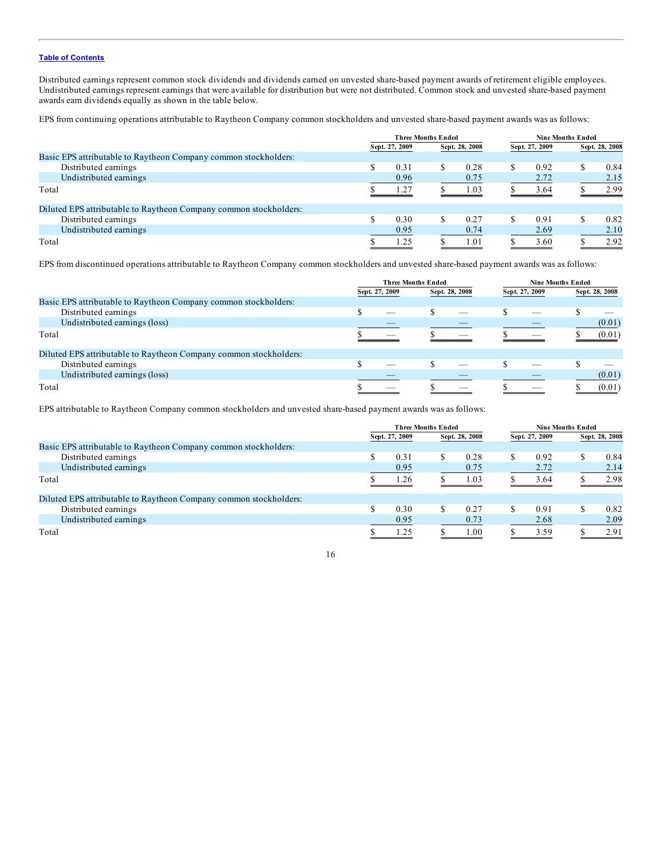Distributed earnings represent common stock dividends and dividends earned on unvested share-based payment awards of retirement eligible employees. Undistributed earnings represent earnings that were available for distribution but were not distributed. Common stock and unvested share-based payment awards earn dividends equally as shown in the table below.

EPS from continuing operations attributable to Raytheon Company common stockholders and unvested share-based payment awards was as follows:

|                                                                   | <b>Three Months Ended</b> |                |  |                | <b>Nine Months Ended</b> |                |  |                |
|-------------------------------------------------------------------|---------------------------|----------------|--|----------------|--------------------------|----------------|--|----------------|
|                                                                   |                           | Sept. 27, 2009 |  | Sept. 28, 2008 |                          | Sept. 27, 2009 |  | Sept. 28, 2008 |
| Basic EPS attributable to Raytheon Company common stockholders:   |                           |                |  |                |                          |                |  |                |
| Distributed earnings                                              |                           | 0.31           |  | 0.28           |                          | 0.92           |  | 0.84           |
| Undistributed earnings                                            |                           | 0.96           |  | 0.75           |                          | 2.72           |  | 2.15           |
| Total                                                             |                           | 1.27           |  | 1.03           |                          | 3.64           |  | 2.99           |
| Diluted EPS attributable to Raytheon Company common stockholders: |                           |                |  |                |                          |                |  |                |
| Distributed earnings                                              |                           | 0.30           |  | 0.27           |                          | 0.91           |  | 0.82           |
| Undistributed earnings                                            |                           | 0.95           |  | 0.74           |                          | 2.69           |  | 2.10           |
| Total                                                             |                           | 1.25           |  | 1.01           |                          | 3.60           |  | 2.92           |

EPS from discontinued operations attributable to Raytheon Company common stockholders and unvested share-based payment awards was as follows:

|                                                                   | <b>Three Months Ended</b> |                                  |  |  | <b>Nine Months Ended</b> |  |                |        |
|-------------------------------------------------------------------|---------------------------|----------------------------------|--|--|--------------------------|--|----------------|--------|
|                                                                   |                           | Sept. 28, 2008<br>Sept. 27, 2009 |  |  | Sept. 27, 2009           |  | Sept. 28, 2008 |        |
| Basic EPS attributable to Raytheon Company common stockholders:   |                           |                                  |  |  |                          |  |                |        |
| Distributed earnings                                              |                           |                                  |  |  | ¢                        |  |                |        |
| Undistributed earnings (loss)                                     |                           |                                  |  |  |                          |  |                | (0.01) |
| Total                                                             |                           |                                  |  |  |                          |  |                | (0.01) |
| Diluted EPS attributable to Raytheon Company common stockholders: |                           |                                  |  |  |                          |  |                |        |
| Distributed earnings                                              |                           |                                  |  |  |                          |  |                |        |
| Undistributed earnings (loss)                                     |                           |                                  |  |  |                          |  |                | (0.01) |
| Total                                                             |                           |                                  |  |  |                          |  |                | (0.01) |

EPS attributable to Raytheon Company common stockholders and unvested share-based payment awards was as follows:

|                                                                   | <b>Three Months Ended</b> |                |  |                | <b>Nine Months Ended</b> |                |  |                |
|-------------------------------------------------------------------|---------------------------|----------------|--|----------------|--------------------------|----------------|--|----------------|
|                                                                   |                           | Sept. 27, 2009 |  | Sept. 28, 2008 |                          | Sept. 27, 2009 |  | Sept. 28, 2008 |
| Basic EPS attributable to Raytheon Company common stockholders:   |                           |                |  |                |                          |                |  |                |
| Distributed earnings                                              |                           | 0.31           |  | 0.28           |                          | 0.92           |  | 0.84           |
| Undistributed earnings                                            |                           | 0.95           |  | 0.75           |                          | 2.72           |  | 2.14           |
| Total                                                             |                           | 1.26           |  | 1.03           |                          | 3.64           |  | 2.98           |
| Diluted EPS attributable to Raytheon Company common stockholders: |                           |                |  |                |                          |                |  |                |
| Distributed earnings                                              | ⊕                         | 0.30           |  | 0.27           |                          | 0.91           |  | 0.82           |
| Undistributed earnings                                            |                           | 0.95           |  | 0.73           |                          | 2.68           |  | 2.09           |
| Total                                                             |                           | 1.25           |  | 1.00           |                          | 3.59           |  | 2.91           |

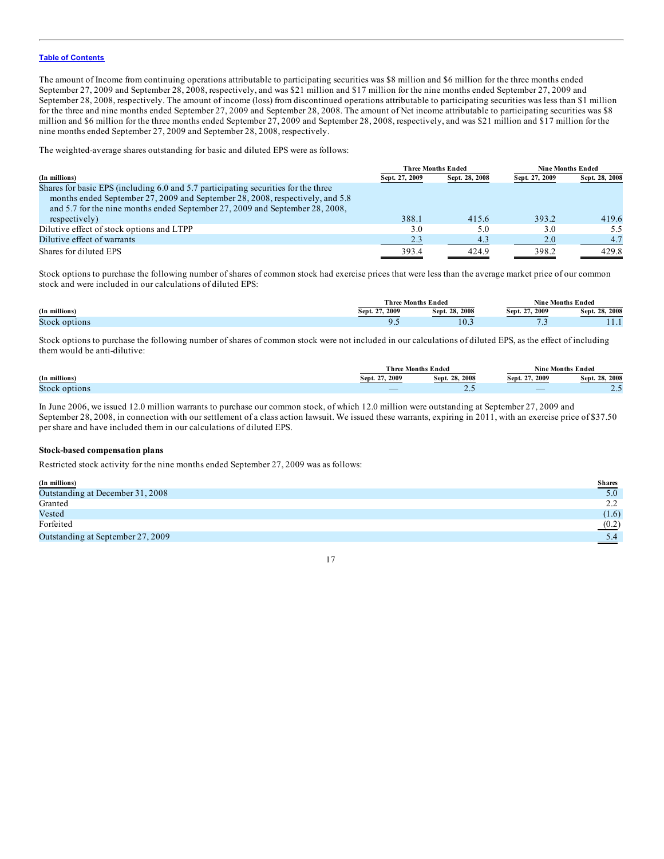The amount of Income from continuing operations attributable to participating securities was \$8 million and \$6 million for the three months ended September 27, 2009 and September 28, 2008, respectively, and was \$21 million and \$17 million for the nine months ended September 27, 2009 and September 28, 2008, respectively. The amount of income (loss) from discontinued operations attributable to participating securities was less than \$1 million for the three and nine months ended September 27, 2009 and September 28, 2008. The amount of Net income attributable to participating securities was \$8 million and \$6 million for the three months ended September 27, 2009 and September 28, 2008, respectively, and was \$21 million and \$17 million for the nine months ended September 27, 2009 and September 28, 2008, respectively.

The weighted-average shares outstanding for basic and diluted EPS were as follows:

|                                                                                    |                | <b>Three Months Ended</b> | <b>Nine Months Ended</b> |                |  |  |
|------------------------------------------------------------------------------------|----------------|---------------------------|--------------------------|----------------|--|--|
| (In millions)                                                                      | Sept. 27, 2009 | Sept. 28, 2008            | Sept. 27, 2009           | Sept. 28, 2008 |  |  |
| Shares for basic EPS (including 6.0 and 5.7 participating securities for the three |                |                           |                          |                |  |  |
| months ended September 27, 2009 and September 28, 2008, respectively, and 5.8      |                |                           |                          |                |  |  |
| and 5.7 for the nine months ended September 27, 2009 and September 28, 2008,       |                |                           |                          |                |  |  |
| respectively)                                                                      | 388.1          | 415.6                     | 393.2                    | 419.6          |  |  |
| Dilutive effect of stock options and LTPP                                          | 3.0            | 5.0                       | 3.0                      | 5.5            |  |  |
| Dilutive effect of warrants                                                        | 2.3            | 4.3                       | 2.0                      | 4.7            |  |  |
| Shares for diluted EPS                                                             | 393.4          | 424.9                     | 398.2                    | 429.8          |  |  |

Stock options to purchase the following number of shares of common stock had exercise prices that were less than the average market price of our common stock and were included in our calculations of diluted EPS:

|                  |                          | <b>Three Months Ended</b> |                             | <b>Nine Months Ended</b>  |
|------------------|--------------------------|---------------------------|-----------------------------|---------------------------|
| (In millions)    | 27, 2009<br>$\sim$       | Sept. 28, 2008            | $\sim$<br>47, 2009<br>sent. | $\angle 8, 2008$<br>Sent. |
| Stock<br>options | $\overline{\phantom{a}}$ | 10.3                      | .                           | .                         |

Stock options to purchase the following number of shares of common stock were not included in our calculations of diluted EPS, as the effect of including them would be anti-dilutive:

|                                                            |                     | <b>Three Months Ended</b> |                             | <b>Nine Months Ended</b> |
|------------------------------------------------------------|---------------------|---------------------------|-----------------------------|--------------------------|
| (In millions)<br>$\sim$ $\sim$ $\sim$ $\sim$ $\sim$ $\sim$ | . 27, 2009<br>Sent. | Sept. 28, 2008            | 27. 2009<br>$\sim$<br>Sent. | Sept. 28, 2008           |
| Stock options                                              | __                  | <b>A</b>                  | $\sim$                      | ن. ت                     |

In June 2006, we issued 12.0 million warrants to purchase our common stock, of which 12.0 million were outstanding at September 27, 2009 and September 28, 2008, in connection with our settlement of a class action lawsuit. We issued these warrants, expiring in 2011, with an exercise price of \$37.50 per share and have included them in our calculations of diluted EPS.

#### **Stock-based compensation plans**

Restricted stock activity for the nine months ended September 27, 2009 was as follows:

| (In millions)                     | <b>Shares</b> |
|-----------------------------------|---------------|
| Outstanding at December 31, 2008  | 5.0           |
| Granted                           | $\gamma$      |
| Vested                            | (1.6)         |
| Forfeited                         | (0.2)         |
| Outstanding at September 27, 2009 | 5.4           |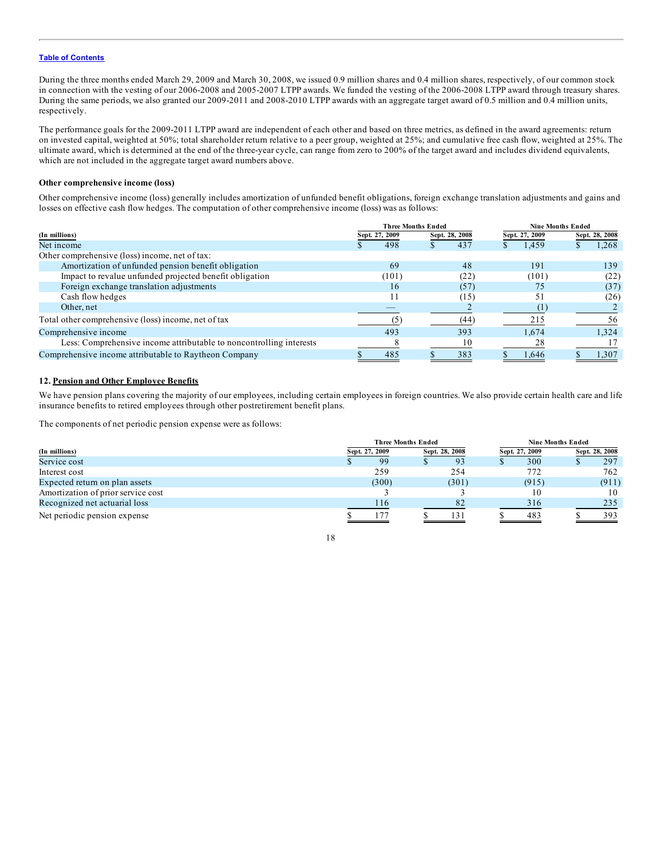During the three months ended March 29, 2009 and March 30, 2008, we issued 0.9 million shares and 0.4 million shares, respectively, of our common stock in connection with the vesting of our 2006-2008 and 2005-2007 LTPP awards. We funded the vesting of the 2006-2008 LTPP award through treasury shares. During the same periods, we also granted our 2009-2011 and 2008-2010 LTPP awards with an aggregate target award of 0.5 million and 0.4 million units, respectively.

The performance goals for the 2009-2011 LTPP award are independent of each other and based on three metrics, as defined in the award agreements: return on invested capital, weighted at 50%; total shareholder return relative to a peer group, weighted at 25%; and cumulative free cash flow, weighted at 25%. The ultimate award, which is determined at the end of the three-year cycle, can range from zero to 200% of the target award and includes dividend equivalents, which are not included in the aggregate target award numbers above.

#### **Other comprehensive income (loss)**

Other comprehensive income (loss) generally includes amortization of unfunded benefit obligations, foreign exchange translation adjustments and gains and losses on effective cash flow hedges. The computation of other comprehensive income (loss) was as follows:

|                                                                     | <b>Three Months Ended</b>        |       |     |                |  | <b>Nine Months Ended</b> |  |       |  |  |
|---------------------------------------------------------------------|----------------------------------|-------|-----|----------------|--|--------------------------|--|-------|--|--|
| (In millions)                                                       | Sept. 27, 2009<br>Sept. 28, 2008 |       |     | Sept. 27, 2009 |  | Sept. 28, 2008           |  |       |  |  |
| Net income                                                          |                                  | 498   | JD. | 437            |  | 1,459                    |  | .268  |  |  |
| Other comprehensive (loss) income, net of tax:                      |                                  |       |     |                |  |                          |  |       |  |  |
| Amortization of unfunded pension benefit obligation                 |                                  | 69    |     | 48             |  | 191                      |  | 139   |  |  |
| Impact to revalue unfunded projected benefit obligation             |                                  | (101) |     | (22)           |  | (101)                    |  | (22)  |  |  |
| Foreign exchange translation adjustments                            |                                  | 16    |     | (57)           |  | 75                       |  | (37)  |  |  |
| Cash flow hedges                                                    |                                  |       |     | (15)           |  | 51                       |  | (26)  |  |  |
| Other, net                                                          |                                  |       |     |                |  |                          |  |       |  |  |
| Total other comprehensive (loss) income, net of tax                 |                                  |       |     | (44)           |  | 215                      |  | 56    |  |  |
| Comprehensive income                                                |                                  | 493   |     | 393            |  | 1.674                    |  | 1,324 |  |  |
| Less: Comprehensive income attributable to noncontrolling interests |                                  |       |     | 10             |  | 28                       |  |       |  |  |
| Comprehensive income attributable to Raytheon Company               |                                  | 485   |     | 383            |  | 1,646                    |  | 1,307 |  |  |

#### **12. Pension and Other Employee Benefits**

We have pension plans covering the majority of our employees, including certain employees in foreign countries. We also provide certain health care and life insurance benefits to retired employees through other postretirement benefit plans.

The components of net periodic pension expense were as follows:

|                                    |                | <b>Three Months Ended</b> | <b>Nine Months Ended</b> |                |       |                |       |
|------------------------------------|----------------|---------------------------|--------------------------|----------------|-------|----------------|-------|
| (In millions)                      | Sept. 27, 2009 |                           | Sept. 28, 2008           | Sept. 27, 2009 |       | Sept. 28, 2008 |       |
| Service cost                       | 99             |                           | 93                       |                | 300   |                | 297   |
| Interest cost                      | 259            |                           | 254                      |                | 772   |                | 762   |
| Expected return on plan assets     | (300)          |                           | (301)                    |                | (915) |                | (911) |
| Amortization of prior service cost |                |                           |                          |                | 10    |                | 10    |
| Recognized net actuarial loss      | 116            |                           | 82                       |                | 316   |                | 235   |
| Net periodic pension expense       | 177            |                           | 131                      |                | 483   |                | 393   |

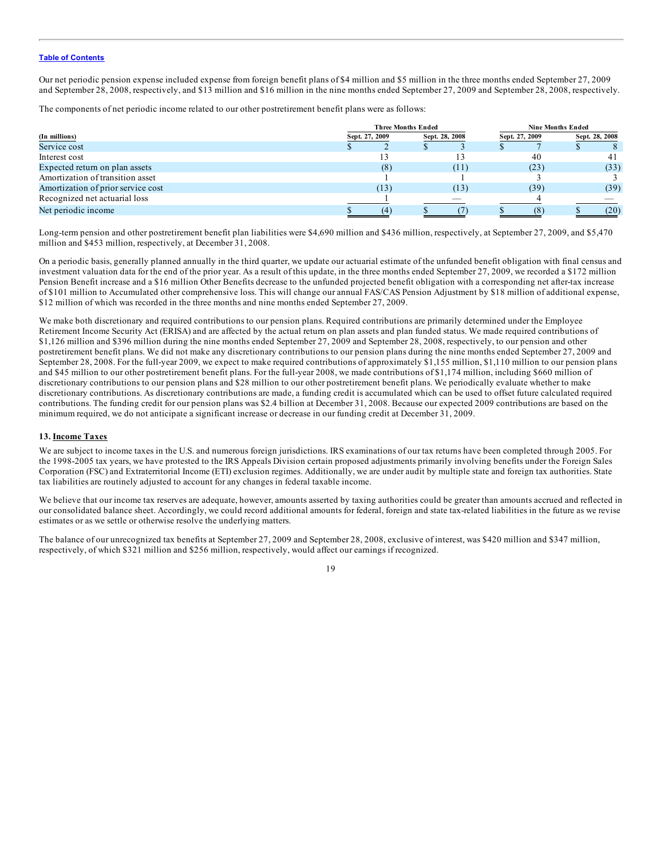Our net periodic pension expense included expense from foreign benefit plans of \$4 million and \$5 million in the three months ended September 27, 2009 and September 28, 2008, respectively, and \$13 million and \$16 million in the nine months ended September 27, 2009 and September 28, 2008, respectively.

The components of net periodic income related to our other postretirement benefit plans were as follows:

|                                    |  |                | <b>Three Months Ended</b> | <b>Nine Months Ended</b> |  |                |  |                |
|------------------------------------|--|----------------|---------------------------|--------------------------|--|----------------|--|----------------|
| (In millions)                      |  | Sept. 27, 2009 |                           | Sept. 28, 2008           |  | Sept. 27, 2009 |  | Sept. 28, 2008 |
| Service cost                       |  |                |                           |                          |  |                |  |                |
| Interest cost                      |  |                |                           | 13                       |  | 40             |  | 41             |
| Expected return on plan assets     |  | (8)            |                           | (11)                     |  | (23)           |  | (33)           |
| Amortization of transition asset   |  |                |                           |                          |  |                |  |                |
| Amortization of prior service cost |  | (13)           |                           | (13)                     |  | (39)           |  | (39)           |
| Recognized net actuarial loss      |  |                |                           |                          |  |                |  |                |
| Net periodic income                |  | (4)            |                           |                          |  | (8)            |  | (20)           |

Long-term pension and other postretirement benefit plan liabilities were \$4,690 million and \$436 million, respectively, at September 27, 2009, and \$5,470 million and \$453 million, respectively, at December 31, 2008.

On a periodic basis, generally planned annually in the third quarter, we update our actuarial estimate of the unfunded benefit obligation with final census and investment valuation data for the end of the prior year. As a result of this update, in the three months ended September 27, 2009, we recorded a \$172 million Pension Benefit increase and a \$16 million Other Benefits decrease to the unfunded projected benefit obligation with a corresponding net after-tax increase of \$101 million to Accumulated other comprehensive loss. This will change our annual FAS/CAS Pension Adjustment by \$18 million of additional expense, \$12 million of which was recorded in the three months and nine months ended September 27, 2009.

We make both discretionary and required contributions to our pension plans. Required contributions are primarily determined under the Employee Retirement Income Security Act (ERISA) and are affected by the actual return on plan assets and plan funded status. We made required contributions of \$1,126 million and \$396 million during the nine months ended September 27, 2009 and September 28, 2008, respectively, to our pension and other postretirement benefit plans. We did not make any discretionary contributions to our pension plans during the nine months ended September 27, 2009 and September 28, 2008. For the full-year 2009, we expect to make required contributions of approximately \$1,155 million, \$1,110 million to our pension plans and \$45 million to our other postretirement benefit plans. For the full-year 2008, we made contributions of \$1,174 million, including \$660 million of discretionary contributions to our pension plans and \$28 million to our other postretirement benefit plans. We periodically evaluate whether to make discretionary contributions. As discretionary contributions are made, a funding credit is accumulated which can be used to offset future calculated required contributions. The funding credit for our pension plans was \$2.4 billion at December 31, 2008. Because our expected 2009 contributions are based on the minimum required, we do not anticipate a significant increase or decrease in our funding credit at December 31, 2009.

#### **13. Income Taxes**

We are subject to income taxes in the U.S. and numerous foreign jurisdictions. IRS examinations of our tax returns have been completed through 2005. For the 1998-2005 tax years, we have protested to the IRS Appeals Division certain proposed adjustments primarily involving benefits under the Foreign Sales Corporation (FSC) and Extraterritorial Income (ETI) exclusion regimes. Additionally, we are under audit by multiple state and foreign tax authorities. State tax liabilities are routinely adjusted to account for any changes in federal taxable income.

We believe that our income tax reserves are adequate, however, amounts asserted by taxing authorities could be greater than amounts accrued and reflected in our consolidated balance sheet. Accordingly, we could record additional amounts for federal, foreign and state tax-related liabilities in the future as we revise estimates or as we settle or otherwise resolve the underlying matters.

The balance of our unrecognized tax benefits at September 27, 2009 and September 28, 2008, exclusive of interest, was \$420 million and \$347 million, respectively, of which \$321 million and \$256 million, respectively, would affect our earnings if recognized.

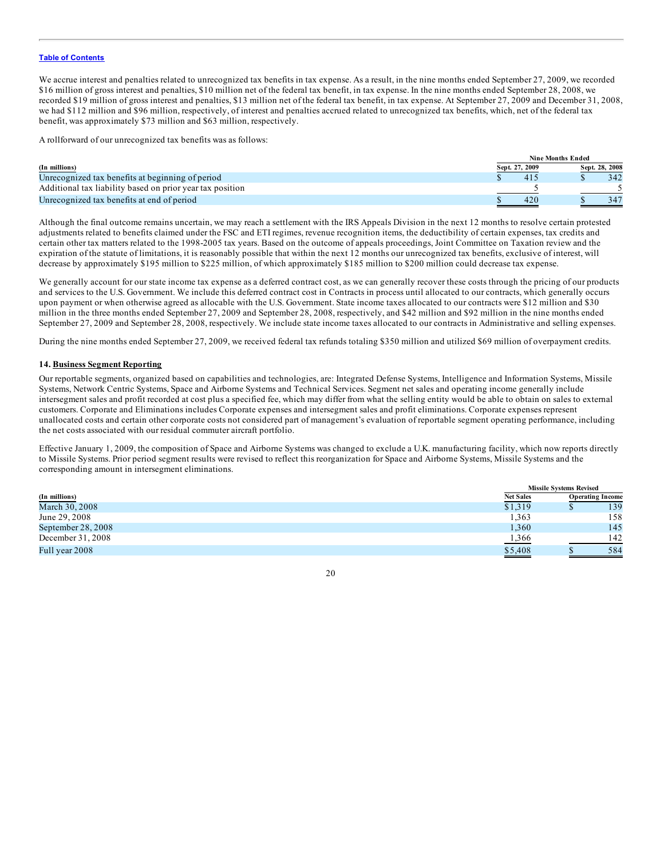We accrue interest and penalties related to unrecognized tax benefits in tax expense. As a result, in the nine months ended September 27, 2009, we recorded \$16 million of gross interest and penalties, \$10 million net of the federal tax benefit, in tax expense. In the nine months ended September 28, 2008, we recorded \$19 million of gross interest and penalties, \$13 million net of the federal tax benefit, in tax expense. At September 27, 2009 and December 31, 2008, we had \$112 million and \$96 million, respectively, of interest and penalties accrued related to unrecognized tax benefits, which, net of the federal tax benefit, was approximately \$73 million and \$63 million, respectively.

A rollforward of our unrecognized tax benefits was as follows:

|                                                           |                | <b>Nine Months Ended</b> |
|-----------------------------------------------------------|----------------|--------------------------|
| (In millions)                                             | Sept. 27, 2009 | Sept. 28, 2008           |
| Unrecognized tax benefits at beginning of period          | 41:            | 342                      |
| Additional tax liability based on prior year tax position |                |                          |
| Unrecognized tax benefits at end of period                | 420            | 347                      |

Although the final outcome remains uncertain, we may reach a settlement with the IRS Appeals Division in the next 12 months to resolve certain protested adjustments related to benefits claimed under the FSC and ETI regimes, revenue recognition items, the deductibility of certain expenses, tax credits and certain other tax matters related to the 1998-2005 tax years. Based on the outcome of appeals proceedings, Joint Committee on Taxation review and the expiration of the statute of limitations, it is reasonably possible that within the next 12 months our unrecognized tax benefits, exclusive of interest, will decrease by approximately \$195 million to \$225 million, of which approximately \$185 million to \$200 million could decrease tax expense.

We generally account for our state income tax expense as a deferred contract cost, as we can generally recover these costs through the pricing of our products and services to the U.S. Government. We include this deferred contract cost in Contracts in process until allocated to our contracts, which generally occurs upon payment or when otherwise agreed as allocable with the U.S. Government. State income taxes allocated to our contracts were \$12 million and \$30 million in the three months ended September 27, 2009 and September 28, 2008, respectively, and \$42 million and \$92 million in the nine months ended September 27, 2009 and September 28, 2008, respectively. We include state income taxes allocated to our contracts in Administrative and selling expenses.

During the nine months ended September 27, 2009, we received federal tax refunds totaling \$350 million and utilized \$69 million of overpayment credits.

#### **14. Business Segment Reporting**

Our reportable segments, organized based on capabilities and technologies, are: Integrated Defense Systems, Intelligence and Information Systems, Missile Systems, Network Centric Systems, Space and Airborne Systems and Technical Services. Segment net sales and operating income generally include intersegment sales and profit recorded at cost plus a specified fee, which may differ from what the selling entity would be able to obtain on sales to external customers. Corporate and Eliminations includes Corporate expenses and intersegment sales and profit eliminations. Corporate expenses represent unallocated costs and certain other corporate costs not considered part of management's evaluation of reportable segment operating performance, including the net costs associated with our residual commuter aircraft portfolio.

Effective January 1, 2009, the composition of Space and Airborne Systems was changed to exclude a U.K. manufacturing facility, which now reports directly to Missile Systems. Prior period segment results were revised to reflect this reorganization for Space and Airborne Systems, Missile Systems and the corresponding amount in intersegment eliminations.

|                    |                  | <b>Missile Systems Revised</b> |                         |  |  |  |  |
|--------------------|------------------|--------------------------------|-------------------------|--|--|--|--|
| (In millions)      | <b>Net Sales</b> |                                | <b>Operating Income</b> |  |  |  |  |
| March 30, 2008     | \$1,319          |                                | 139                     |  |  |  |  |
| June 29, 2008      | 1,363            |                                | 158                     |  |  |  |  |
| September 28, 2008 | 1,360            |                                | 145                     |  |  |  |  |
| December 31, 2008  | 1,366            |                                | 142                     |  |  |  |  |
| Full year 2008     | \$5,408          |                                | 584                     |  |  |  |  |

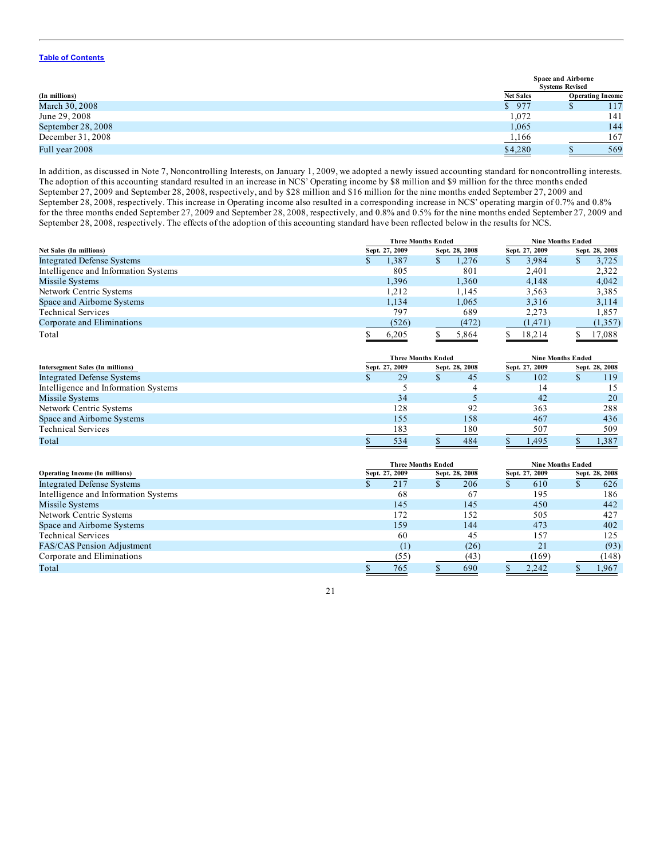|                    |                  | Space and Airborne     |                         |  |  |  |  |
|--------------------|------------------|------------------------|-------------------------|--|--|--|--|
|                    |                  | <b>Systems Revised</b> |                         |  |  |  |  |
| (In millions)      | <b>Net Sales</b> |                        | <b>Operating Income</b> |  |  |  |  |
| March 30, 2008     | \$977            |                        | 117                     |  |  |  |  |
| June 29, 2008      | 1,072            |                        | 141                     |  |  |  |  |
| September 28, 2008 | 1,065            |                        | 144                     |  |  |  |  |
| December 31, 2008  | 1,166            |                        | 167                     |  |  |  |  |
| Full year 2008     | \$4,280          |                        | 569                     |  |  |  |  |

In addition, as discussed in Note 7, Noncontrolling Interests, on January 1, 2009, we adopted a newly issued accounting standard for noncontrolling interests. The adoption of this accounting standard resulted in an increase in NCS' Operating income by \$8 million and \$9 million for the three months ended September 27, 2009 and September 28, 2008, respectively, and by \$28 million and \$16 million for the nine months ended September 27, 2009 and September 28, 2008, respectively. This increase in Operating income also resulted in a corresponding increase in NCS' operating margin of 0.7% and 0.8% for the three months ended September 27, 2009 and September 28, 2008, respectively, and 0.8% and 0.5% for the nine months ended September 27, 2009 and September 28, 2008, respectively. The effects of the adoption of this accounting standard have been reflected below in the results for NCS.

|                                      |                | <b>Three Months Ended</b> | <b>Nine Months Ended</b> |              |                |  |                |
|--------------------------------------|----------------|---------------------------|--------------------------|--------------|----------------|--|----------------|
| Net Sales (In millions)              | Sept. 27, 2009 |                           | Sept. 28, 2008           |              | Sept. 27, 2009 |  | Sept. 28, 2008 |
| <b>Integrated Defense Systems</b>    |                | .387                      | 1.276                    | $\mathbf{D}$ | 3.984          |  | 3,725          |
| Intelligence and Information Systems |                | 805                       | 801                      |              | 2.401          |  | 2,322          |
| Missile Systems                      |                | 1.396                     | 1,360                    |              | 4.148          |  | 4.042          |
| Network Centric Systems              |                | 1.212                     | 1.145                    |              | 3.563          |  | 3,385          |
| Space and Airborne Systems           |                | 1.134                     | 1.065                    |              | 3.316          |  | 3.114          |
| <b>Technical Services</b>            |                | 797                       | 689                      |              | 2.273          |  | 1.857          |
| Corporate and Eliminations           |                | (526)                     | (472)                    |              | (1, 471)       |  | (1,357)        |
| Total                                |                | 6.205                     | 5.864                    |              | 18.214         |  | 17.088         |

|                                      |  | <b>Three Months Ended</b> |     |                |     |                | <b>Nine Months Ended</b> |                |      |  |
|--------------------------------------|--|---------------------------|-----|----------------|-----|----------------|--------------------------|----------------|------|--|
| Intersegment Sales (In millions)     |  | Sept. 27, 2009            |     | Sept. 28, 2008 |     | Sept. 27, 2009 |                          | Sept. 28, 2008 |      |  |
| <b>Integrated Defense Systems</b>    |  |                           | 29  |                | 45  |                | 102                      |                | 119  |  |
| Intelligence and Information Systems |  |                           |     |                |     |                | 14                       |                | 15   |  |
| Missile Systems                      |  |                           | 34  |                |     |                | 42                       |                | 20   |  |
| Network Centric Systems              |  |                           | 128 |                | 92  |                | 363                      |                | 288  |  |
| Space and Airborne Systems           |  |                           | 155 |                | 158 |                | 467                      |                | 436  |  |
| <b>Technical Services</b>            |  |                           | 183 |                | 180 |                | 507                      |                | 509  |  |
| Total                                |  |                           | 534 |                | 484 |                | .495                     |                | .387 |  |

|                                       |  | <b>Three Months Ended</b>        |  |                |  |       | <b>Nine Months Ended</b> |       |  |  |
|---------------------------------------|--|----------------------------------|--|----------------|--|-------|--------------------------|-------|--|--|
| <b>Operating Income (In millions)</b> |  | Sept. 27, 2009<br>Sept. 28, 2008 |  | Sept. 27, 2009 |  |       | Sept. 28, 2008           |       |  |  |
| <b>Integrated Defense Systems</b>     |  | 217                              |  | 206            |  | 610   |                          | 626   |  |  |
| Intelligence and Information Systems  |  | 68                               |  | 67             |  | 195   |                          | 186   |  |  |
| Missile Systems                       |  | 145                              |  | 145            |  | 450   |                          | 442   |  |  |
| Network Centric Systems               |  | 172                              |  | 152            |  | 505   |                          | 427   |  |  |
| Space and Airborne Systems            |  | 159                              |  | 144            |  | 473   |                          | 402   |  |  |
| <b>Technical Services</b>             |  | 60                               |  | 45             |  | 157   |                          | 125   |  |  |
| FAS/CAS Pension Adjustment            |  | (1)                              |  | (26)           |  | 21    |                          | (93)  |  |  |
| Corporate and Eliminations            |  | (55)                             |  | (43)           |  | (169) |                          | (148) |  |  |
| Total                                 |  | 765                              |  | 690            |  | 2.242 |                          | 1,967 |  |  |

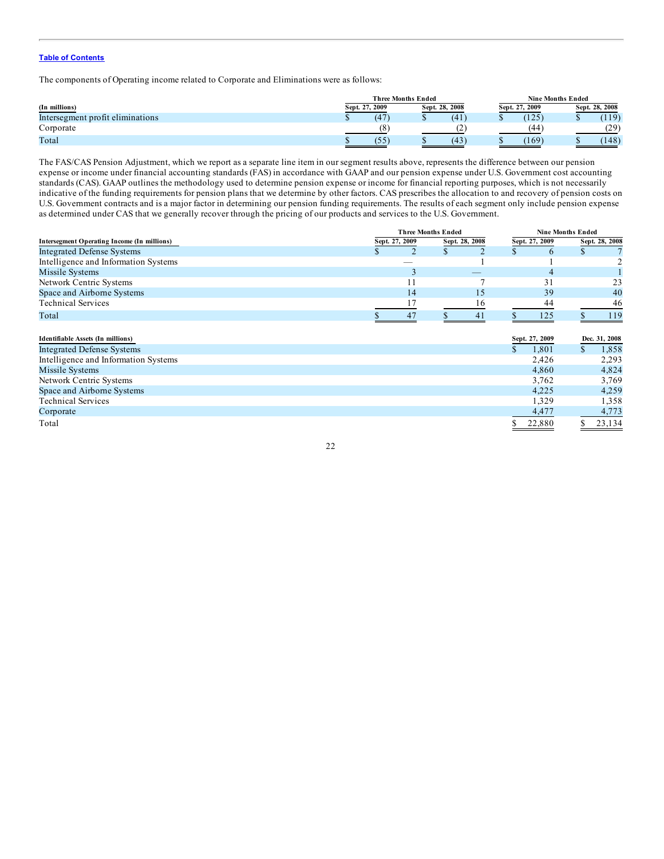The components of Operating income related to Corporate and Eliminations were as follows:

|                                  |                | <b>Three Months Ended</b> | <b>Nine Months Ended</b> |      |                |                     |                |       |
|----------------------------------|----------------|---------------------------|--------------------------|------|----------------|---------------------|----------------|-------|
| (In millions)                    | Sept. 27, 2009 |                           | Sept. 28, 2008           |      | Sept. 27, 2009 |                     | Sept. 28, 2008 |       |
| Intersegment profit eliminations |                |                           |                          | (41) |                | 125<br>$1 \angle J$ |                | (119) |
| Corporate                        |                | 18                        |                          |      |                | (44)                |                | (29)  |
| Total                            |                | (5                        |                          | (43) |                | 169                 |                | (148) |

The FAS/CAS Pension Adjustment, which we report as a separate line item in our segment results above, represents the difference between our pension expense or income under financial accounting standards (FAS) in accordance with GAAP and our pension expense under U.S. Government cost accounting standards (CAS). GAAP outlines the methodology used to determine pension expense or income for financial reporting purposes, which is not necessarily indicative of the funding requirements for pension plans that we determine by other factors. CAS prescribes the allocation to and recovery of pension costs on U.S. Government contracts and is a major factor in determining our pension funding requirements. The results of each segment only include pension expense as determined under CAS that we generally recover through the pricing of our products and services to the U.S. Government.

|                                             | <b>Three Months Ended</b> |  | <b>Nine Months Ended</b> |  |                |  |                |  |
|---------------------------------------------|---------------------------|--|--------------------------|--|----------------|--|----------------|--|
| Intersegment Operating Income (In millions) | Sept. 27, 2009            |  | Sept. 28, 2008           |  | Sept. 27, 2009 |  | Sept. 28, 2008 |  |
| <b>Integrated Defense Systems</b>           |                           |  |                          |  |                |  |                |  |
| Intelligence and Information Systems        |                           |  |                          |  |                |  |                |  |
| Missile Systems                             |                           |  |                          |  |                |  |                |  |
| Network Centric Systems                     |                           |  |                          |  |                |  | 23             |  |
| Space and Airborne Systems                  | $\sqrt{4}$                |  |                          |  | 39             |  | 40             |  |
| <b>Technical Services</b>                   |                           |  | 16                       |  | 44             |  | 46             |  |
| Total                                       |                           |  | 41                       |  | 125            |  | 119            |  |

| <b>Identifiable Assets (In millions)</b> | Sept. 27, 2009 | Dec. 31, 2008 |
|------------------------------------------|----------------|---------------|
| <b>Integrated Defense Systems</b>        | 1,801          | 1,858         |
| Intelligence and Information Systems     | 2.426          | 2.293         |
| Missile Systems                          | 4.860          | 4,824         |
| Network Centric Systems                  | 3.762          | 3,769         |
| Space and Airborne Systems               | 4.225          | 4,259         |
| <b>Technical Services</b>                | 1.329          | 1,358         |
| Corporate                                | 4,477          | 4,773         |
| Total                                    | \$22,880       | 23,134        |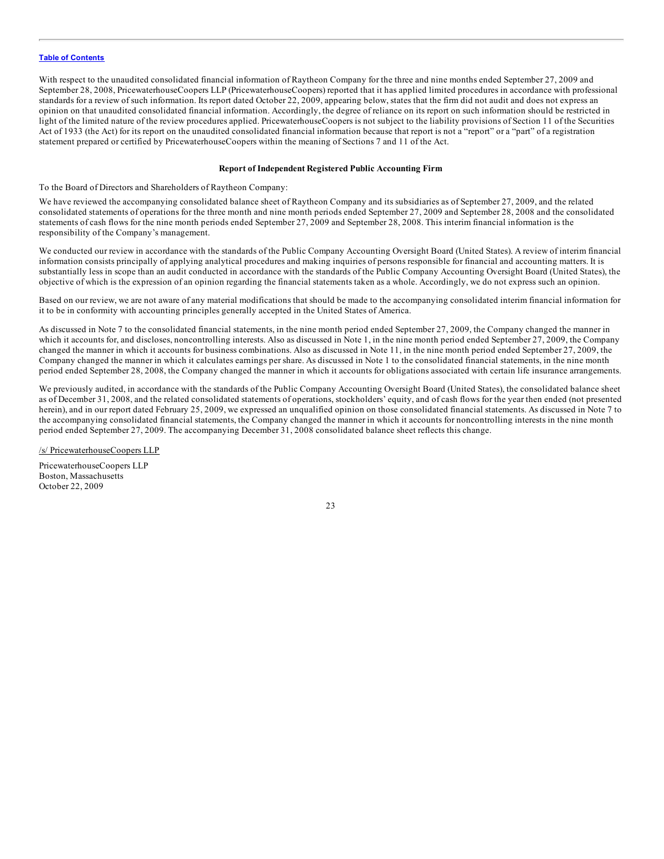<span id="page-22-0"></span>With respect to the unaudited consolidated financial information of Raytheon Company for the three and nine months ended September 27, 2009 and September 28, 2008, PricewaterhouseCoopers LLP (PricewaterhouseCoopers) reported that it has applied limited procedures in accordance with professional standards for a review of such information. Its report dated October 22, 2009, appearing below, states that the firm did not audit and does not express an opinion on that unaudited consolidated financial information. Accordingly, the degree of reliance on its report on such information should be restricted in light of the limited nature of the review procedures applied. PricewaterhouseCoopers is not subject to the liability provisions of Section 11 of the Securities Act of 1933 (the Act) for its report on the unaudited consolidated financial information because that report is not a "report" or a "part" of a registration statement prepared or certified by PricewaterhouseCoopers within the meaning of Sections 7 and 11 of the Act.

#### **Report of Independent Registered Public Accounting Firm**

To the Board of Directors and Shareholders of Raytheon Company:

We have reviewed the accompanying consolidated balance sheet of Raytheon Company and its subsidiaries as of September 27, 2009, and the related consolidated statements of operations for the three month and nine month periods ended September 27, 2009 and September 28, 2008 and the consolidated statements of cash flows for the nine month periods ended September 27, 2009 and September 28, 2008. This interim financial information is the responsibility of the Company's management.

We conducted our review in accordance with the standards of the Public Company Accounting Oversight Board (United States). A review of interim financial information consists principally of applying analytical procedures and making inquiries of persons responsible for financial and accounting matters. It is substantially less in scope than an audit conducted in accordance with the standards of the Public Company Accounting Oversight Board (United States), the objective of which is the expression of an opinion regarding the financial statements taken as a whole. Accordingly, we do not express such an opinion.

Based on our review, we are not aware of any material modifications that should be made to the accompanying consolidated interim financial information for it to be in conformity with accounting principles generally accepted in the United States of America.

As discussed in Note 7 to the consolidated financial statements, in the nine month period ended September 27, 2009, the Company changed the manner in which it accounts for, and discloses, noncontrolling interests. Also as discussed in Note 1, in the nine month period ended September 27, 2009, the Company changed the manner in which it accounts for business combinations. Also as discussed in Note 11, in the nine month period ended September 27, 2009, the Company changed the manner in which it calculates earnings per share. As discussed in Note 1 to the consolidated financial statements, in the nine month period ended September 28, 2008, the Company changed the manner in which it accounts for obligations associated with certain life insurance arrangements.

We previously audited, in accordance with the standards of the Public Company Accounting Oversight Board (United States), the consolidated balance sheet as of December 31, 2008, and the related consolidated statements of operations, stockholders' equity, and of cash flows for the year then ended (not presented herein), and in our report dated February 25, 2009, we expressed an unqualified opinion on those consolidated financial statements. As discussed in Note 7 to the accompanying consolidated financial statements, the Company changed the manner in which it accounts for noncontrolling interests in the nine month period ended September 27, 2009. The accompanying December 31, 2008 consolidated balance sheet reflects this change.

/s/ PricewaterhouseCoopers LLP

PricewaterhouseCoopers LLP Boston, Massachusetts October 22, 2009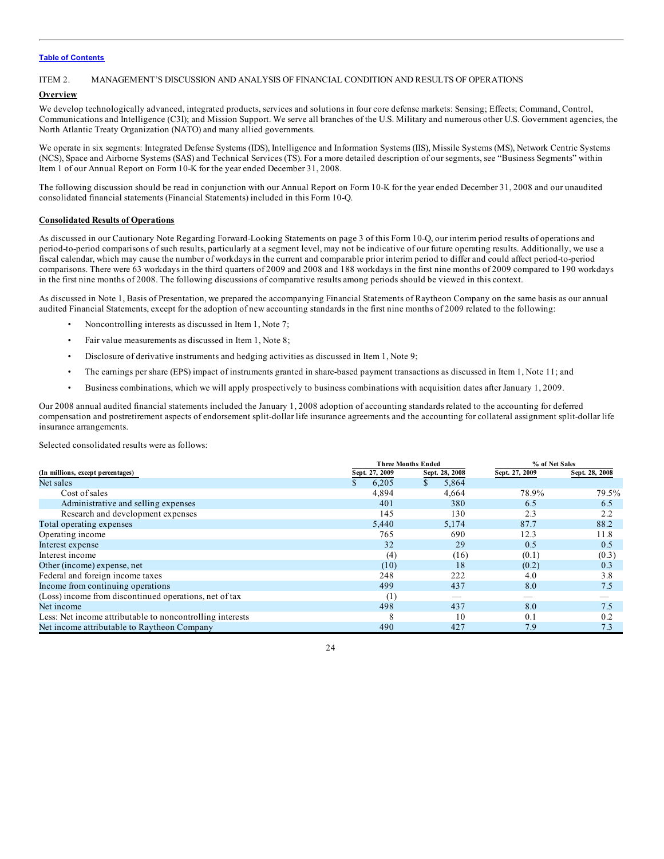#### <span id="page-23-0"></span>ITEM 2. MANAGEMENT'S DISCUSSION AND ANALYSIS OF FINANCIAL CONDITION AND RESULTS OF OPERATIONS

#### **Overview**

We develop technologically advanced, integrated products, services and solutions in four core defense markets: Sensing; Effects; Command, Control, Communications and Intelligence (C3I); and Mission Support. We serve all branches of the U.S. Military and numerous other U.S. Government agencies, the North Atlantic Treaty Organization (NATO) and many allied governments.

We operate in six segments: Integrated Defense Systems (IDS), Intelligence and Information Systems (IIS), Missile Systems (MS), Network Centric Systems (NCS), Space and Airborne Systems (SAS) and Technical Services (TS). For a more detailed description of our segments, see "Business Segments" within Item 1 of our Annual Report on Form 10-K for the year ended December 31, 2008.

The following discussion should be read in conjunction with our Annual Report on Form 10-K for the year ended December 31, 2008 and our unaudited consolidated financial statements (Financial Statements) included in this Form 10-Q.

#### **Consolidated Results of Operations**

As discussed in our Cautionary Note Regarding Forward-Looking Statements on page 3 of this Form 10-Q, our interim period results of operations and period-to-period comparisons of such results, particularly at a segment level, may not be indicative of our future operating results. Additionally, we use a fiscal calendar, which may cause the number of workdays in the current and comparable prior interim period to differ and could affect period-to-period comparisons. There were 63 workdays in the third quarters of 2009 and 2008 and 188 workdays in the first nine months of 2009 compared to 190 workdays in the first nine months of 2008. The following discussions of comparative results among periods should be viewed in this context.

As discussed in Note 1, Basis of Presentation, we prepared the accompanying Financial Statements of Raytheon Company on the same basis as our annual audited Financial Statements, except for the adoption of new accounting standards in the first nine months of 2009 related to the following:

- Noncontrolling interests as discussed in Item 1, Note 7;
- Fair value measurements as discussed in Item 1, Note 8;
- Disclosure of derivative instruments and hedging activities as discussed in Item 1, Note 9;
- The earnings per share (EPS) impact of instruments granted in share-based payment transactions as discussed in Item 1, Note 11; and
- Business combinations, which we will apply prospectively to business combinations with acquisition dates after January 1, 2009.

Our 2008 annual audited financial statements included the January 1, 2008 adoption of accounting standards related to the accounting for deferred compensation and postretirement aspects of endorsement split-dollar life insurance agreements and the accounting for collateral assignment split-dollar life insurance arrangements.

Selected consolidated results were as follows:

|                                                           | <b>Three Months Ended</b> |                | % of Net Sales |                |  |  |  |
|-----------------------------------------------------------|---------------------------|----------------|----------------|----------------|--|--|--|
| (In millions, except percentages)                         | Sept. 27, 2009            | Sept. 28, 2008 | Sept. 27, 2009 | Sept. 28, 2008 |  |  |  |
| Net sales                                                 | 6,205                     | 5,864          |                |                |  |  |  |
| Cost of sales                                             | 4,894                     | 4,664          | 78.9%          | 79.5%          |  |  |  |
| Administrative and selling expenses                       | 401                       | 380            | 6.5            | 6.5            |  |  |  |
| Research and development expenses                         | 145                       | 130            | 2.3            | 2.2            |  |  |  |
| Total operating expenses                                  | 5,440                     | 5,174          | 87.7           | 88.2           |  |  |  |
| Operating income                                          | 765                       | 690            | 12.3           | 11.8           |  |  |  |
| Interest expense                                          | 32                        | 29             | 0.5            | 0.5            |  |  |  |
| Interest income                                           | (4)                       | (16)           | (0.1)          | (0.3)          |  |  |  |
| Other (income) expense, net                               | (10)                      | 18             | (0.2)          | 0.3            |  |  |  |
| Federal and foreign income taxes                          | 248                       | 222            | 4.0            | 3.8            |  |  |  |
| Income from continuing operations                         | 499                       | 437            | 8.0            | 7.5            |  |  |  |
| (Loss) income from discontinued operations, net of tax    | (1)                       |                |                |                |  |  |  |
| Net income                                                | 498                       | 437            | 8.0            | 7.5            |  |  |  |
| Less: Net income attributable to noncontrolling interests | 8                         | 10             | 0.1            | 0.2            |  |  |  |
| Net income attributable to Raytheon Company               | 490                       | 427            | 7.9            | 7.3            |  |  |  |

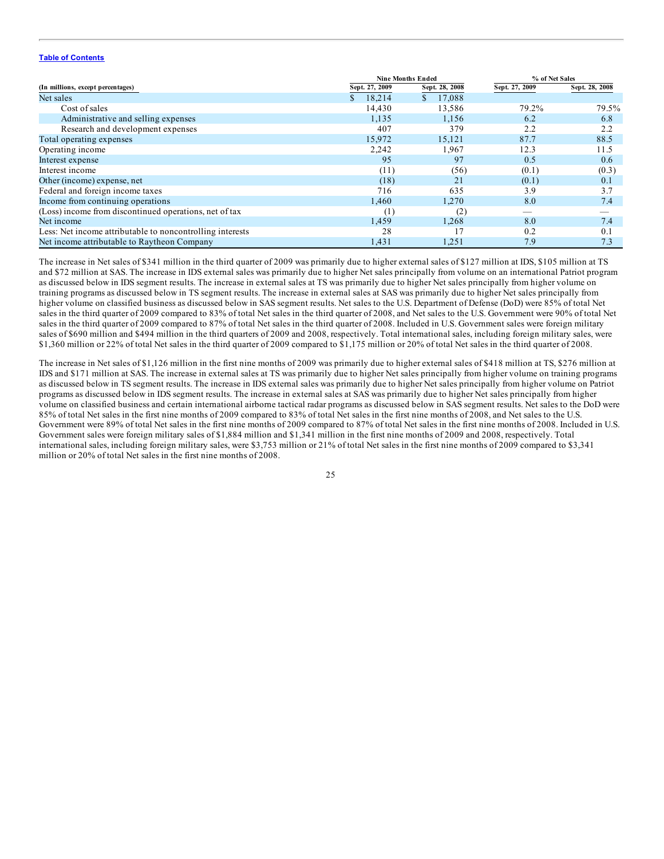|                                                           | <b>Nine Months Ended</b> |                | % of Net Sales |                |  |  |  |
|-----------------------------------------------------------|--------------------------|----------------|----------------|----------------|--|--|--|
| (In millions, except percentages)                         | Sept. 27, 2009           | Sept. 28, 2008 | Sept. 27, 2009 | Sept. 28, 2008 |  |  |  |
| Net sales                                                 | 18.214                   | \$<br>17,088   |                |                |  |  |  |
| Cost of sales                                             | 14,430                   | 13,586         | 79.2%          | 79.5%          |  |  |  |
| Administrative and selling expenses                       | 1.135                    | 1,156          | 6.2            | 6.8            |  |  |  |
| Research and development expenses                         | 407                      | 379            | 2.2            | 2.2            |  |  |  |
| Total operating expenses                                  | 15,972                   | 15,121         | 87.7           | 88.5           |  |  |  |
| Operating income                                          | 2.242                    | 1,967          | 12.3           | 11.5           |  |  |  |
| Interest expense                                          | 95                       | 97             | 0.5            | 0.6            |  |  |  |
| Interest income                                           | (11)                     | (56)           | (0.1)          | (0.3)          |  |  |  |
| Other (income) expense, net                               | (18)                     | 21             | (0.1)          | 0.1            |  |  |  |
| Federal and foreign income taxes                          | 716                      | 635            | 3.9            | 3.7            |  |  |  |
| Income from continuing operations                         | 1,460                    | 1,270          | 8.0            | 7.4            |  |  |  |
| (Loss) income from discontinued operations, net of tax    |                          | (2)            | __             |                |  |  |  |
| Net income                                                | 1,459                    | 1,268          | 8.0            | 7.4            |  |  |  |
| Less: Net income attributable to noncontrolling interests | 28                       | 17             | 0.2            | 0.1            |  |  |  |
| Net income attributable to Raytheon Company               | 1,431                    | 1,251          | 7.9            | 7.3            |  |  |  |

The increase in Net sales of \$341 million in the third quarter of 2009 was primarily due to higher external sales of \$127 million at IDS, \$105 million at TS and \$72 million at SAS. The increase in IDS external sales was primarily due to higher Net sales principally from volume on an international Patriot program as discussed below in IDS segment results. The increase in external sales at TS was primarily due to higher Net sales principally from higher volume on training programs as discussed below in TS segment results. The increase in external sales at SAS was primarily due to higher Net sales principally from higher volume on classified business as discussed below in SAS segment results. Net sales to the U.S. Department of Defense (DoD) were 85% of total Net sales in the third quarter of 2009 compared to 83% of total Net sales in the third quarter of 2008, and Net sales to the U.S. Government were 90% of total Net sales in the third quarter of 2009 compared to 87% of total Net sales in the third quarter of 2008. Included in U.S. Government sales were foreign military sales of \$690 million and \$494 million in the third quarters of 2009 and 2008, respectively. Total international sales, including foreign military sales, were \$1,360 million or 22% of total Net sales in the third quarter of 2009 compared to \$1,175 million or 20% of total Net sales in the third quarter of 2008.

The increase in Net sales of \$1,126 million in the first nine months of 2009 was primarily due to higher external sales of \$418 million at TS, \$276 million at IDS and \$171 million at SAS. The increase in external sales at TS was primarily due to higher Net sales principally from higher volume on training programs as discussed below in TS segment results. The increase in IDS external sales was primarily due to higher Net sales principally from higher volume on Patriot programs as discussed below in IDS segment results. The increase in external sales at SAS was primarily due to higher Net sales principally from higher volume on classified business and certain international airborne tactical radar programs as discussed below in SAS segment results. Net sales to the DoD were 85% of total Net sales in the first nine months of 2009 compared to 83% of total Net sales in the first nine months of 2008, and Net sales to the U.S. Government were 89% of total Net sales in the first nine months of 2009 compared to 87% of total Net sales in the first nine months of 2008. Included in U.S. Government sales were foreign military sales of \$1,884 million and \$1,341 million in the first nine months of 2009 and 2008, respectively. Total international sales, including foreign military sales, were \$3,753 million or 21% of total Net sales in the first nine months of 2009 compared to \$3,341 million or 20% of total Net sales in the first nine months of 2008.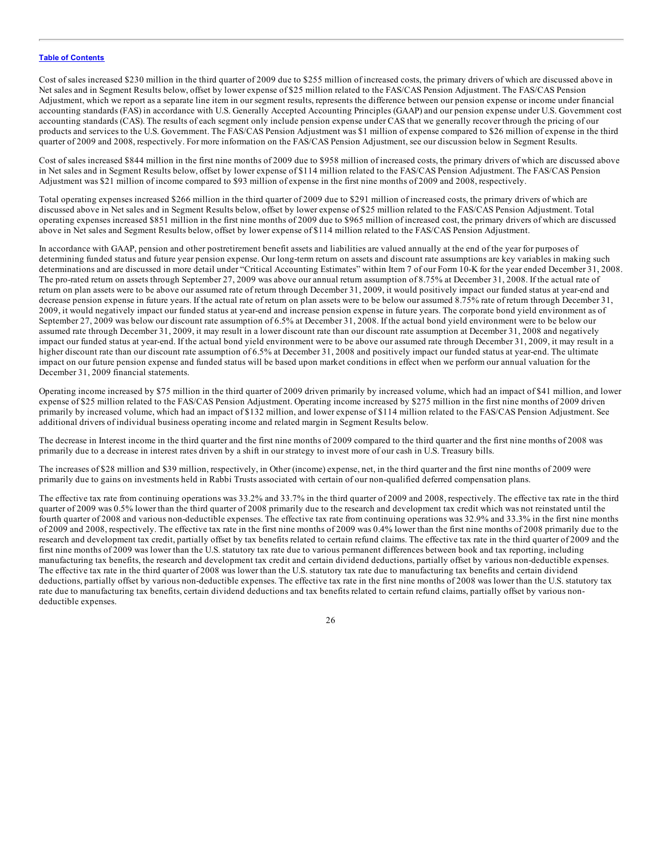Cost of sales increased \$230 million in the third quarter of 2009 due to \$255 million of increased costs, the primary drivers of which are discussed above in Net sales and in Segment Results below, offset by lower expense of \$25 million related to the FAS/CAS Pension Adjustment. The FAS/CAS Pension Adjustment, which we report as a separate line item in our segment results, represents the difference between our pension expense or income under financial accounting standards (FAS) in accordance with U.S. Generally Accepted Accounting Principles (GAAP) and our pension expense under U.S. Government cost accounting standards (CAS). The results of each segment only include pension expense under CAS that we generally recover through the pricing of our products and services to the U.S. Government. The FAS/CAS Pension Adjustment was \$1 million of expense compared to \$26 million of expense in the third quarter of 2009 and 2008, respectively. For more information on the FAS/CAS Pension Adjustment, see our discussion below in Segment Results.

Cost of sales increased \$844 million in the first nine months of 2009 due to \$958 million of increased costs, the primary drivers of which are discussed above in Net sales and in Segment Results below, offset by lower expense of \$114 million related to the FAS/CAS Pension Adjustment. The FAS/CAS Pension Adjustment was \$21 million of income compared to \$93 million of expense in the first nine months of 2009 and 2008, respectively.

Total operating expenses increased \$266 million in the third quarter of 2009 due to \$291 million of increased costs, the primary drivers of which are discussed above in Net sales and in Segment Results below, offset by lower expense of \$25 million related to the FAS/CAS Pension Adjustment. Total operating expenses increased \$851 million in the first nine months of 2009 due to \$965 million of increased cost, the primary drivers of which are discussed above in Net sales and Segment Results below, offset by lower expense of \$114 million related to the FAS/CAS Pension Adjustment.

In accordance with GAAP, pension and other postretirement benefit assets and liabilities are valued annually at the end of the year for purposes of determining funded status and future year pension expense. Our long-term return on assets and discount rate assumptions are key variables in making such determinations and are discussed in more detail under "Critical Accounting Estimates" within Item 7 of our Form 10-K for the year ended December 31, 2008. The pro-rated return on assets through September 27, 2009 was above our annual return assumption of 8.75% at December 31, 2008. If the actual rate of return on plan assets were to be above our assumed rate of return through December 31, 2009, it would positively impact our funded status at year-end and decrease pension expense in future years. If the actual rate of return on plan assets were to be below our assumed 8.75% rate of return through December 31, 2009, it would negatively impact our funded status at year-end and increase pension expense in future years. The corporate bond yield environment as of September 27, 2009 was below our discount rate assumption of 6.5% at December 31, 2008. If the actual bond yield environment were to be below our assumed rate through December 31, 2009, it may result in a lower discount rate than our discount rate assumption at December 31, 2008 and negatively impact our funded status at year-end. If the actual bond yield environment were to be above our assumed rate through December 31, 2009, it may result in a higher discount rate than our discount rate assumption of 6.5% at December 31, 2008 and positively impact our funded status at year-end. The ultimate impact on our future pension expense and funded status will be based upon market conditions in effect when we perform our annual valuation for the December 31, 2009 financial statements.

Operating income increased by \$75 million in the third quarter of 2009 driven primarily by increased volume, which had an impact of \$41 million, and lower expense of \$25 million related to the FAS/CAS Pension Adjustment. Operating income increased by \$275 million in the first nine months of 2009 driven primarily by increased volume, which had an impact of \$132 million, and lower expense of \$114 million related to the FAS/CAS Pension Adjustment. See additional drivers of individual business operating income and related margin in Segment Results below.

The decrease in Interest income in the third quarter and the first nine months of 2009 compared to the third quarter and the first nine months of 2008 was primarily due to a decrease in interest rates driven by a shift in our strategy to invest more of our cash in U.S. Treasury bills.

The increases of \$28 million and \$39 million, respectively, in Other (income) expense, net, in the third quarter and the first nine months of 2009 were primarily due to gains on investments held in Rabbi Trusts associated with certain of our non-qualified deferred compensation plans.

The effective tax rate from continuing operations was 33.2% and 33.7% in the third quarter of 2009 and 2008, respectively. The effective tax rate in the third quarter of 2009 was 0.5% lower than the third quarter of 2008 primarily due to the research and development tax credit which was not reinstated until the fourth quarter of 2008 and various non-deductible expenses. The effective tax rate from continuing operations was 32.9% and 33.3% in the first nine months of 2009 and 2008, respectively. The effective tax rate in the first nine months of 2009 was 0.4% lower than the first nine months of 2008 primarily due to the research and development tax credit, partially offset by tax benefits related to certain refund claims. The effective tax rate in the third quarter of 2009 and the first nine months of 2009 was lower than the U.S. statutory tax rate due to various permanent differences between book and tax reporting, including manufacturing tax benefits, the research and development tax credit and certain dividend deductions, partially offset by various non-deductible expenses. The effective tax rate in the third quarter of 2008 was lower than the U.S. statutory tax rate due to manufacturing tax benefits and certain dividend deductions, partially offset by various non-deductible expenses. The effective tax rate in the first nine months of 2008 was lower than the U.S. statutory tax rate due to manufacturing tax benefits, certain dividend deductions and tax benefits related to certain refund claims, partially offset by various nondeductible expenses.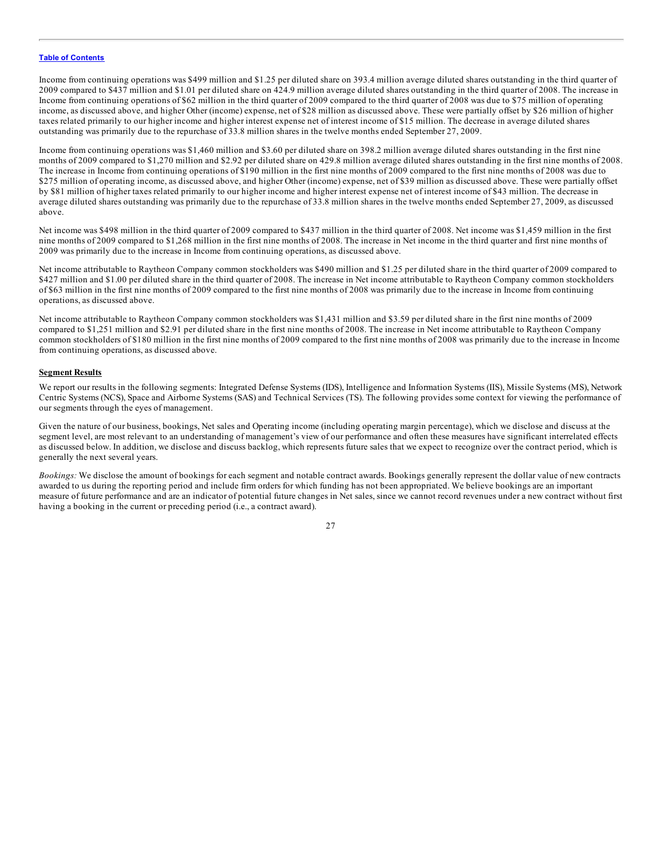Income from continuing operations was \$499 million and \$1.25 per diluted share on 393.4 million average diluted shares outstanding in the third quarter of 2009 compared to \$437 million and \$1.01 per diluted share on 424.9 million average diluted shares outstanding in the third quarter of 2008. The increase in Income from continuing operations of \$62 million in the third quarter of 2009 compared to the third quarter of 2008 was due to \$75 million of operating income, as discussed above, and higher Other (income) expense, net of \$28 million as discussed above. These were partially offset by \$26 million of higher taxes related primarily to our higher income and higher interest expense net of interest income of \$15 million. The decrease in average diluted shares outstanding was primarily due to the repurchase of 33.8 million shares in the twelve months ended September 27, 2009.

Income from continuing operations was \$1,460 million and \$3.60 per diluted share on 398.2 million average diluted shares outstanding in the first nine months of 2009 compared to \$1,270 million and \$2.92 per diluted share on 429.8 million average diluted shares outstanding in the first nine months of 2008. The increase in Income from continuing operations of \$190 million in the first nine months of 2009 compared to the first nine months of 2008 was due to \$275 million of operating income, as discussed above, and higher Other (income) expense, net of \$39 million as discussed above. These were partially offset by \$81 million of higher taxes related primarily to our higher income and higher interest expense net of interest income of \$43 million. The decrease in average diluted shares outstanding was primarily due to the repurchase of 33.8 million shares in the twelve months ended September 27, 2009, as discussed above.

Net income was \$498 million in the third quarter of 2009 compared to \$437 million in the third quarter of 2008. Net income was \$1,459 million in the first nine months of 2009 compared to \$1,268 million in the first nine months of 2008. The increase in Net income in the third quarter and first nine months of 2009 was primarily due to the increase in Income from continuing operations, as discussed above.

Net income attributable to Raytheon Company common stockholders was \$490 million and \$1.25 per diluted share in the third quarter of 2009 compared to \$427 million and \$1.00 per diluted share in the third quarter of 2008. The increase in Net income attributable to Raytheon Company common stockholders of \$63 million in the first nine months of 2009 compared to the first nine months of 2008 was primarily due to the increase in Income from continuing operations, as discussed above.

Net income attributable to Raytheon Company common stockholders was \$1,431 million and \$3.59 per diluted share in the first nine months of 2009 compared to \$1,251 million and \$2.91 per diluted share in the first nine months of 2008. The increase in Net income attributable to Raytheon Company common stockholders of \$180 million in the first nine months of 2009 compared to the first nine months of 2008 was primarily due to the increase in Income from continuing operations, as discussed above.

#### **Segment Results**

We report our results in the following segments: Integrated Defense Systems (IDS), Intelligence and Information Systems (IIS), Missile Systems (MS), Network Centric Systems (NCS), Space and Airborne Systems (SAS) and Technical Services (TS). The following provides some context for viewing the performance of our segments through the eyes of management.

Given the nature of our business, bookings, Net sales and Operating income (including operating margin percentage), which we disclose and discuss at the segment level, are most relevant to an understanding of management's view of our performance and often these measures have significant interrelated effects as discussed below. In addition, we disclose and discuss backlog, which represents future sales that we expect to recognize over the contract period, which is generally the next several years.

*Bookings:* We disclose the amount of bookings for each segment and notable contract awards. Bookings generally represent the dollar value of new contracts awarded to us during the reporting period and include firm orders for which funding has not been appropriated. We believe bookings are an important measure of future performance and are an indicator of potential future changes in Net sales, since we cannot record revenues under a new contract without first having a booking in the current or preceding period (i.e., a contract award).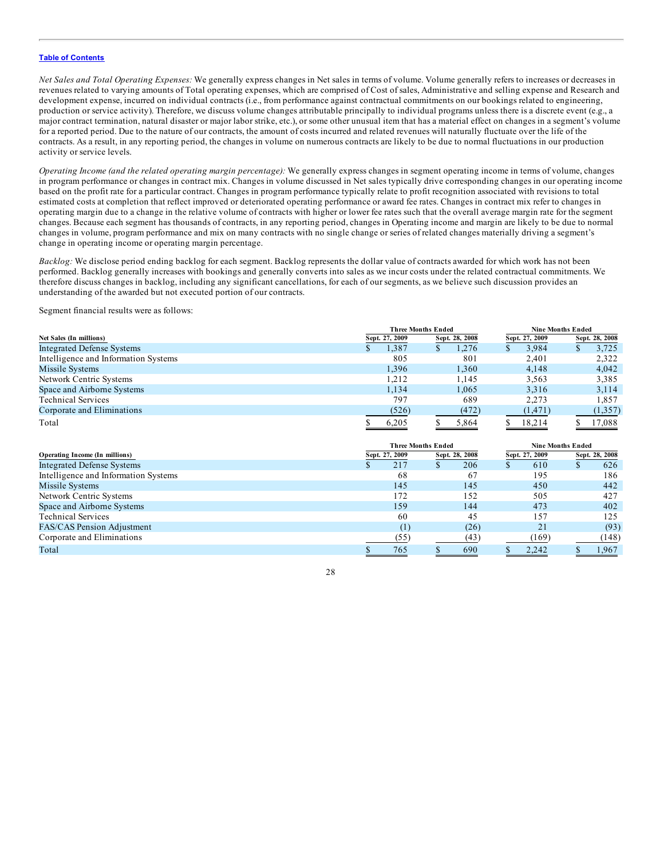*Net Sales and Total Operating Expenses:* We generally express changes in Net sales in terms of volume. Volume generally refers to increases or decreases in revenues related to varying amounts of Total operating expenses, which are comprised of Cost of sales, Administrative and selling expense and Research and development expense, incurred on individual contracts (i.e., from performance against contractual commitments on our bookings related to engineering, production or service activity). Therefore, we discuss volume changes attributable principally to individual programs unless there is a discrete event (e.g., a major contract termination, natural disaster or major labor strike, etc.), or some other unusual item that has a material effect on changes in a segment's volume for a reported period. Due to the nature of our contracts, the amount of costs incurred and related revenues will naturally fluctuate over the life of the contracts. As a result, in any reporting period, the changes in volume on numerous contracts are likely to be due to normal fluctuations in our production activity or service levels.

*Operating Income (and the related operating margin percentage):* We generally express changes in segment operating income in terms of volume, changes in program performance or changes in contract mix. Changes in volume discussed in Net sales typically drive corresponding changes in our operating income based on the profit rate for a particular contract. Changes in program performance typically relate to profit recognition associated with revisions to total estimated costs at completion that reflect improved or deteriorated operating performance or award fee rates. Changes in contract mix refer to changes in operating margin due to a change in the relative volume of contracts with higher or lower fee rates such that the overall average margin rate for the segment changes. Because each segment has thousands of contracts, in any reporting period, changes in Operating income and margin are likely to be due to normal changes in volume, program performance and mix on many contracts with no single change or series of related changes materially driving a segment's change in operating income or operating margin percentage.

*Backlog:* We disclose period ending backlog for each segment. Backlog represents the dollar value of contracts awarded for which work has not been performed. Backlog generally increases with bookings and generally converts into sales as we incur costs under the related contractual commitments. We therefore discuss changes in backlog, including any significant cancellations, for each of our segments, as we believe such discussion provides an understanding of the awarded but not executed portion of our contracts.

Segment financial results were as follows:

|                                      | <b>Three Months Ended</b> |  | <b>Nine Months Ended</b> |   |                |                |         |
|--------------------------------------|---------------------------|--|--------------------------|---|----------------|----------------|---------|
| Net Sales (In millions)              | Sept. 27, 2009            |  | Sept. 28, 2008           |   | Sept. 27, 2009 | Sept. 28, 2008 |         |
| <b>Integrated Defense Systems</b>    | 1,387                     |  | 1,276                    | ъ | 3.984          |                | 3,725   |
| Intelligence and Information Systems | 805                       |  | 801                      |   | 2,401          |                | 2,322   |
| Missile Systems                      | 1.396                     |  | 1,360                    |   | 4.148          |                | 4.042   |
| Network Centric Systems              | 1.212                     |  | 1.145                    |   | 3.563          |                | 3,385   |
| Space and Airborne Systems           | 1.134                     |  | 1.065                    |   | 3.316          |                | 3.114   |
| <b>Technical Services</b>            | 797                       |  | 689                      |   | 2.273          |                | 1,857   |
| Corporate and Eliminations           | (526)                     |  | (472)                    |   | (1, 471)       |                | (1,357) |
| Total                                | 6.205                     |  | 5,864                    |   | 18.214         |                | 17,088  |

|                                       |                                  | <b>Three Months Ended</b> |  | <b>Nine Months Ended</b> |  |                |  |                |  |
|---------------------------------------|----------------------------------|---------------------------|--|--------------------------|--|----------------|--|----------------|--|
| <b>Operating Income (In millions)</b> | Sept. 27, 2009<br>Sept. 28, 2008 |                           |  |                          |  | Sept. 27, 2009 |  | Sept. 28, 2008 |  |
| <b>Integrated Defense Systems</b>     |                                  | 217                       |  | 206                      |  | 610            |  | 626            |  |
| Intelligence and Information Systems  |                                  | 68                        |  | 67                       |  | 195            |  | 186            |  |
| Missile Systems                       |                                  | 145                       |  | 145                      |  | 450            |  | 442            |  |
| Network Centric Systems               |                                  | 172                       |  | 152                      |  | 505            |  | 427            |  |
| Space and Airborne Systems            |                                  | 159                       |  | 144                      |  | 473            |  | 402            |  |
| <b>Technical Services</b>             |                                  | 60                        |  | 45                       |  | 157            |  | 125            |  |
| FAS/CAS Pension Adjustment            |                                  | (1)                       |  | (26)                     |  | 21             |  | (93)           |  |
| Corporate and Eliminations            |                                  | (55)                      |  | (43)                     |  | (169)          |  | (148)          |  |
| Total                                 |                                  | 765                       |  | 690                      |  | 2,242          |  | 1,967          |  |

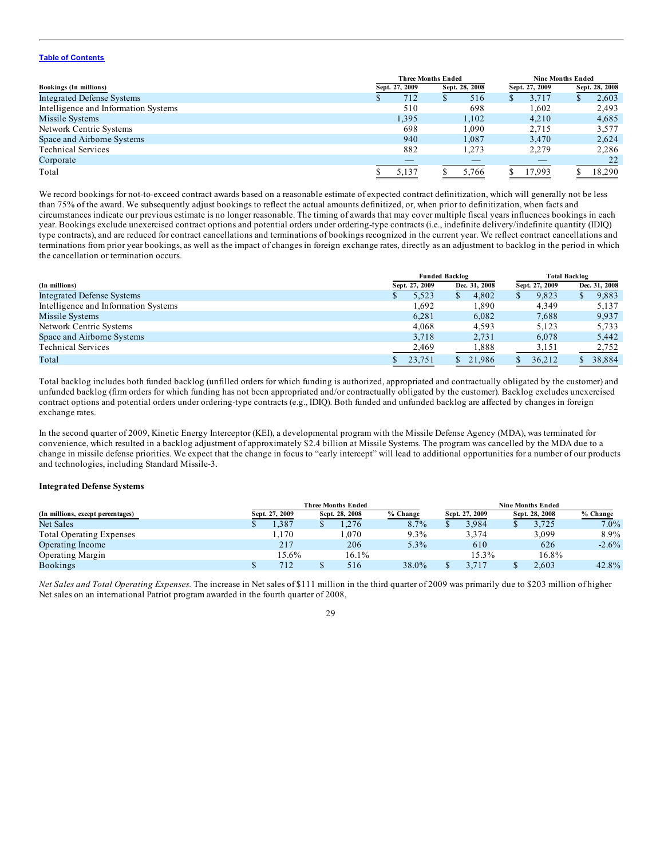|                                      | <b>Three Months Ended</b> | <b>Nine Months Ended</b> |  |                |  |                |
|--------------------------------------|---------------------------|--------------------------|--|----------------|--|----------------|
| <b>Bookings (In millions)</b>        | Sept. 27, 2009            | Sept. 28, 2008           |  | Sept. 27, 2009 |  | Sept. 28, 2008 |
| <b>Integrated Defense Systems</b>    | 712                       | 516                      |  | 3,717          |  | 2,603          |
| Intelligence and Information Systems | 510                       | 698                      |  | 1,602          |  | 2,493          |
| Missile Systems                      | 1.395                     | 1.102                    |  | 4.210          |  | 4,685          |
| Network Centric Systems              | 698                       | 1.090                    |  | 2.715          |  | 3,577          |
| Space and Airborne Systems           | 940                       | 1.087                    |  | 3,470          |  | 2,624          |
| <b>Technical Services</b>            | 882                       | 1,273                    |  | 2,279          |  | 2,286          |
| Corporate                            |                           |                          |  |                |  | 22             |
| Total                                | 5,137                     | 5,766                    |  | 17.993         |  | 18,290         |

We record bookings for not-to-exceed contract awards based on a reasonable estimate of expected contract definitization, which will generally not be less than 75% of the award. We subsequently adjust bookings to reflect the actual amounts definitized, or, when prior to definitization, when facts and circumstances indicate our previous estimate is no longer reasonable. The timing of awards that may cover multiple fiscal years influences bookings in each year. Bookings exclude unexercised contract options and potential orders under ordering-type contracts (i.e., indefinite delivery/indefinite quantity (IDIQ) type contracts), and are reduced for contract cancellations and terminations of bookings recognized in the current year. We reflect contract cancellations and terminations from prior year bookings, as well as the impact of changes in foreign exchange rates, directly as an adjustment to backlog in the period in which the cancellation or termination occurs.

|                                      |                | <b>Funded Backlog</b> | <b>Total Backlog</b> |               |  |  |  |
|--------------------------------------|----------------|-----------------------|----------------------|---------------|--|--|--|
| (In millions)                        | Sept. 27, 2009 | Dec. 31, 2008         | Sept. 27, 2009       | Dec. 31, 2008 |  |  |  |
| Integrated Defense Systems           | 5,523          | 4.802                 | 9.823                | 9,883         |  |  |  |
| Intelligence and Information Systems | 1.692          | 1.890                 | 4,349                | 5,137         |  |  |  |
| Missile Systems                      | 6.281          | 6.082                 | 7,688                | 9.937         |  |  |  |
| Network Centric Systems              | 4.068          | 4.593                 | 5.123                | 5.733         |  |  |  |
| Space and Airborne Systems           | 3.718          | 2.731                 | 6.078                | 5,442         |  |  |  |
| <b>Technical Services</b>            | 2,469          | 1,888                 | 3,151                | 2,752         |  |  |  |
| Total                                | 23,751         | \$21.986              | 36.212               | 38,884        |  |  |  |

Total backlog includes both funded backlog (unfilled orders for which funding is authorized, appropriated and contractually obligated by the customer) and unfunded backlog (firm orders for which funding has not been appropriated and/or contractually obligated by the customer). Backlog excludes unexercised contract options and potential orders under ordering-type contracts (e.g., IDIQ). Both funded and unfunded backlog are affected by changes in foreign exchange rates.

In the second quarter of 2009, Kinetic Energy Interceptor (KEI), a developmental program with the Missile Defense Agency (MDA), was terminated for convenience, which resulted in a backlog adjustment of approximately \$2.4 billion at Missile Systems. The program was cancelled by the MDA due to a change in missile defense priorities. We expect that the change in focus to "early intercept" will lead to additional opportunities for a number of our products and technologies, including Standard Missile-3.

#### **Integrated Defense Systems**

|                                   |                | <b>Three Months Ended</b> |          | <b>Nine Months Ended</b> |                |  |                |          |  |  |
|-----------------------------------|----------------|---------------------------|----------|--------------------------|----------------|--|----------------|----------|--|--|
| (In millions, except percentages) | Sept. 27, 2009 | Sept. 28, 2008            | % Change |                          | Sept. 27, 2009 |  | Sept. 28, 2008 | % Change |  |  |
| Net Sales                         | ,387           | .276                      | 8.7%     |                          | 3.984          |  | 3.725          | $7.0\%$  |  |  |
| <b>Total Operating Expenses</b>   | .170           | 1.070                     | 9.3%     |                          | 3.374          |  | 3.099          | 8.9%     |  |  |
| Operating Income                  | 217            | 206                       | $5.3\%$  |                          | 610            |  | 626            | $-2.6\%$ |  |  |
| <b>Operating Margin</b>           | 15.6%          | 16.1%                     |          |                          | 15.3%          |  | 16.8%          |          |  |  |
| <b>Bookings</b>                   | 712            | 516                       | 38.0%    |                          | ,717           |  | 2.603          | 42.8%    |  |  |

*Net Sales and Total Operating Expenses.* The increase in Net sales of \$111 million in the third quarter of 2009 was primarily due to \$203 million of higher Net sales on an international Patriot program awarded in the fourth quarter of 2008,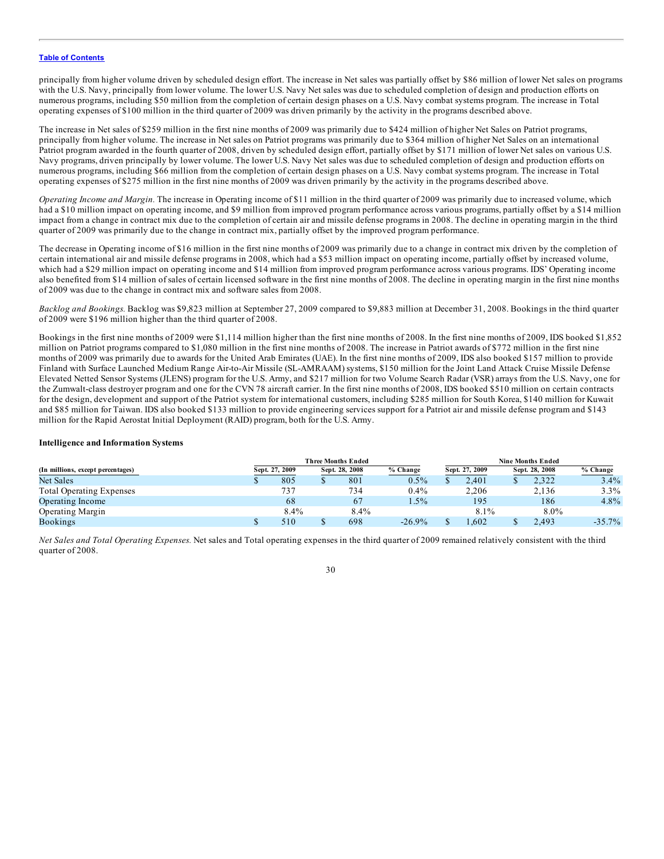principally from higher volume driven by scheduled design effort. The increase in Net sales was partially offset by \$86 million of lower Net sales on programs with the U.S. Navy, principally from lower volume. The lower U.S. Navy Net sales was due to scheduled completion of design and production efforts on numerous programs, including \$50 million from the completion of certain design phases on a U.S. Navy combat systems program. The increase in Total operating expenses of \$100 million in the third quarter of 2009 was driven primarily by the activity in the programs described above.

The increase in Net sales of \$259 million in the first nine months of 2009 was primarily due to \$424 million of higher Net Sales on Patriot programs, principally from higher volume. The increase in Net sales on Patriot programs was primarily due to \$364 million of higher Net Sales on an international Patriot program awarded in the fourth quarter of 2008, driven by scheduled design effort, partially offset by \$171 million of lower Net sales on various U.S. Navy programs, driven principally by lower volume. The lower U.S. Navy Net sales was due to scheduled completion of design and production efforts on numerous programs, including \$66 million from the completion of certain design phases on a U.S. Navy combat systems program. The increase in Total operating expenses of \$275 million in the first nine months of 2009 was driven primarily by the activity in the programs described above.

*Operating Income and Margin.* The increase in Operating income of \$11 million in the third quarter of 2009 was primarily due to increased volume, which had a \$10 million impact on operating income, and \$9 million from improved program performance across various programs, partially offset by a \$14 million impact from a change in contract mix due to the completion of certain air and missile defense programs in 2008. The decline in operating margin in the third quarter of 2009 was primarily due to the change in contract mix, partially offset by the improved program performance.

The decrease in Operating income of \$16 million in the first nine months of 2009 was primarily due to a change in contract mix driven by the completion of certain international air and missile defense programs in 2008, which had a \$53 million impact on operating income, partially offset by increased volume, which had a \$29 million impact on operating income and \$14 million from improved program performance across various programs. IDS' Operating income also benefited from \$14 million of sales of certain licensed software in the first nine months of 2008. The decline in operating margin in the first nine months of 2009 was due to the change in contract mix and software sales from 2008.

*Backlog and Bookings.* Backlog was \$9,823 million at September 27, 2009 compared to \$9,883 million at December 31, 2008. Bookings in the third quarter of 2009 were \$196 million higher than the third quarter of 2008.

Bookings in the first nine months of 2009 were \$1,114 million higher than the first nine months of 2008. In the first nine months of 2009, IDS booked \$1,852 million on Patriot programs compared to \$1,080 million in the first nine months of 2008. The increase in Patriot awards of \$772 million in the first nine months of 2009 was primarily due to awards for the United Arab Emirates (UAE). In the first nine months of 2009, IDS also booked \$157 million to provide Finland with Surface Launched Medium Range Air-to-Air Missile (SL-AMRAAM) systems, \$150 million for the Joint Land Attack Cruise Missile Defense Elevated Netted Sensor Systems (JLENS) program for the U.S. Army, and \$217 million for two Volume Search Radar (VSR) arrays from the U.S. Navy, one for the Zumwalt-class destroyer program and one for the CVN 78 aircraft carrier. In the first nine months of 2008, IDS booked \$510 million on certain contracts for the design, development and support of the Patriot system for international customers, including \$285 million for South Korea, \$140 million for Kuwait and \$85 million for Taiwan. IDS also booked \$133 million to provide engineering services support for a Patriot air and missile defense program and \$143 million for the Rapid Aerostat Initial Deployment (RAID) program, both for the U.S. Army.

#### **Intelligence and Information Systems**

|                                   |                |         |                | <b>Three Months Ended</b> |          | <b>Nine Months Ended</b> |       |                |         |           |  |  |
|-----------------------------------|----------------|---------|----------------|---------------------------|----------|--------------------------|-------|----------------|---------|-----------|--|--|
| (In millions, except percentages) | Sept. 27, 2009 |         | Sept. 28, 2008 |                           | % Change | Sept. 27, 2009           |       | Sept. 28, 2008 |         | % Change  |  |  |
| Net Sales                         |                | 805     |                | 801                       | $0.5\%$  |                          | 2.401 |                | 2.322   | $3.4\%$   |  |  |
| <b>Total Operating Expenses</b>   |                | 737     |                | 734                       | $0.4\%$  |                          | 2,206 |                | 2,136   | $3.3\%$   |  |  |
| Operating Income                  |                | 68      |                | 67                        | $1.5\%$  |                          | 195   |                | 186     | $4.8\%$   |  |  |
| <b>Operating Margin</b>           |                | $8.4\%$ |                | 8.4%                      |          |                          | 8.1%  |                | $8.0\%$ |           |  |  |
| <b>Bookings</b>                   |                | 510     |                | 698                       | $-26.9%$ |                          | .602  |                | 2.493   | $-35.7\%$ |  |  |

*Net Sales and Total Operating Expenses.* Net sales and Total operating expenses in the third quarter of 2009 remained relatively consistent with the third quarter of 2008.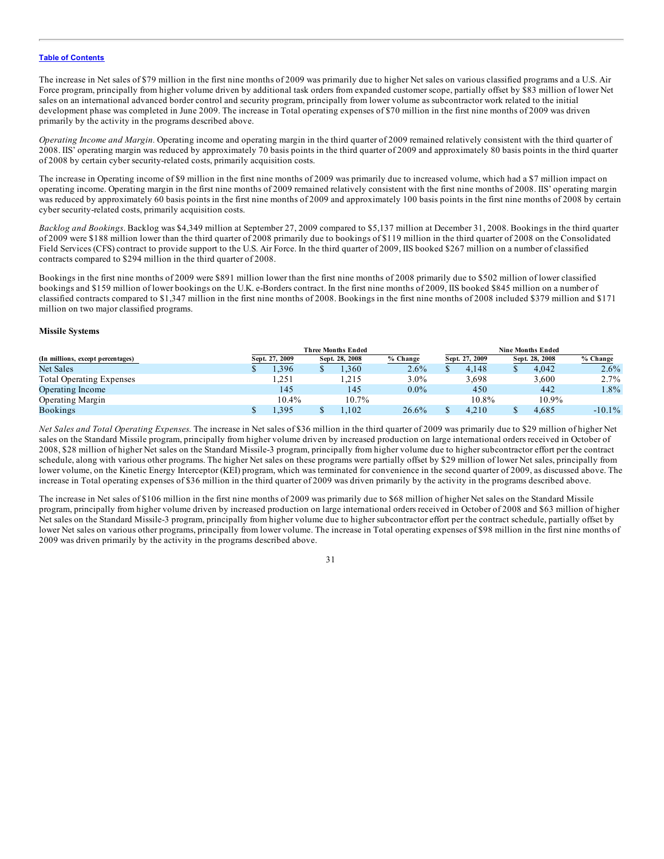The increase in Net sales of \$79 million in the first nine months of 2009 was primarily due to higher Net sales on various classified programs and a U.S. Air Force program, principally from higher volume driven by additional task orders from expanded customer scope, partially offset by \$83 million of lower Net sales on an international advanced border control and security program, principally from lower volume as subcontractor work related to the initial development phase was completed in June 2009. The increase in Total operating expenses of \$70 million in the first nine months of 2009 was driven primarily by the activity in the programs described above.

*Operating Income and Margin.* Operating income and operating margin in the third quarter of 2009 remained relatively consistent with the third quarter of 2008. IIS' operating margin was reduced by approximately 70 basis points in the third quarter of 2009 and approximately 80 basis points in the third quarter of 2008 by certain cyber security-related costs, primarily acquisition costs.

The increase in Operating income of \$9 million in the first nine months of 2009 was primarily due to increased volume, which had a \$7 million impact on operating income. Operating margin in the first nine months of 2009 remained relatively consistent with the first nine months of 2008. IIS' operating margin was reduced by approximately 60 basis points in the first nine months of 2009 and approximately 100 basis points in the first nine months of 2008 by certain cyber security-related costs, primarily acquisition costs.

*Backlog and Bookings*. Backlog was \$4,349 million at September 27, 2009 compared to \$5,137 million at December 31, 2008. Bookings in the third quarter of 2009 were \$188 million lower than the third quarter of 2008 primarily due to bookings of \$119 million in the third quarter of 2008 on the Consolidated Field Services (CFS) contract to provide support to the U.S. Air Force. In the third quarter of 2009, IIS booked \$267 million on a number of classified contracts compared to \$294 million in the third quarter of 2008.

Bookings in the first nine months of 2009 were \$891 million lower than the first nine months of 2008 primarily due to \$502 million of lower classified bookings and \$159 million of lower bookings on the U.K. e-Borders contract. In the first nine months of 2009, IIS booked \$845 million on a number of classified contracts compared to \$1,347 million in the first nine months of 2008. Bookings in the first nine months of 2008 included \$379 million and \$171 million on two major classified programs.

#### **Missile Systems**

|                                   |                |       |                | <b>Three Months Ended</b> |          | <b>Nine Months Ended</b> |       |                |       |           |  |  |
|-----------------------------------|----------------|-------|----------------|---------------------------|----------|--------------------------|-------|----------------|-------|-----------|--|--|
| (In millions, except percentages) | Sept. 27, 2009 |       | Sept. 28, 2008 |                           | % Change | Sept. 27, 2009           |       | Sept. 28, 2008 |       | % Change  |  |  |
| <b>Net Sales</b>                  |                | .396  |                | .360                      | 2.6%     |                          | 4.148 |                | 4.042 | $2.6\%$   |  |  |
| <b>Total Operating Expenses</b>   |                | .251  |                | 1.215                     | $3.0\%$  |                          | 3.698 |                | 3.600 | $2.7\%$   |  |  |
| Operating Income                  |                | 145   |                | 145                       | $0.0\%$  |                          | 450   |                | 442   | $1.8\%$   |  |  |
| <b>Operating Margin</b>           |                | 10.4% |                | $10.7\%$                  |          |                          | 10.8% |                | 10.9% |           |  |  |
| <b>Bookings</b>                   |                | .395  |                | .102                      | 26.6%    |                          | 4.210 |                | 4.685 | $-10.1\%$ |  |  |

*Net Sales and Total Operating Expenses.* The increase in Net sales of \$36 million in the third quarter of 2009 was primarily due to \$29 million of higher Net sales on the Standard Missile program, principally from higher volume driven by increased production on large international orders received in October of 2008, \$28 million of higher Net sales on the Standard Missile-3 program, principally from higher volume due to higher subcontractor effort per the contract schedule, along with various other programs. The higher Net sales on these programs were partially offset by \$29 million of lower Net sales, principally from lower volume, on the Kinetic Energy Interceptor (KEI) program, which was terminated for convenience in the second quarter of 2009, as discussed above. The increase in Total operating expenses of \$36 million in the third quarter of 2009 was driven primarily by the activity in the programs described above.

The increase in Net sales of \$106 million in the first nine months of 2009 was primarily due to \$68 million of higher Net sales on the Standard Missile program, principally from higher volume driven by increased production on large international orders received in October of 2008 and \$63 million of higher Net sales on the Standard Missile-3 program, principally from higher volume due to higher subcontractor effort per the contract schedule, partially offset by lower Net sales on various other programs, principally from lower volume. The increase in Total operating expenses of \$98 million in the first nine months of 2009 was driven primarily by the activity in the programs described above.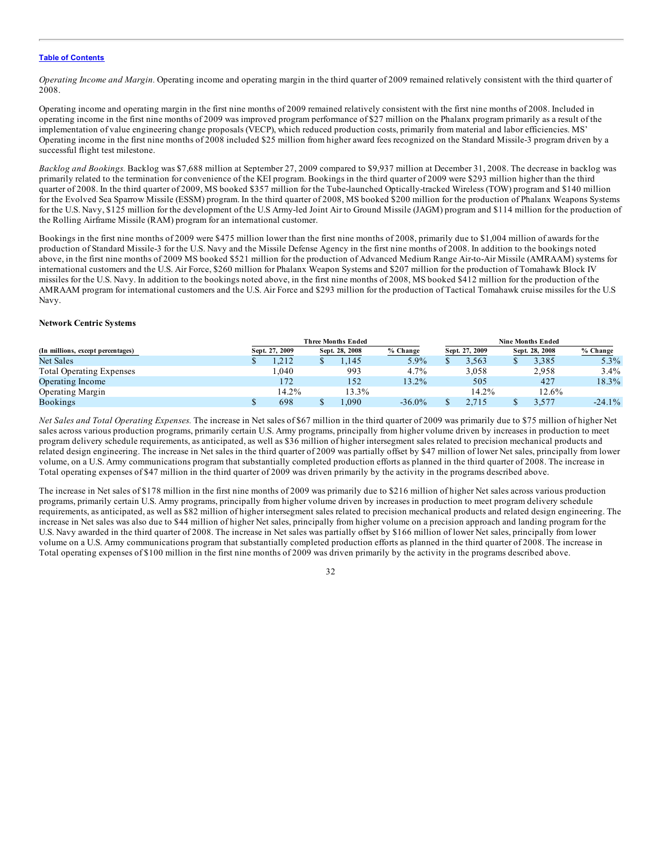*Operating Income and Margin.* Operating income and operating margin in the third quarter of 2009 remained relatively consistent with the third quarter of 2008.

Operating income and operating margin in the first nine months of 2009 remained relatively consistent with the first nine months of 2008. Included in operating income in the first nine months of 2009 was improved program performance of \$27 million on the Phalanx program primarily as a result of the implementation of value engineering change proposals (VECP), which reduced production costs, primarily from material and labor efficiencies. MS' Operating income in the first nine months of 2008 included \$25 million from higher award fees recognized on the Standard Missile-3 program driven by a successful flight test milestone.

*Backlog and Bookings.* Backlog was \$7,688 million at September 27, 2009 compared to \$9,937 million at December 31, 2008. The decrease in backlog was primarily related to the termination for convenience of the KEI program. Bookings in the third quarter of 2009 were \$293 million higher than the third quarter of 2008. In the third quarter of 2009, MS booked \$357 million for the Tube-launched Optically-tracked Wireless (TOW) program and \$140 million for the Evolved Sea Sparrow Missile (ESSM) program. In the third quarter of 2008, MS booked \$200 million for the production of Phalanx Weapons Systems for the U.S. Navy, \$125 million for the development of the U.S Army-led Joint Air to Ground Missile (JAGM) program and \$114 million for the production of the Rolling Airframe Missile (RAM) program for an international customer.

Bookings in the first nine months of 2009 were \$475 million lower than the first nine months of 2008, primarily due to \$1,004 million of awards for the production of Standard Missile-3 for the U.S. Navy and the Missile Defense Agency in the first nine months of 2008. In addition to the bookings noted above, in the first nine months of 2009 MS booked \$521 million for the production of Advanced Medium Range Air-to-Air Missile (AMRAAM) systems for international customers and the U.S. Air Force, \$260 million for Phalanx Weapon Systems and \$207 million for the production of Tomahawk Block IV missiles for the U.S. Navy. In addition to the bookings noted above, in the first nine months of 2008, MS booked \$412 million for the production of the AMRAAM program for international customers and the U.S. Air Force and \$293 million for the production of Tactical Tomahawk cruise missiles for the U.S Navy.

#### **Network Centric Systems**

|                                   |                | <b>Three Months Ended</b> |           | <b>Nine Months Ended</b> |                |  |                |           |  |
|-----------------------------------|----------------|---------------------------|-----------|--------------------------|----------------|--|----------------|-----------|--|
| (In millions, except percentages) | Sept. 27, 2009 | Sept. 28, 2008            | % Change  |                          | Sept. 27, 2009 |  | Sept. 28, 2008 | % Change  |  |
| <b>Net Sales</b>                  | .212           | .145                      | 5.9%      |                          | 3.563          |  | 3,385          | 5.3%      |  |
| <b>Total Operating Expenses</b>   | .040           | 993                       | 4.7%      |                          | 3.058          |  | 2.958          | $3.4\%$   |  |
| Operating Income                  | 172            | 152                       | 13.2%     |                          | 505            |  | 427            | 18.3%     |  |
| <b>Operating Margin</b>           | 14.2%          | 13.3%                     |           |                          | 14.2%          |  | $12.6\%$       |           |  |
| <b>Bookings</b>                   | 698            | .090                      | $-36.0\%$ |                          | 2.715          |  | 3,577          | $-24.1\%$ |  |

*Net Sales and Total Operating Expenses.* The increase in Net sales of \$67 million in the third quarter of 2009 was primarily due to \$75 million of higher Net sales across various production programs, primarily certain U.S. Army programs, principally from higher volume driven by increases in production to meet program delivery schedule requirements, as anticipated, as well as \$36 million of higher intersegment sales related to precision mechanical products and related design engineering. The increase in Net sales in the third quarter of 2009 was partially offset by \$47 million of lower Net sales, principally from lower volume, on a U.S. Army communications program that substantially completed production efforts as planned in the third quarter of 2008. The increase in Total operating expenses of \$47 million in the third quarter of 2009 was driven primarily by the activity in the programs described above.

The increase in Net sales of \$178 million in the first nine months of 2009 was primarily due to \$216 million of higher Net sales across various production programs, primarily certain U.S. Army programs, principally from higher volume driven by increases in production to meet program delivery schedule requirements, as anticipated, as well as \$82 million of higher intersegment sales related to precision mechanical products and related design engineering. The increase in Net sales was also due to \$44 million of higher Net sales, principally from higher volume on a precision approach and landing program for the U.S. Navy awarded in the third quarter of 2008. The increase in Net sales was partially offset by \$166 million of lower Net sales, principally from lower volume on a U.S. Army communications program that substantially completed production efforts as planned in the third quarter of 2008. The increase in Total operating expenses of \$100 million in the first nine months of 2009 was driven primarily by the activity in the programs described above.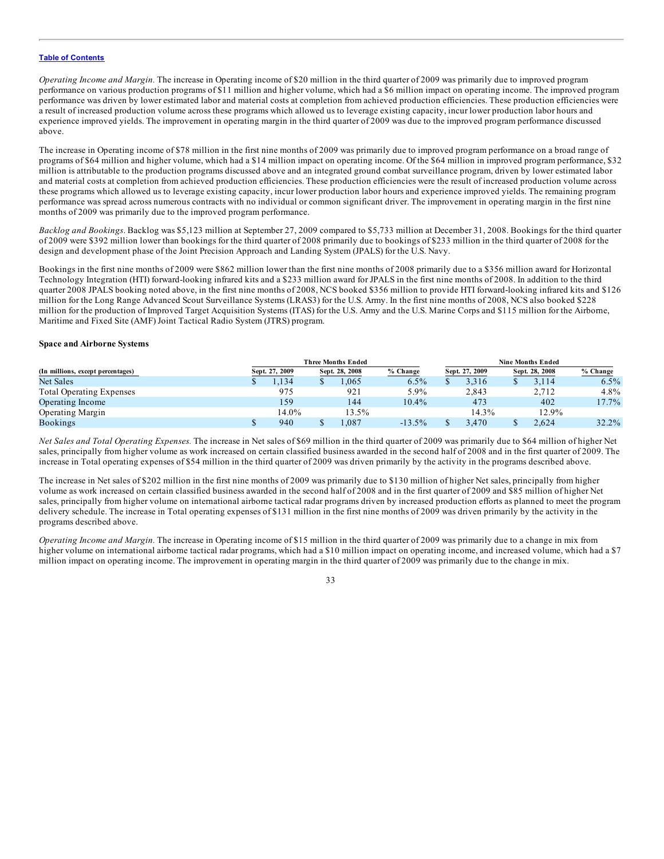*Operating Income and Margin.* The increase in Operating income of \$20 million in the third quarter of 2009 was primarily due to improved program performance on various production programs of \$11 million and higher volume, which had a \$6 million impact on operating income. The improved program performance was driven by lower estimated labor and material costs at completion from achieved production efficiencies. These production efficiencies were a result of increased production volume across these programs which allowed us to leverage existing capacity, incur lower production labor hours and experience improved yields. The improvement in operating margin in the third quarter of 2009 was due to the improved program performance discussed above.

The increase in Operating income of \$78 million in the first nine months of 2009 was primarily due to improved program performance on a broad range of programs of \$64 million and higher volume, which had a \$14 million impact on operating income. Of the \$64 million in improved program performance, \$32 million is attributable to the production programs discussed above and an integrated ground combat surveillance program, driven by lower estimated labor and material costs at completion from achieved production efficiencies. These production efficiencies were the result of increased production volume across these programs which allowed us to leverage existing capacity, incur lower production labor hours and experience improved yields. The remaining program performance was spread across numerous contracts with no individual or common significant driver. The improvement in operating margin in the first nine months of 2009 was primarily due to the improved program performance.

*Backlog and Bookings*. Backlog was \$5,123 million at September 27, 2009 compared to \$5,733 million at December 31, 2008. Bookings for the third quarter of 2009 were \$392 million lower than bookings for the third quarter of 2008 primarily due to bookings of \$233 million in the third quarter of 2008 for the design and development phase of the Joint Precision Approach and Landing System (JPALS) for the U.S. Navy.

Bookings in the first nine months of 2009 were \$862 million lower than the first nine months of 2008 primarily due to a \$356 million award for Horizontal Technology Integration (HTI) forward-looking infrared kits and a \$233 million award for JPALS in the first nine months of 2008. In addition to the third quarter 2008 JPALS booking noted above, in the first nine months of 2008, NCS booked \$356 million to provide HTI forward-looking infrared kits and \$126 million for the Long Range Advanced Scout Surveillance Systems (LRAS3) for the U.S. Army. In the first nine months of 2008, NCS also booked \$228 million for the production of Improved Target Acquisition Systems (ITAS) for the U.S. Army and the U.S. Marine Corps and \$115 million for the Airborne, Maritime and Fixed Site (AMF) Joint Tactical Radio System (JTRS) program.

#### **Space and Airborne Systems**

|                                   |                | <b>Three Months Ended</b> |           |                | <b>Nine Months Ended</b> |          |
|-----------------------------------|----------------|---------------------------|-----------|----------------|--------------------------|----------|
| (In millions, except percentages) | Sept. 27, 2009 | Sept. 28, 2008            | % Change  | Sept. 27, 2009 | Sept. 28, 2008           | % Change |
| Net Sales                         | .134           | .065                      | 6.5%      | 3.316          | 3.114                    | $6.5\%$  |
| <b>Total Operating Expenses</b>   | 975            | 921                       | 5.9%      | 2,843          | 2,712                    | $4.8\%$  |
| Operating Income                  | 159            | 144                       | 10.4%     | 473            | 402                      | 17.7%    |
| <b>Operating Margin</b>           | 14.0%          | 13.5%                     |           | 14.3%          | $12.9\%$                 |          |
| <b>Bookings</b>                   | 940            | .087                      | $-13.5\%$ | 3.470          | 2.624                    | 32.2%    |

*Net Sales and Total Operating Expenses.* The increase in Net sales of \$69 million in the third quarter of 2009 was primarily due to \$64 million of higher Net sales, principally from higher volume as work increased on certain classified business awarded in the second half of 2008 and in the first quarter of 2009. The increase in Total operating expenses of \$54 million in the third quarter of 2009 was driven primarily by the activity in the programs described above.

The increase in Net sales of \$202 million in the first nine months of 2009 was primarily due to \$130 million of higher Net sales, principally from higher volume as work increased on certain classified business awarded in the second half of 2008 and in the first quarter of 2009 and \$85 million of higher Net sales, principally from higher volume on international airborne tactical radar programs driven by increased production efforts as planned to meet the program delivery schedule. The increase in Total operating expenses of \$131 million in the first nine months of 2009 was driven primarily by the activity in the programs described above.

*Operating Income and Margin.* The increase in Operating income of \$15 million in the third quarter of 2009 was primarily due to a change in mix from higher volume on international airborne tactical radar programs, which had a \$10 million impact on operating income, and increased volume, which had a \$7 million impact on operating income. The improvement in operating margin in the third quarter of 2009 was primarily due to the change in mix.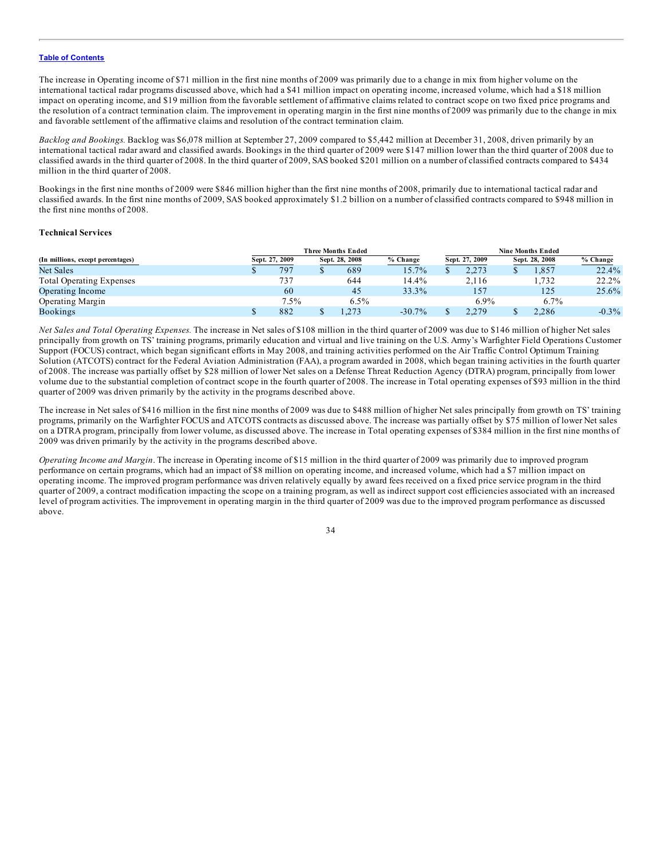The increase in Operating income of \$71 million in the first nine months of 2009 was primarily due to a change in mix from higher volume on the international tactical radar programs discussed above, which had a \$41 million impact on operating income, increased volume, which had a \$18 million impact on operating income, and \$19 million from the favorable settlement of affirmative claims related to contract scope on two fixed price programs and the resolution of a contract termination claim. The improvement in operating margin in the first nine months of 2009 was primarily due to the change in mix and favorable settlement of the affirmative claims and resolution of the contract termination claim.

*Backlog and Bookings.* Backlog was \$6,078 million at September 27, 2009 compared to \$5,442 million at December 31, 2008, driven primarily by an international tactical radar award and classified awards. Bookings in the third quarter of 2009 were \$147 million lower than the third quarter of 2008 due to classified awards in the third quarter of 2008. In the third quarter of 2009, SAS booked \$201 million on a number of classified contracts compared to \$434 million in the third quarter of 2008.

Bookings in the first nine months of 2009 were \$846 million higher than the first nine months of 2008, primarily due to international tactical radar and classified awards. In the first nine months of 2009, SAS booked approximately \$1.2 billion on a number of classified contracts compared to \$948 million in the first nine months of 2008.

#### **Technical Services**

|                                   | <b>Three Months Ended</b> |                |  |                |           | <b>Nine Months Ended</b> |                |  |                |          |
|-----------------------------------|---------------------------|----------------|--|----------------|-----------|--------------------------|----------------|--|----------------|----------|
| (In millions, except percentages) |                           | Sept. 27, 2009 |  | Sept. 28, 2008 | % Change  |                          | Sept. 27, 2009 |  | Sept. 28, 2008 | % Change |
| <b>Net Sales</b>                  |                           | 797            |  | 689            | 15.7%     |                          | 2.273          |  | 1.857          | 22.4%    |
| <b>Total Operating Expenses</b>   |                           | 737            |  | 644            | 14.4%     |                          | 2.116          |  | 1.732          | 22.2%    |
| Operating Income                  |                           | 60             |  | 45             | 33.3%     |                          | 157            |  | 125            | 25.6%    |
| <b>Operating Margin</b>           |                           | $7.5\%$        |  | $6.5\%$        |           |                          | $6.9\%$        |  | 6.7%           |          |
| <b>Bookings</b>                   |                           | 882            |  | .273           | $-30.7\%$ |                          | 2.279          |  | 2.286          | $-0.3\%$ |

*Net Sales and Total Operating Expenses.* The increase in Net sales of \$108 million in the third quarter of 2009 was due to \$146 million of higher Net sales principally from growth on TS' training programs, primarily education and virtual and live training on the U.S. Army's Warfighter Field Operations Customer Support (FOCUS) contract, which began significant efforts in May 2008, and training activities performed on the Air Traffic Control Optimum Training Solution (ATCOTS) contract for the Federal Aviation Administration (FAA), a program awarded in 2008, which began training activities in the fourth quarter of 2008. The increase was partially offset by \$28 million of lower Net sales on a Defense Threat Reduction Agency (DTRA) program, principally from lower volume due to the substantial completion of contract scope in the fourth quarter of 2008. The increase in Total operating expenses of \$93 million in the third quarter of 2009 was driven primarily by the activity in the programs described above.

The increase in Net sales of \$416 million in the first nine months of 2009 was due to \$488 million of higher Net sales principally from growth on TS' training programs, primarily on the Warfighter FOCUS and ATCOTS contracts as discussed above. The increase was partially offset by \$75 million of lower Net sales on a DTRA program, principally from lower volume, as discussed above. The increase in Total operating expenses of \$384 million in the first nine months of 2009 was driven primarily by the activity in the programs described above.

*Operating Income and Margin*. The increase in Operating income of \$15 million in the third quarter of 2009 was primarily due to improved program performance on certain programs, which had an impact of \$8 million on operating income, and increased volume, which had a \$7 million impact on operating income. The improved program performance was driven relatively equally by award fees received on a fixed price service program in the third quarter of 2009, a contract modification impacting the scope on a training program, as well as indirect support cost efficiencies associated with an increased level of program activities. The improvement in operating margin in the third quarter of 2009 was due to the improved program performance as discussed above.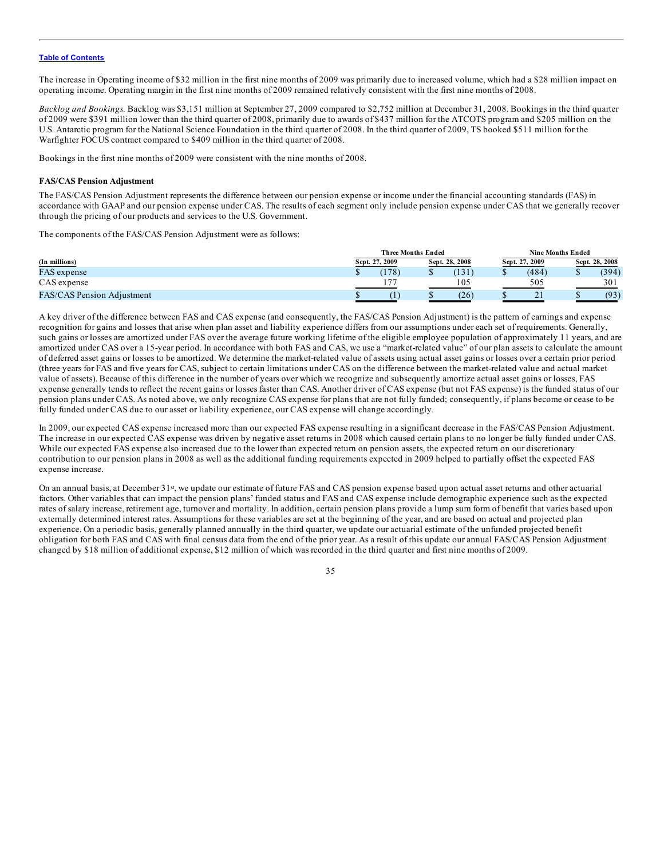The increase in Operating income of \$32 million in the first nine months of 2009 was primarily due to increased volume, which had a \$28 million impact on operating income. Operating margin in the first nine months of 2009 remained relatively consistent with the first nine months of 2008.

*Backlog and Bookings.* Backlog was \$3,151 million at September 27, 2009 compared to \$2,752 million at December 31, 2008. Bookings in the third quarter of 2009 were \$391 million lower than the third quarter of 2008, primarily due to awards of \$437 million for the ATCOTS program and \$205 million on the U.S. Antarctic program for the National Science Foundation in the third quarter of 2008. In the third quarter of 2009, TS booked \$511 million for the Warfighter FOCUS contract compared to \$409 million in the third quarter of 2008.

Bookings in the first nine months of 2009 were consistent with the nine months of 2008.

#### **FAS/CAS Pension Adjustment**

The FAS/CAS Pension Adjustment represents the difference between our pension expense or income under the financial accounting standards (FAS) in accordance with GAAP and our pension expense under CAS. The results of each segment only include pension expense under CAS that we generally recover through the pricing of our products and services to the U.S. Government.

The components of the FAS/CAS Pension Adjustment were as follows:

|                                   | <b>Three Months Ended</b> |  |                |  |                | <b>Nine Months Ended</b> |                |  |  |
|-----------------------------------|---------------------------|--|----------------|--|----------------|--------------------------|----------------|--|--|
| (In millions)                     | Sept. 27, 2009            |  | Sept. 28, 2008 |  | Sept. 27, 2009 |                          | Sept. 28, 2008 |  |  |
| <b>FAS</b> expense                | (178)                     |  | (131)          |  | (484)          |                          | (394)          |  |  |
| CAS expense                       | $\overline{\phantom{m}}$  |  | 105            |  | 505            |                          | 301            |  |  |
| <b>FAS/CAS Pension Adjustment</b> |                           |  | (26)           |  |                |                          | (93)           |  |  |

A key driver of the difference between FAS and CAS expense (and consequently, the FAS/CAS Pension Adjustment) is the pattern of earnings and expense recognition for gains and losses that arise when plan asset and liability experience differs from our assumptions under each set of requirements. Generally, such gains or losses are amortized under FAS over the average future working lifetime of the eligible employee population of approximately 11 years, and are amortized under CAS over a 15-year period. In accordance with both FAS and CAS, we use a "market-related value" of our plan assets to calculate the amount of deferred asset gains or losses to be amortized. We determine the market-related value of assets using actual asset gains or losses over a certain prior period (three years for FAS and five years for CAS, subject to certain limitations under CAS on the difference between the market-related value and actual market value of assets). Because of this difference in the number of years over which we recognize and subsequently amortize actual asset gains or losses, FAS expense generally tends to reflect the recent gains or losses faster than CAS. Another driver of CAS expense (but not FAS expense) is the funded status of our pension plans under CAS. As noted above, we only recognize CAS expense for plans that are not fully funded; consequently, if plans become or cease to be fully funded under CAS due to our asset or liability experience, our CAS expense will change accordingly.

In 2009, our expected CAS expense increased more than our expected FAS expense resulting in a significant decrease in the FAS/CAS Pension Adjustment. The increase in our expected CAS expense was driven by negative asset returns in 2008 which caused certain plans to no longer be fully funded under CAS. While our expected FAS expense also increased due to the lower than expected return on pension assets, the expected return on our discretionary contribution to our pension plans in 2008 as well as the additional funding requirements expected in 2009 helped to partially offset the expected FAS expense increase.

On an annual basis, at December 31st, we update our estimate of future FAS and CAS pension expense based upon actual asset returns and other actuarial factors. Other variables that can impact the pension plans' funded status and FAS and CAS expense include demographic experience such as the expected rates of salary increase, retirement age, turnover and mortality. In addition, certain pension plans provide a lump sum form of benefit that varies based upon externally determined interest rates. Assumptions for these variables are set at the beginning of the year, and are based on actual and projected plan experience. On a periodic basis, generally planned annually in the third quarter, we update our actuarial estimate of the unfunded projected benefit obligation for both FAS and CAS with final census data from the end of the prior year. As a result of this update our annual FAS/CAS Pension Adjustment changed by \$18 million of additional expense, \$12 million of which was recorded in the third quarter and first nine months of 2009.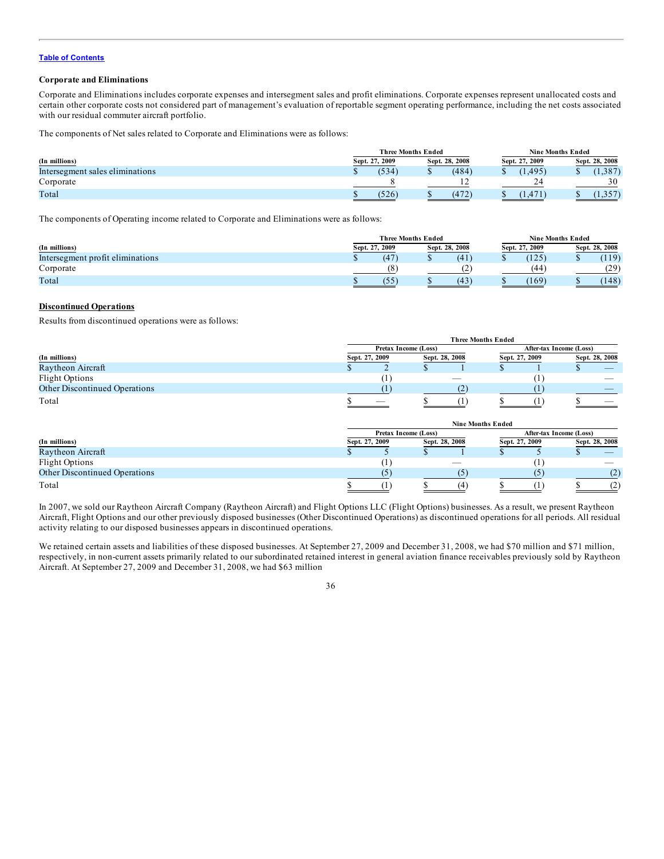#### **Corporate and Eliminations**

Corporate and Eliminations includes corporate expenses and intersegment sales and profit eliminations. Corporate expenses represent unallocated costs and certain other corporate costs not considered part of management's evaluation of reportable segment operating performance, including the net costs associated with our residual commuter aircraft portfolio.

The components of Net sales related to Corporate and Eliminations were as follows:

|                                 | <b>Three Months Ended</b> |  | <b>Nine Months Ended</b> |                |  |                |
|---------------------------------|---------------------------|--|--------------------------|----------------|--|----------------|
| (In millions)                   | Sept. 27. 2009            |  | Sept. 28, 2008           | Sept. 27, 2009 |  | Sept. 28, 2008 |
| Intersegment sales eliminations | (534)                     |  | (484)                    | .495           |  | 1,387          |
| Corporate                       |                           |  |                          | 24             |  | 30             |
| Total                           | (526)                     |  | (472)                    | 4.471          |  |                |

The components of Operating income related to Corporate and Eliminations were as follows:

|                                  | <b>Three Months Ended</b> |  |                |  |                | <b>Nine Months Ended</b> |                |  |  |
|----------------------------------|---------------------------|--|----------------|--|----------------|--------------------------|----------------|--|--|
| (In millions)                    | Sept. 27, 2009            |  | Sept. 28, 2008 |  | Sept. 27, 2009 |                          | Sept. 28, 2008 |  |  |
| Intersegment profit eliminations | $^{\prime}4$ ,            |  | (41)           |  |                |                          | (119)          |  |  |
| Corporate                        | 68                        |  |                |  | 44             |                          | (29)           |  |  |
| Total                            | (55                       |  | (43            |  | 169            |                          | (148)          |  |  |

#### **Discontinued Operations**

Results from discontinued operations were as follows:

|                                      |                | <b>Three Months Ended</b> |                |                |  |  |  |  |  |  |
|--------------------------------------|----------------|---------------------------|----------------|----------------|--|--|--|--|--|--|
|                                      |                | Pretax Income (Loss)      |                |                |  |  |  |  |  |  |
| (In millions)                        | Sept. 27, 2009 | Sept. 28, 2008            | Sept. 27, 2009 | Sept. 28, 2008 |  |  |  |  |  |  |
| Raytheon Aircraft                    | ∼              |                           |                |                |  |  |  |  |  |  |
| <b>Flight Options</b>                |                |                           |                |                |  |  |  |  |  |  |
| <b>Other Discontinued Operations</b> |                |                           |                |                |  |  |  |  |  |  |
| Total                                |                |                           |                |                |  |  |  |  |  |  |

|                                      | <b>Nine Months Ended</b> |                             |                |        |  |                |  |                         |  |
|--------------------------------------|--------------------------|-----------------------------|----------------|--------|--|----------------|--|-------------------------|--|
|                                      |                          | <b>Pretax Income (Loss)</b> |                |        |  |                |  | After-tax Income (Loss) |  |
| (In millions)                        | Sept. 27, 2009           |                             | Sept. 28, 2008 |        |  | Sept. 27, 2009 |  | Sept. 28, 2008          |  |
| Raytheon Aircraft                    |                          |                             |                |        |  |                |  |                         |  |
| Flight Options                       |                          |                             |                | $\sim$ |  |                |  |                         |  |
| <b>Other Discontinued Operations</b> |                          |                             |                |        |  |                |  | (2)                     |  |
| Total                                |                          |                             |                | (4)    |  |                |  | (2)                     |  |

In 2007, we sold our Raytheon Aircraft Company (Raytheon Aircraft) and Flight Options LLC (Flight Options) businesses. As a result, we present Raytheon Aircraft, Flight Options and our other previously disposed businesses (Other Discontinued Operations) as discontinued operations for all periods. All residual activity relating to our disposed businesses appears in discontinued operations.

We retained certain assets and liabilities of these disposed businesses. At September 27, 2009 and December 31, 2008, we had \$70 million and \$71 million, respectively, in non-current assets primarily related to our subordinated retained interest in general aviation finance receivables previously sold by Raytheon Aircraft. At September 27, 2009 and December 31, 2008, we had \$63 million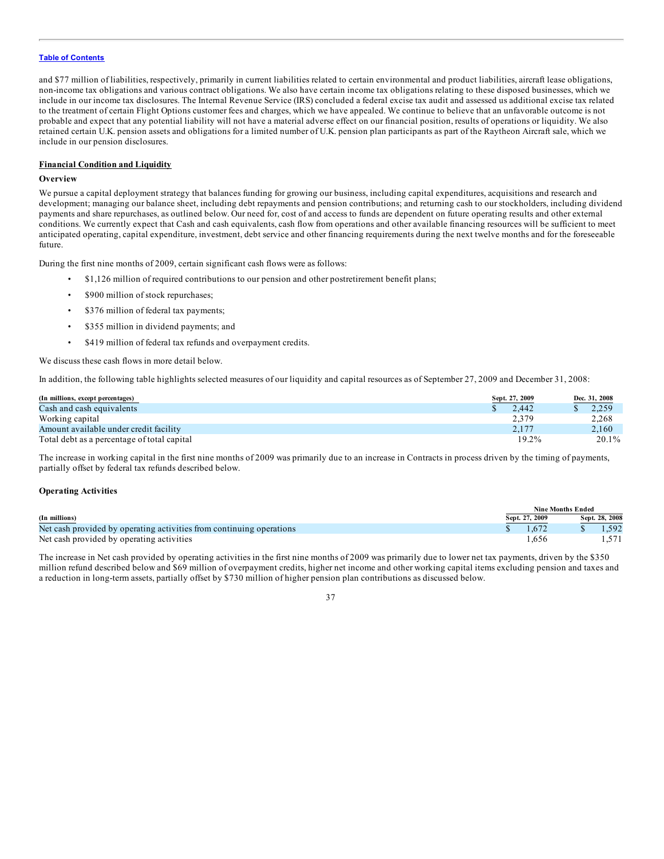and \$77 million of liabilities, respectively, primarily in current liabilities related to certain environmental and product liabilities, aircraft lease obligations, non-income tax obligations and various contract obligations. We also have certain income tax obligations relating to these disposed businesses, which we include in our income tax disclosures. The Internal Revenue Service (IRS) concluded a federal excise tax audit and assessed us additional excise tax related to the treatment of certain Flight Options customer fees and charges, which we have appealed. We continue to believe that an unfavorable outcome is not probable and expect that any potential liability will not have a material adverse effect on our financial position, results of operations or liquidity. We also retained certain U.K. pension assets and obligations for a limited number of U.K. pension plan participants as part of the Raytheon Aircraft sale, which we include in our pension disclosures.

#### **Financial Condition and Liquidity**

#### **Overview**

We pursue a capital deployment strategy that balances funding for growing our business, including capital expenditures, acquisitions and research and development; managing our balance sheet, including debt repayments and pension contributions; and returning cash to our stockholders, including dividend payments and share repurchases, as outlined below. Our need for, cost of and access to funds are dependent on future operating results and other external conditions. We currently expect that Cash and cash equivalents, cash flow from operations and other available financing resources will be sufficient to meet anticipated operating, capital expenditure, investment, debt service and other financing requirements during the next twelve months and for the foreseeable future.

During the first nine months of 2009, certain significant cash flows were as follows:

- \$1,126 million of required contributions to our pension and other postretirement benefit plans;
- \$900 million of stock repurchases;
- \$376 million of federal tax payments;
- \$355 million in dividend payments; and
- \$419 million of federal tax refunds and overpayment credits.

We discuss these cash flows in more detail below.

In addition, the following table highlights selected measures of our liquidity and capital resources as of September 27, 2009 and December 31, 2008:

| (In millions, except percentages)           | Sept. 27, 2009 | Dec. 31, 2008 |
|---------------------------------------------|----------------|---------------|
| Cash and cash equivalents                   | 2.442          | 2.259         |
| Working capital                             | 2.379          | 2,268         |
| Amount available under credit facility      | 2.177          | 2.160         |
| Total debt as a percentage of total capital | $19.2\%$       | $20.1\%$      |

The increase in working capital in the first nine months of 2009 was primarily due to an increase in Contracts in process driven by the timing of payments, partially offset by federal tax refunds described below.

#### **Operating Activities**

|                                                                      |                | <b>Nine Months Ended</b> |
|----------------------------------------------------------------------|----------------|--------------------------|
| (In millions)                                                        | Sept. 27, 2009 | Sept. 28, 2008           |
| Net cash provided by operating activities from continuing operations | 1.672          | 1.592                    |
| Net cash provided by operating activities                            |                |                          |

The increase in Net cash provided by operating activities in the first nine months of 2009 was primarily due to lower net tax payments, driven by the \$350 million refund described below and \$69 million of overpayment credits, higher net income and other working capital items excluding pension and taxes and a reduction in long-term assets, partially offset by \$730 million of higher pension plan contributions as discussed below.

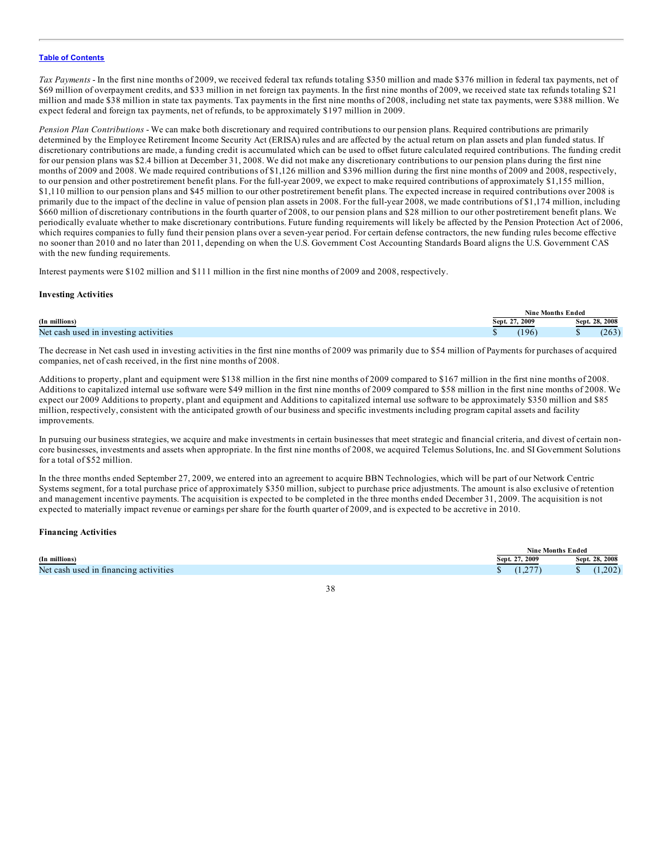*Tax Payments* - In the first nine months of 2009, we received federal tax refunds totaling \$350 million and made \$376 million in federal tax payments, net of \$69 million of overpayment credits, and \$33 million in net foreign tax payments. In the first nine months of 2009, we received state tax refunds totaling \$21 million and made \$38 million in state tax payments. Tax payments in the first nine months of 2008, including net state tax payments, were \$388 million. We expect federal and foreign tax payments, net of refunds, to be approximately \$197 million in 2009.

*Pension Plan Contributions* - We can make both discretionary and required contributions to our pension plans. Required contributions are primarily determined by the Employee Retirement Income Security Act (ERISA) rules and are affected by the actual return on plan assets and plan funded status. If discretionary contributions are made, a funding credit is accumulated which can be used to offset future calculated required contributions. The funding credit for our pension plans was \$2.4 billion at December 31, 2008. We did not make any discretionary contributions to our pension plans during the first nine months of 2009 and 2008. We made required contributions of \$1,126 million and \$396 million during the first nine months of 2009 and 2008, respectively, to our pension and other postretirement benefit plans. For the full-year 2009, we expect to make required contributions of approximately \$1,155 million, \$1,110 million to our pension plans and \$45 million to our other postretirement benefit plans. The expected increase in required contributions over 2008 is primarily due to the impact of the decline in value of pension plan assets in 2008. For the full-year 2008, we made contributions of \$1,174 million, including \$660 million of discretionary contributions in the fourth quarter of 2008, to our pension plans and \$28 million to our other postretirement benefit plans. We periodically evaluate whether to make discretionary contributions. Future funding requirements will likely be affected by the Pension Protection Act of 2006, which requires companies to fully fund their pension plans over a seven-year period. For certain defense contractors, the new funding rules become effective no sooner than 2010 and no later than 2011, depending on when the U.S. Government Cost Accounting Standards Board aligns the U.S. Government CAS with the new funding requirements.

Interest payments were \$102 million and \$111 million in the first nine months of 2009 and 2008, respectively.

#### **Investing Activities**

|                                       |                | Nine Months Ended |  |  |
|---------------------------------------|----------------|-------------------|--|--|
| (In millions)                         | Sept. 27, 2009 | Sept. 28, 2008    |  |  |
| Net cash used in investing activities |                | (263)             |  |  |

The decrease in Net cash used in investing activities in the first nine months of 2009 was primarily due to \$54 million of Payments for purchases of acquired companies, net of cash received, in the first nine months of 2008.

Additions to property, plant and equipment were \$138 million in the first nine months of 2009 compared to \$167 million in the first nine months of 2008. Additions to capitalized internal use software were \$49 million in the first nine months of 2009 compared to \$58 million in the first nine months of 2008. We expect our 2009 Additions to property, plant and equipment and Additions to capitalized internal use software to be approximately \$350 million and \$85 million, respectively, consistent with the anticipated growth of our business and specific investments including program capital assets and facility improvements.

In pursuing our business strategies, we acquire and make investments in certain businesses that meet strategic and financial criteria, and divest of certain noncore businesses, investments and assets when appropriate. In the first nine months of 2008, we acquired Telemus Solutions, Inc. and SI Government Solutions for a total of \$52 million.

In the three months ended September 27, 2009, we entered into an agreement to acquire BBN Technologies, which will be part of our Network Centric Systems segment, for a total purchase price of approximately \$350 million, subject to purchase price adjustments. The amount is also exclusive of retention and management incentive payments. The acquisition is expected to be completed in the three months ended December 31, 2009. The acquisition is not expected to materially impact revenue or earnings per share for the fourth quarter of 2009, and is expected to be accretive in 2010.

#### **Financing Activities**

|                                       |                | Nine Months Ended |  |                |  |  |  |  |
|---------------------------------------|----------------|-------------------|--|----------------|--|--|--|--|
| (In millions)                         | Sept. 27, 2009 |                   |  | Sept. 28, 2008 |  |  |  |  |
| Net cash used in financing activities |                | $\overline{1}$    |  | .1,202)        |  |  |  |  |

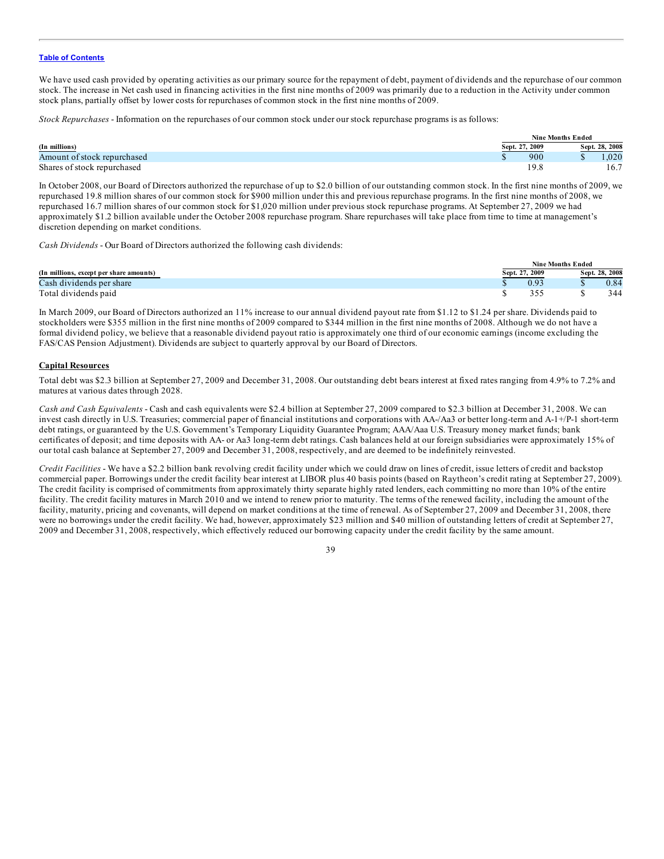We have used cash provided by operating activities as our primary source for the repayment of debt, payment of dividends and the repurchase of our common stock. The increase in Net cash used in financing activities in the first nine months of 2009 was primarily due to a reduction in the Activity under common stock plans, partially offset by lower costs for repurchases of common stock in the first nine months of 2009.

*Stock Repurchases* - Information on the repurchases of our common stock under our stock repurchase programs is as follows:

|                             |                | <b>Nine Months Ended</b> |  |  |  |  |  |  |
|-----------------------------|----------------|--------------------------|--|--|--|--|--|--|
| (In millions)               | Sept. 27, 2009 | Sept. 28, 2008           |  |  |  |  |  |  |
| Amount of stock repurchased | 900            | .020                     |  |  |  |  |  |  |
| Shares of stock repurchased | 19.8           | 16.7                     |  |  |  |  |  |  |

In October 2008, our Board of Directors authorized the repurchase of up to \$2.0 billion of our outstanding common stock. In the first nine months of 2009, we repurchased 19.8 million shares of our common stock for \$900 million under this and previous repurchase programs. In the first nine months of 2008, we repurchased 16.7 million shares of our common stock for \$1,020 million under previous stock repurchase programs. At September 27, 2009 we had approximately \$1.2 billion available under the October 2008 repurchase program. Share repurchases will take place from time to time at management's discretion depending on market conditions.

*Cash Dividends* - Our Board of Directors authorized the following cash dividends:

|                                         |                | <b>Nine Months Ended</b> |
|-----------------------------------------|----------------|--------------------------|
| (In millions, except per share amounts) | Sept. 27, 2009 | Sept. 28, 2008           |
| Cash dividends per share                | 0.93           | 0.84                     |
| Total dividends paid                    |                | 344                      |

In March 2009, our Board of Directors authorized an 11% increase to our annual dividend payout rate from \$1.12 to \$1.24 per share. Dividends paid to stockholders were \$355 million in the first nine months of 2009 compared to \$344 million in the first nine months of 2008. Although we do not have a formal dividend policy, we believe that a reasonable dividend payout ratio is approximately one third of our economic earnings (income excluding the FAS/CAS Pension Adjustment). Dividends are subject to quarterly approval by our Board of Directors.

#### **Capital Resources**

Total debt was \$2.3 billion at September 27, 2009 and December 31, 2008. Our outstanding debt bears interest at fixed rates ranging from 4.9% to 7.2% and matures at various dates through 2028.

*Cash and Cash Equivalents* - Cash and cash equivalents were \$2.4 billion at September 27, 2009 compared to \$2.3 billion at December 31, 2008. We can invest cash directly in U.S. Treasuries; commercial paper of financial institutions and corporations with AA-/Aa3 or better long-term and A-1+/P-1 short-term debt ratings, or guaranteed by the U.S. Government's Temporary Liquidity Guarantee Program; AAA/Aaa U.S. Treasury money market funds; bank certificates of deposit; and time deposits with AA- or Aa3 long-term debt ratings. Cash balances held at our foreign subsidiaries were approximately 15% of our total cash balance at September 27, 2009 and December 31, 2008, respectively, and are deemed to be indefinitely reinvested.

*Credit Facilities* - We have a \$2.2 billion bank revolving credit facility under which we could draw on lines of credit, issue letters of credit and backstop commercial paper. Borrowings under the credit facility bear interest at LIBOR plus 40 basis points (based on Raytheon's credit rating at September 27, 2009). The credit facility is comprised of commitments from approximately thirty separate highly rated lenders, each committing no more than 10% of the entire facility. The credit facility matures in March 2010 and we intend to renew prior to maturity. The terms of the renewed facility, including the amount of the facility, maturity, pricing and covenants, will depend on market conditions at the time of renewal. As of September 27, 2009 and December 31, 2008, there were no borrowings under the credit facility. We had, however, approximately \$23 million and \$40 million of outstanding letters of credit at September 27, 2009 and December 31, 2008, respectively, which effectively reduced our borrowing capacity under the credit facility by the same amount.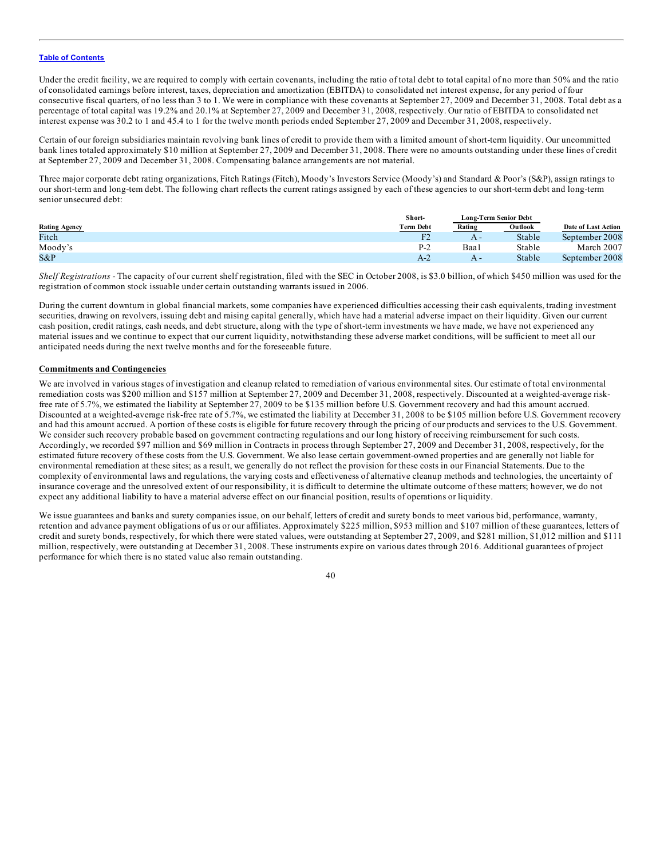Under the credit facility, we are required to comply with certain covenants, including the ratio of total debt to total capital of no more than 50% and the ratio of consolidated earnings before interest, taxes, depreciation and amortization (EBITDA) to consolidated net interest expense, for any period of four consecutive fiscal quarters, of no less than 3 to 1. We were in compliance with these covenants at September 27, 2009 and December 31, 2008. Total debt as a percentage of total capital was 19.2% and 20.1% at September 27, 2009 and December 31, 2008, respectively. Our ratio of EBITDA to consolidated net interest expense was 30.2 to 1 and 45.4 to 1 for the twelve month periods ended September 27, 2009 and December 31, 2008, respectively.

Certain of our foreign subsidiaries maintain revolving bank lines of credit to provide them with a limited amount of short-term liquidity. Our uncommitted bank lines totaled approximately \$10 million at September 27, 2009 and December 31, 2008. There were no amounts outstanding under these lines of credit at September 27, 2009 and December 31, 2008. Compensating balance arrangements are not material.

Three major corporate debt rating organizations, Fitch Ratings (Fitch), Moody's Investors Service (Moody's) and Standard & Poor's (S&P), assign ratings to our short-term and long-tem debt. The following chart reflects the current ratings assigned by each of these agencies to our short-term debt and long-term senior unsecured debt:

|                      | Short-           |        | <b>Long-Term Senior Debt</b> |                     |
|----------------------|------------------|--------|------------------------------|---------------------|
| <b>Rating Agency</b> | <b>Term Debt</b> | Rating | Outlook                      | Date of Last Action |
| Fitch                | F2               | $A -$  | Stable                       | September 2008      |
| Moody's              | $P-2$            | Baa)   | Stable                       | March 2007          |
| S&P                  | A-2              |        | Stable                       | September 2008      |

*Shelf Registrations* - The capacity of our current shelf registration, filed with the SEC in October 2008, is \$3.0 billion, of which \$450 million was used for the registration of common stock issuable under certain outstanding warrants issued in 2006.

During the current downturn in global financial markets, some companies have experienced difficulties accessing their cash equivalents, trading investment securities, drawing on revolvers, issuing debt and raising capital generally, which have had a material adverse impact on their liquidity. Given our current cash position, credit ratings, cash needs, and debt structure, along with the type of short-term investments we have made, we have not experienced any material issues and we continue to expect that our current liquidity, notwithstanding these adverse market conditions, will be sufficient to meet all our anticipated needs during the next twelve months and for the foreseeable future.

#### **Commitments and Contingencies**

We are involved in various stages of investigation and cleanup related to remediation of various environmental sites. Our estimate of total environmental remediation costs was \$200 million and \$157 million at September 27, 2009 and December 31, 2008, respectively. Discounted at a weighted-average riskfree rate of 5.7%, we estimated the liability at September 27, 2009 to be \$135 million before U.S. Government recovery and had this amount accrued. Discounted at a weighted-average risk-free rate of 5.7%, we estimated the liability at December 31, 2008 to be \$105 million before U.S. Government recovery and had this amount accrued. A portion of these costs is eligible for future recovery through the pricing of our products and services to the U.S. Government. We consider such recovery probable based on government contracting regulations and our long history of receiving reimbursement for such costs. Accordingly, we recorded \$97 million and \$69 million in Contracts in process through September 27, 2009 and December 31, 2008, respectively, for the estimated future recovery of these costs from the U.S. Government. We also lease certain government-owned properties and are generally not liable for environmental remediation at these sites; as a result, we generally do not reflect the provision for these costs in our Financial Statements. Due to the complexity of environmental laws and regulations, the varying costs and effectiveness of alternative cleanup methods and technologies, the uncertainty of insurance coverage and the unresolved extent of our responsibility, it is difficult to determine the ultimate outcome of these matters; however, we do not expect any additional liability to have a material adverse effect on our financial position, results of operations or liquidity.

We issue guarantees and banks and surety companies issue, on our behalf, letters of credit and surety bonds to meet various bid, performance, warranty, retention and advance payment obligations of us or our affiliates. Approximately \$225 million, \$953 million and \$107 million of these guarantees, letters of credit and surety bonds, respectively, for which there were stated values, were outstanding at September 27, 2009, and \$281 million, \$1,012 million and \$111 million, respectively, were outstanding at December 31, 2008. These instruments expire on various dates through 2016. Additional guarantees of project performance for which there is no stated value also remain outstanding.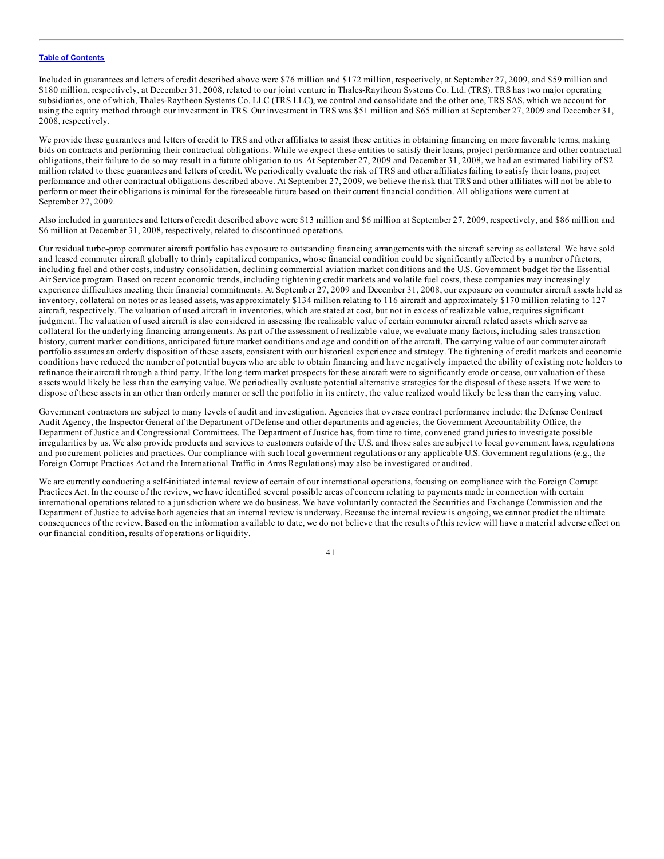Included in guarantees and letters of credit described above were \$76 million and \$172 million, respectively, at September 27, 2009, and \$59 million and \$180 million, respectively, at December 31, 2008, related to our joint venture in Thales-Raytheon Systems Co. Ltd. (TRS). TRS has two major operating subsidiaries, one of which, Thales-Raytheon Systems Co. LLC (TRS LLC), we control and consolidate and the other one, TRS SAS, which we account for using the equity method through our investment in TRS. Our investment in TRS was \$51 million and \$65 million at September 27, 2009 and December 31, 2008, respectively.

We provide these guarantees and letters of credit to TRS and other affiliates to assist these entities in obtaining financing on more favorable terms, making bids on contracts and performing their contractual obligations. While we expect these entities to satisfy their loans, project performance and other contractual obligations, their failure to do so may result in a future obligation to us. At September 27, 2009 and December 31, 2008, we had an estimated liability of \$2 million related to these guarantees and letters of credit. We periodically evaluate the risk of TRS and other affiliates failing to satisfy their loans, project performance and other contractual obligations described above. At September 27, 2009, we believe the risk that TRS and other affiliates will not be able to perform or meet their obligations is minimal for the foreseeable future based on their current financial condition. All obligations were current at September 27, 2009.

Also included in guarantees and letters of credit described above were \$13 million and \$6 million at September 27, 2009, respectively, and \$86 million and \$6 million at December 31, 2008, respectively, related to discontinued operations.

Our residual turbo-prop commuter aircraft portfolio has exposure to outstanding financing arrangements with the aircraft serving as collateral. We have sold and leased commuter aircraft globally to thinly capitalized companies, whose financial condition could be significantly affected by a number of factors, including fuel and other costs, industry consolidation, declining commercial aviation market conditions and the U.S. Government budget for the Essential Air Service program. Based on recent economic trends, including tightening credit markets and volatile fuel costs, these companies may increasingly experience difficulties meeting their financial commitments. At September 27, 2009 and December 31, 2008, our exposure on commuter aircraft assets held as inventory, collateral on notes or as leased assets, was approximately \$134 million relating to 116 aircraft and approximately \$170 million relating to 127 aircraft, respectively. The valuation of used aircraft in inventories, which are stated at cost, but not in excess of realizable value, requires significant judgment. The valuation of used aircraft is also considered in assessing the realizable value of certain commuter aircraft related assets which serve as collateral for the underlying financing arrangements. As part of the assessment of realizable value, we evaluate many factors, including sales transaction history, current market conditions, anticipated future market conditions and age and condition of the aircraft. The carrying value of our commuter aircraft portfolio assumes an orderly disposition of these assets, consistent with our historical experience and strategy. The tightening of credit markets and economic conditions have reduced the number of potential buyers who are able to obtain financing and have negatively impacted the ability of existing note holders to refinance their aircraft through a third party. If the long-term market prospects for these aircraft were to significantly erode or cease, our valuation of these assets would likely be less than the carrying value. We periodically evaluate potential alternative strategies for the disposal of these assets. If we were to dispose of these assets in an other than orderly manner or sell the portfolio in its entirety, the value realized would likely be less than the carrying value.

Government contractors are subject to many levels of audit and investigation. Agencies that oversee contract performance include: the Defense Contract Audit Agency, the Inspector General of the Department of Defense and other departments and agencies, the Government Accountability Office, the Department of Justice and Congressional Committees. The Department of Justice has, from time to time, convened grand juries to investigate possible irregularities by us. We also provide products and services to customers outside of the U.S. and those sales are subject to local government laws, regulations and procurement policies and practices. Our compliance with such local government regulations or any applicable U.S. Government regulations (e.g., the Foreign Corrupt Practices Act and the International Traffic in Arms Regulations) may also be investigated or audited.

We are currently conducting a self-initiated internal review of certain of our international operations, focusing on compliance with the Foreign Corrupt Practices Act. In the course of the review, we have identified several possible areas of concern relating to payments made in connection with certain international operations related to a jurisdiction where we do business. We have voluntarily contacted the Securities and Exchange Commission and the Department of Justice to advise both agencies that an internal review is underway. Because the internal review is ongoing, we cannot predict the ultimate consequences of the review. Based on the information available to date, we do not believe that the results of this review will have a material adverse effect on our financial condition, results of operations or liquidity.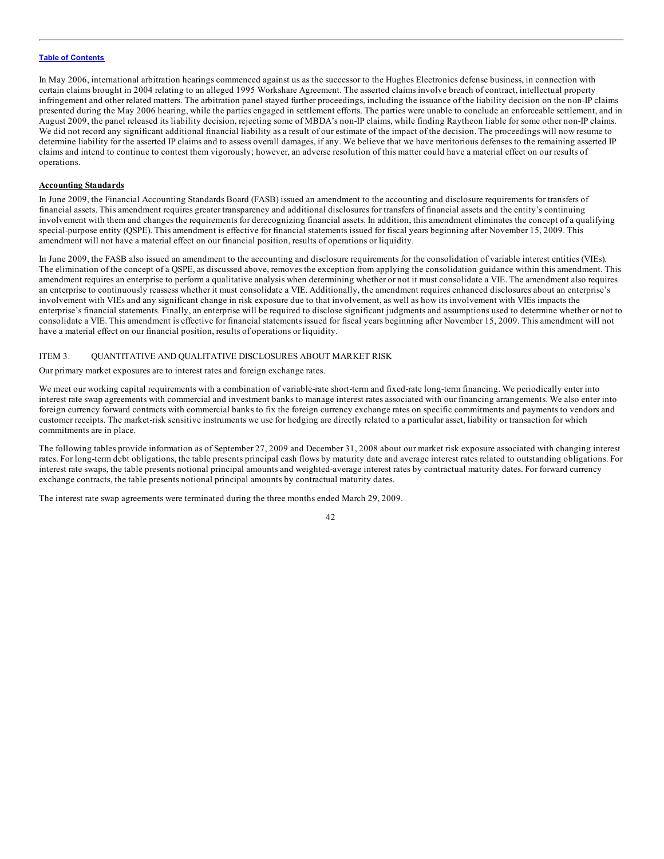<span id="page-41-0"></span>In May 2006, international arbitration hearings commenced against us as the successor to the Hughes Electronics defense business, in connection with certain claims brought in 2004 relating to an alleged 1995 Workshare Agreement. The asserted claims involve breach of contract, intellectual property infringement and other related matters. The arbitration panel stayed further proceedings, including the issuance of the liability decision on the non-IP claims presented during the May 2006 hearing, while the parties engaged in settlement efforts. The parties were unable to conclude an enforceable settlement, and in August 2009, the panel released its liability decision, rejecting some of MBDA's non-IP claims, while finding Raytheon liable for some other non-IP claims. We did not record any significant additional financial liability as a result of our estimate of the impact of the decision. The proceedings will now resume to determine liability for the asserted IP claims and to assess overall damages, if any. We believe that we have meritorious defenses to the remaining asserted IP claims and intend to continue to contest them vigorously; however, an adverse resolution of this matter could have a material effect on our results of operations.

#### **Accounting Standards**

In June 2009, the Financial Accounting Standards Board (FASB) issued an amendment to the accounting and disclosure requirements for transfers of financial assets. This amendment requires greater transparency and additional disclosures for transfers of financial assets and the entity's continuing involvement with them and changes the requirements for derecognizing financial assets. In addition, this amendment eliminates the concept of a qualifying special-purpose entity (QSPE). This amendment is effective for financial statements issued for fiscal years beginning after November 15, 2009. This amendment will not have a material effect on our financial position, results of operations or liquidity.

In June 2009, the FASB also issued an amendment to the accounting and disclosure requirements for the consolidation of variable interest entities (VIEs). The elimination of the concept of a QSPE, as discussed above, removes the exception from applying the consolidation guidance within this amendment. This amendment requires an enterprise to perform a qualitative analysis when determining whether or not it must consolidate a VIE. The amendment also requires an enterprise to continuously reassess whether it must consolidate a VIE. Additionally, the amendment requires enhanced disclosures about an enterprise's involvement with VIEs and any significant change in risk exposure due to that involvement, as well as how its involvement with VIEs impacts the enterprise's financial statements. Finally, an enterprise will be required to disclose significant judgments and assumptions used to determine whether or not to consolidate a VIE. This amendment is effective for financial statements issued for fiscal years beginning after November 15, 2009. This amendment will not have a material effect on our financial position, results of operations or liquidity.

#### ITEM 3. QUANTITATIVE AND QUALITATIVE DISCLOSURES ABOUT MARKET RISK

Our primary market exposures are to interest rates and foreign exchange rates.

We meet our working capital requirements with a combination of variable-rate short-term and fixed-rate long-term financing. We periodically enter into interest rate swap agreements with commercial and investment banks to manage interest rates associated with our financing arrangements. We also enter into foreign currency forward contracts with commercial banks to fix the foreign currency exchange rates on specific commitments and payments to vendors and customer receipts. The market-risk sensitive instruments we use for hedging are directly related to a particular asset, liability or transaction for which commitments are in place.

The following tables provide information as of September 27, 2009 and December 31, 2008 about our market risk exposure associated with changing interest rates. For long-term debt obligations, the table presents principal cash flows by maturity date and average interest rates related to outstanding obligations. For interest rate swaps, the table presents notional principal amounts and weighted-average interest rates by contractual maturity dates. For forward currency exchange contracts, the table presents notional principal amounts by contractual maturity dates.

The interest rate swap agreements were terminated during the three months ended March 29, 2009.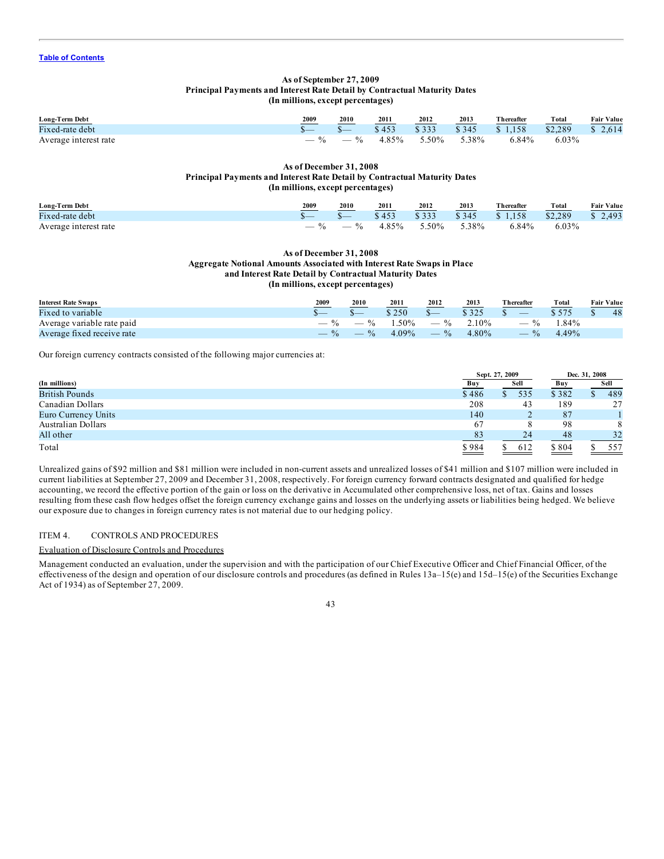#### **As of September 27, 2009 Principal Payments and Interest Rate Detail by Contractual Maturity Dates (In millions, except percentages)**

<span id="page-42-0"></span>

| Long-Term Debt        | 2009 | 2010 | 2011  | 2012  | 2013  | Thereafter | Total   | <b>Fair Value</b> |
|-----------------------|------|------|-------|-------|-------|------------|---------|-------------------|
| Fixed-rate debt       |      |      | \$453 | \$333 | \$345 | \$1.158    | \$2.289 | \$2.614           |
| Average interest rate |      |      | 4.85% | 5.50% | 5.38% | 6.84%      | 6.03%   |                   |

#### **As of December 31, 2008 Principal Payments and Interest Rate Detail by Contractual Maturity Dates (In millions, except percentages)**

| Long-Term Debt        | 2009                               | 2010                               | 2011  | 2012     | 2013  | Thereafter | Total   | <b>Fair Value</b> |
|-----------------------|------------------------------------|------------------------------------|-------|----------|-------|------------|---------|-------------------|
| Fixed-rate debt       |                                    |                                    | \$453 | \$333    | \$345 | \$1.158    | \$2,289 | \$2,493           |
| Average interest rate | $\frac{0}{0}$<br>$\hspace{0.05cm}$ | $\frac{0}{0}$<br>$\hspace{0.05cm}$ | 4.85% | $5.50\%$ | 5.38% | 6.84%      | 6.03%   |                   |

#### **As of December 31, 2008 Aggregate Notional Amounts Associated with Interest Rate Swaps in Place and Interest Rate Detail by Contractual Maturity Dates (In millions, except percentages)**

| <b>Interest Rate Swaps</b> | 2009          | 2010                                      | 2011     | 2012            | 2013        | Thereafter    | Total    | <b>Fair Value</b> |
|----------------------------|---------------|-------------------------------------------|----------|-----------------|-------------|---------------|----------|-------------------|
| Fixed to variable          |               |                                           | \$250    |                 | \$ 325      |               |          | 48                |
| Average variable rate paid | $-$ %         | $-$ %                                     | $1.50\%$ |                 | $-$ % 2.10% | $-$ %         | $1.84\%$ |                   |
| Average fixed receive rate | $\frac{0}{n}$ | $\frac{0}{0}$<br>$\overline{\phantom{m}}$ | $4.09\%$ | $- \frac{0}{2}$ | $4.80\%$    | $\frac{0}{2}$ | $4.49\%$ |                   |

Our foreign currency contracts consisted of the following major currencies at:

|                       |       | Sept. 27, 2009 |       | Dec. 31, 2008 |
|-----------------------|-------|----------------|-------|---------------|
| (In millions)         | Buy   | Sell           | Buy   | Sell          |
| <b>British Pounds</b> | \$486 | 535            | \$382 | 489           |
| Canadian Dollars      | 208   | 43             | 189   | 27            |
| Euro Currency Units   | 140   |                | 87    |               |
| Australian Dollars    | 67    | $\Delta$       | 98    | 8             |
| All other             | 83    | 24             | 48    | 32            |
| Total                 | \$984 | 612            | \$804 | 557           |

Unrealized gains of \$92 million and \$81 million were included in non-current assets and unrealized losses of \$41 million and \$107 million were included in current liabilities at September 27, 2009 and December 31, 2008, respectively. For foreign currency forward contracts designated and qualified for hedge accounting, we record the effective portion of the gain or loss on the derivative in Accumulated other comprehensive loss, net of tax. Gains and losses resulting from these cash flow hedges offset the foreign currency exchange gains and losses on the underlying assets or liabilities being hedged. We believe our exposure due to changes in foreign currency rates is not material due to our hedging policy.

#### ITEM 4. CONTROLS AND PROCEDURES

#### Evaluation of Disclosure Controls and Procedures

Management conducted an evaluation, under the supervision and with the participation of our Chief Executive Officer and Chief Financial Officer, of the effectiveness of the design and operation of our disclosure controls and procedures (as defined in Rules  $13a-15(e)$  and  $15d-15(e)$  of the Securities Exchange Act of 1934) as of September 27, 2009.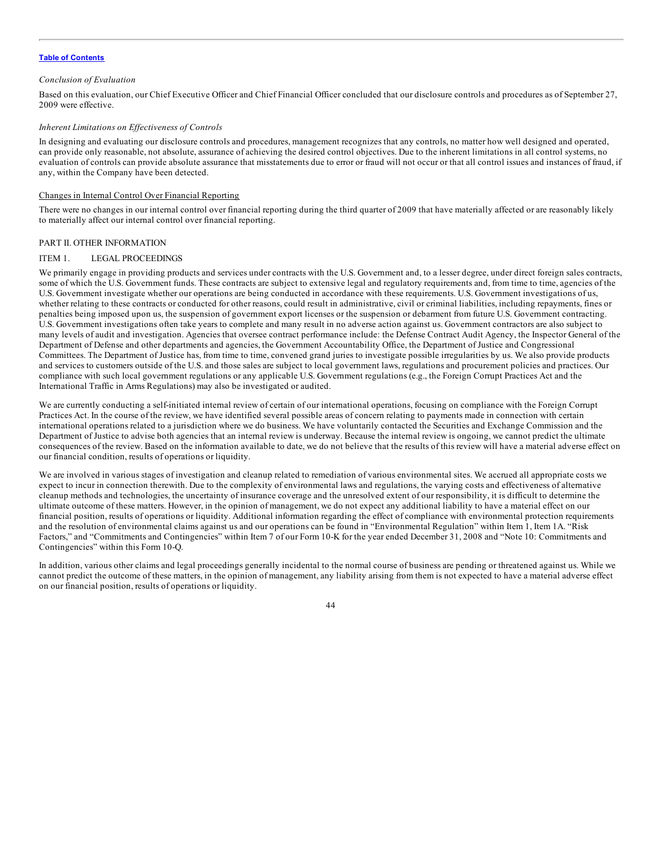#### <span id="page-43-0"></span>*Conclusion of Evaluation*

Based on this evaluation, our Chief Executive Officer and Chief Financial Officer concluded that our disclosure controls and procedures as of September 27, 2009 were effective.

#### *Inherent Limitations on Ef ectiveness of Controls*

In designing and evaluating our disclosure controls and procedures, management recognizes that any controls, no matter how well designed and operated, can provide only reasonable, not absolute, assurance of achieving the desired control objectives. Due to the inherent limitations in all control systems, no evaluation of controls can provide absolute assurance that misstatements due to error or fraud will not occur or that all control issues and instances of fraud, if any, within the Company have been detected.

#### Changes in Internal Control Over Financial Reporting

There were no changes in our internal control over financial reporting during the third quarter of 2009 that have materially affected or are reasonably likely to materially affect our internal control over financial reporting.

#### PART II. OTHER INFORMATION

#### ITEM 1. LEGAL PROCEEDINGS

We primarily engage in providing products and services under contracts with the U.S. Government and, to a lesser degree, under direct foreign sales contracts, some of which the U.S. Government funds. These contracts are subject to extensive legal and regulatory requirements and, from time to time, agencies of the U.S. Government investigate whether our operations are being conducted in accordance with these requirements. U.S. Government investigations of us, whether relating to these contracts or conducted for other reasons, could result in administrative, civil or criminal liabilities, including repayments, fines or penalties being imposed upon us, the suspension of government export licenses or the suspension or debarment from future U.S. Government contracting. U.S. Government investigations often take years to complete and many result in no adverse action against us. Government contractors are also subject to many levels of audit and investigation. Agencies that oversee contract performance include: the Defense Contract Audit Agency, the Inspector General of the Department of Defense and other departments and agencies, the Government Accountability Office, the Department of Justice and Congressional Committees. The Department of Justice has, from time to time, convened grand juries to investigate possible irregularities by us. We also provide products and services to customers outside of the U.S. and those sales are subject to local government laws, regulations and procurement policies and practices. Our compliance with such local government regulations or any applicable U.S. Government regulations (e.g., the Foreign Corrupt Practices Act and the International Traffic in Arms Regulations) may also be investigated or audited.

We are currently conducting a self-initiated internal review of certain of our international operations, focusing on compliance with the Foreign Corrupt Practices Act. In the course of the review, we have identified several possible areas of concern relating to payments made in connection with certain international operations related to a jurisdiction where we do business. We have voluntarily contacted the Securities and Exchange Commission and the Department of Justice to advise both agencies that an internal review is underway. Because the internal review is ongoing, we cannot predict the ultimate consequences of the review. Based on the information available to date, we do not believe that the results of this review will have a material adverse effect on our financial condition, results of operations or liquidity.

We are involved in various stages of investigation and cleanup related to remediation of various environmental sites. We accrued all appropriate costs we expect to incur in connection therewith. Due to the complexity of environmental laws and regulations, the varying costs and effectiveness of alternative cleanup methods and technologies, the uncertainty of insurance coverage and the unresolved extent of our responsibility, it is difficult to determine the ultimate outcome of these matters. However, in the opinion of management, we do not expect any additional liability to have a material effect on our financial position, results of operations or liquidity. Additional information regarding the effect of compliance with environmental protection requirements and the resolution of environmental claims against us and our operations can be found in "Environmental Regulation" within Item 1, Item 1A. "Risk Factors," and "Commitments and Contingencies" within Item 7 of our Form 10-K for the year ended December 31, 2008 and "Note 10: Commitments and Contingencies" within this Form 10-Q.

In addition, various other claims and legal proceedings generally incidental to the normal course of business are pending or threatened against us. While we cannot predict the outcome of these matters, in the opinion of management, any liability arising from them is not expected to have a material adverse effect on our financial position, results of operations or liquidity.

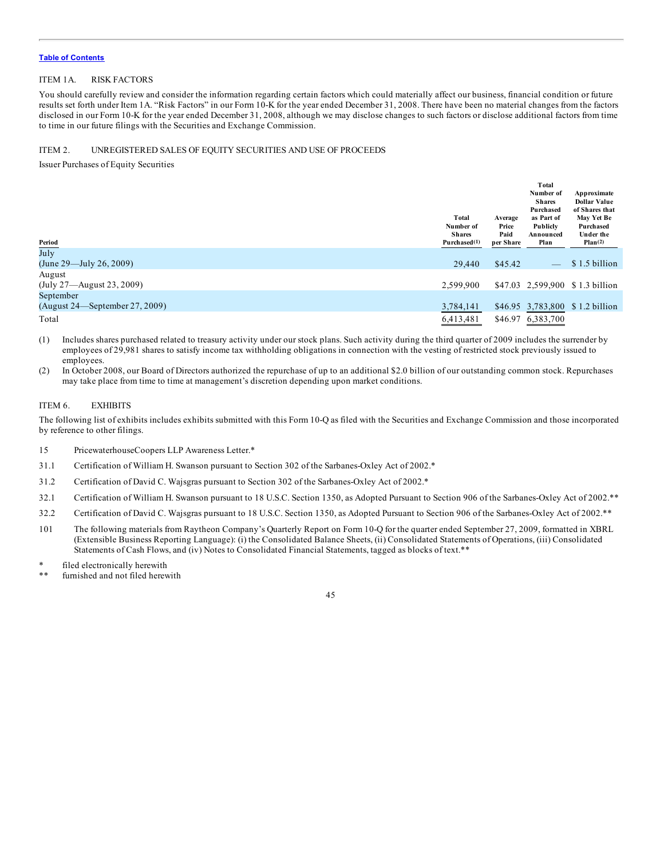#### <span id="page-44-0"></span>ITEM 1A. RISK FACTORS

You should carefully review and consider the information regarding certain factors which could materially affect our business, financial condition or future results set forth under Item 1A. "Risk Factors" in our Form 10-K for the year ended December 31, 2008. There have been no material changes from the factors disclosed in our Form 10-K for the year ended December 31, 2008, although we may disclose changes to such factors or disclose additional factors from time to time in our future filings with the Securities and Exchange Commission.

#### ITEM 2. UNREGISTERED SALES OF EQUITY SECURITIES AND USE OF PROCEEDS

Issuer Purchases of Equity Securities

|                                | Total<br>Number of<br><b>Shares</b><br>Purchased $(1)$ | Average<br>Price<br>Paid<br>per Share | Total<br>Number of<br><b>Shares</b><br>Purchased<br>as Part of<br>Publicly<br>Announced<br>Plan | Approximate<br><b>Dollar Value</b><br>of Shares that<br>May Yet Be<br>Purchased<br>Under the<br>Plan <sup>(2)</sup> |
|--------------------------------|--------------------------------------------------------|---------------------------------------|-------------------------------------------------------------------------------------------------|---------------------------------------------------------------------------------------------------------------------|
| Period<br>July                 |                                                        |                                       |                                                                                                 |                                                                                                                     |
| (June 29—July 26, 2009)        | 29,440                                                 | \$45.42                               |                                                                                                 | \$1.5 billion                                                                                                       |
| August                         |                                                        |                                       |                                                                                                 |                                                                                                                     |
| (July 27—August 23, 2009)      | 2,599,900                                              |                                       |                                                                                                 | \$47.03 2,599,900 \$1.3 billion                                                                                     |
| September                      |                                                        |                                       |                                                                                                 |                                                                                                                     |
| (August 24—September 27, 2009) | 3,784,141                                              |                                       |                                                                                                 | \$46.95 3,783,800 \$1.2 billion                                                                                     |
| Total                          | 6,413,481                                              | \$46.97                               | 6,383,700                                                                                       |                                                                                                                     |

(1) Includes shares purchased related to treasury activity under our stock plans. Such activity during the third quarter of 2009 includes the surrender by employees of 29,981 shares to satisfy income tax withholding obligations in connection with the vesting of restricted stock previously issued to employees.

(2) In October 2008, our Board of Directors authorized the repurchase of up to an additional \$2.0 billion of our outstanding common stock. Repurchases may take place from time to time at management's discretion depending upon market conditions.

#### ITEM 6. EXHIBITS

The following list of exhibits includes exhibits submitted with this Form 10-Q as filed with the Securities and Exchange Commission and those incorporated by reference to other filings.

15 PricewaterhouseCoopers LLP Awareness Letter.\*

31.1 Certification of William H. Swanson pursuant to Section 302 of the Sarbanes-Oxley Act of 2002.\*

- 31.2 Certification of David C. Wajsgras pursuant to Section 302 of the Sarbanes-Oxley Act of 2002.\*
- 32.1 Certification of William H. Swanson pursuant to 18 U.S.C. Section 1350, as Adopted Pursuant to Section 906 of the Sarbanes-Oxley Act of 2002.\*\*
- 32.2 Certification of David C. Wajsgras pursuant to 18 U.S.C. Section 1350, as Adopted Pursuant to Section 906 of the Sarbanes-Oxley Act of 2002.\*\*
- 101 The following materials from Raytheon Company's Quarterly Report on Form 10-Q for the quarter ended September 27, 2009, formatted in XBRL (Extensible Business Reporting Language): (i) the Consolidated Balance Sheets, (ii) Consolidated Statements of Operations, (iii) Consolidated Statements of Cash Flows, and (iv) Notes to Consolidated Financial Statements, tagged as blocks of text.\*\*
- filed electronically herewith
- \*\* furnished and not filed herewith

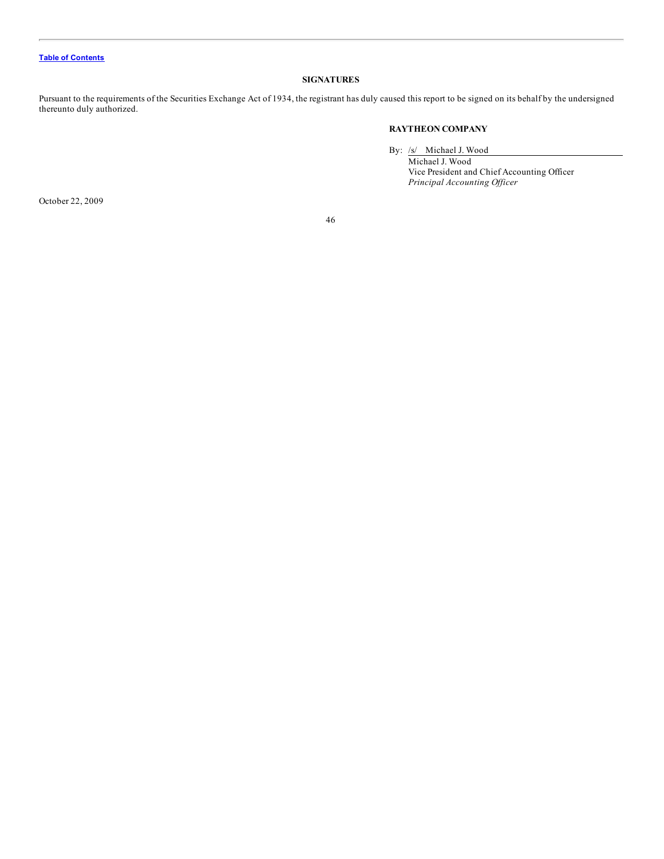## **SIGNATURES**

<span id="page-45-0"></span>Pursuant to the requirements of the Securities Exchange Act of 1934, the registrant has duly caused this report to be signed on its behalf by the undersigned thereunto duly authorized.

## **RAYTHEON COMPANY**

By: /s/ Michael J. Wood

Michael J. Wood Vice President and Chief Accounting Officer *Principal Accounting Of icer*

October 22, 2009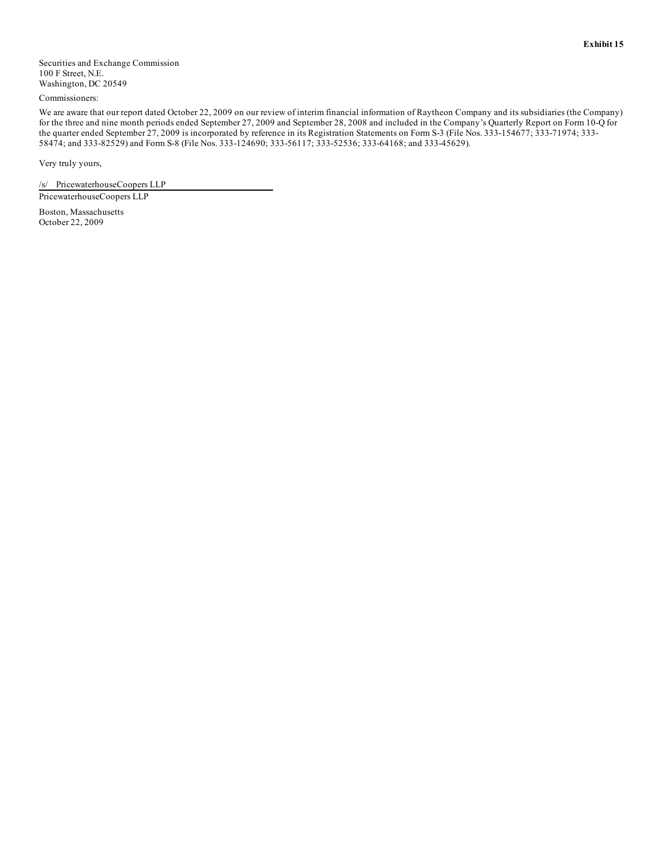Securities and Exchange Commission 100 F Street, N.E. Washington, DC 20549

Commissioners:

We are aware that our report dated October 22, 2009 on our review of interim financial information of Raytheon Company and its subsidiaries (the Company) for the three and nine month periods ended September 27, 2009 and September 28, 2008 and included in the Company's Quarterly Report on Form 10-Q for the quarter ended September 27, 2009 is incorporated by reference in its Registration Statements on Form S-3 (File Nos. 333-154677; 333-71974; 333-58474; and 333-82529) and Form S-8 (File Nos. 333-124690; 333-56117; 333-52536; 333-64168; and 333-45629).

Very truly yours,

/s/ PricewaterhouseCoopers LLP PricewaterhouseCoopers LLP

Boston, Massachusetts October 22, 2009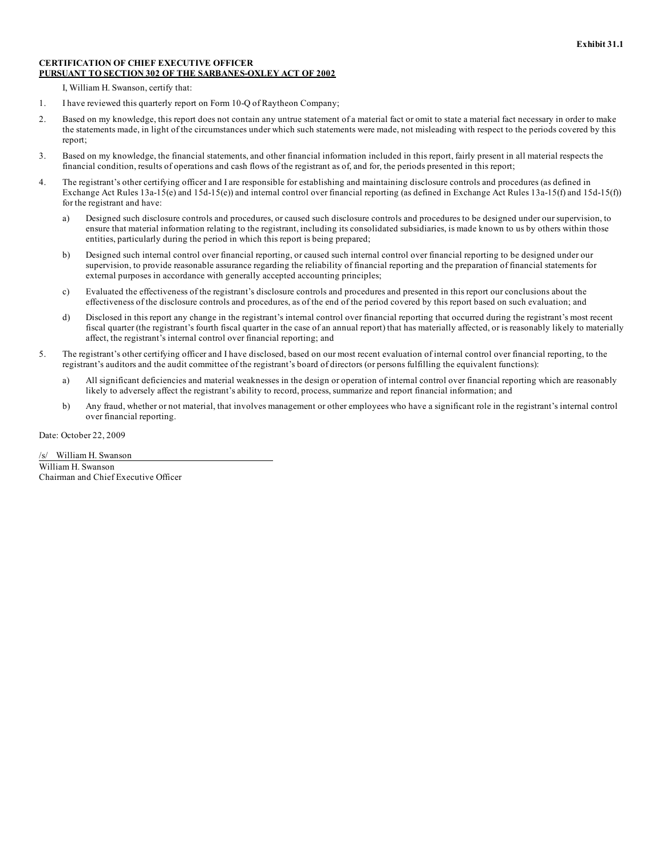#### **Exhibit 31.1**

#### **CERTIFICATION OF CHIEF EXECUTIVE OFFICER PURSUANT TO SECTION 302 OF THE SARBANES-OXLEY ACT OF 2002**

I, William H. Swanson, certify that:

- 1. I have reviewed this quarterly report on Form 10-Q of Raytheon Company;
- 2. Based on my knowledge, this report does not contain any untrue statement of a material fact or omit to state a material fact necessary in order to make the statements made, in light of the circumstances under which such statements were made, not misleading with respect to the periods covered by this report;
- 3. Based on my knowledge, the financial statements, and other financial information included in this report, fairly present in all material respects the financial condition, results of operations and cash flows of the registrant as of, and for, the periods presented in this report;
- 4. The registrant's other certifying officer and I are responsible for establishing and maintaining disclosure controls and procedures (as defined in Exchange Act Rules 13a-15(e) and 15d-15(e)) and internal control over financial reporting (as defined in Exchange Act Rules 13a-15(f) and 15d-15(f)) for the registrant and have:
	- a) Designed such disclosure controls and procedures, or caused such disclosure controls and procedures to be designed under our supervision, to ensure that material information relating to the registrant, including its consolidated subsidiaries, is made known to us by others within those entities, particularly during the period in which this report is being prepared;
	- b) Designed such internal control over financial reporting, or caused such internal control over financial reporting to be designed under our supervision, to provide reasonable assurance regarding the reliability of financial reporting and the preparation of financial statements for external purposes in accordance with generally accepted accounting principles;
	- c) Evaluated the effectiveness of the registrant's disclosure controls and procedures and presented in this report our conclusions about the effectiveness of the disclosure controls and procedures, as of the end of the period covered by this report based on such evaluation; and
	- d) Disclosed in this report any change in the registrant's internal control over financial reporting that occurred during the registrant's most recent fiscal quarter (the registrant's fourth fiscal quarter in the case of an annual report) that has materially affected, or is reasonably likely to materially affect, the registrant's internal control over financial reporting; and
- 5. The registrant's other certifying officer and I have disclosed, based on our most recent evaluation of internal control over financial reporting, to the registrant's auditors and the audit committee of the registrant's board of directors (or persons fulfilling the equivalent functions):
	- a) All significant deficiencies and material weaknesses in the design or operation of internal control over financial reporting which are reasonably likely to adversely affect the registrant's ability to record, process, summarize and report financial information; and
	- b) Any fraud, whether or not material, that involves management or other employees who have a significant role in the registrant's internal control over financial reporting.

Date: October 22, 2009

William H. Swanson William H. Swanson Chairman and Chief Executive Officer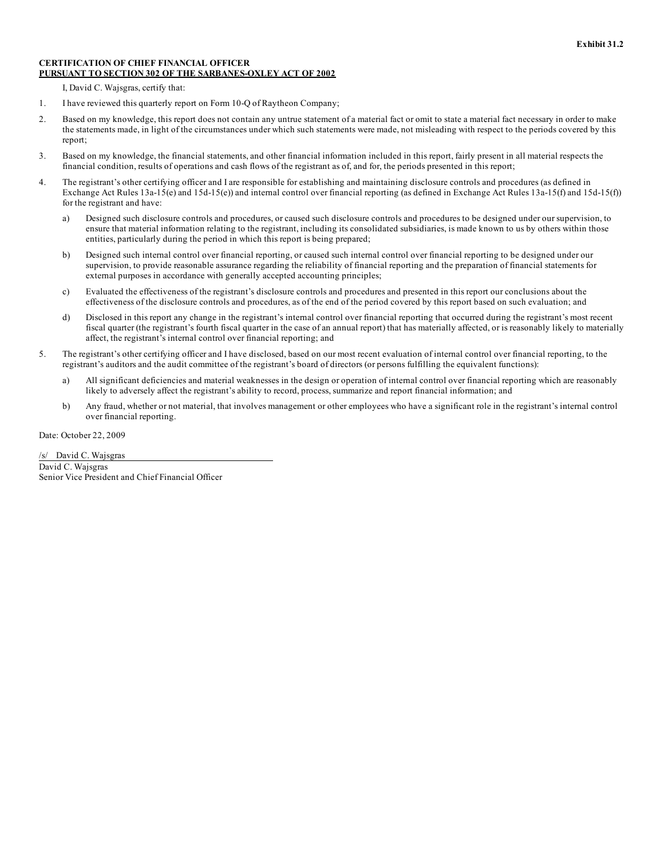#### **Exhibit 31.2**

#### **CERTIFICATION OF CHIEF FINANCIAL OFFICER PURSUANT TO SECTION 302 OF THE SARBANES-OXLEY ACT OF 2002**

I, David C. Wajsgras, certify that:

- 1. I have reviewed this quarterly report on Form 10-Q of Raytheon Company;
- 2. Based on my knowledge, this report does not contain any untrue statement of a material fact or omit to state a material fact necessary in order to make the statements made, in light of the circumstances under which such statements were made, not misleading with respect to the periods covered by this report;
- 3. Based on my knowledge, the financial statements, and other financial information included in this report, fairly present in all material respects the financial condition, results of operations and cash flows of the registrant as of, and for, the periods presented in this report;
- 4. The registrant's other certifying officer and I are responsible for establishing and maintaining disclosure controls and procedures (as defined in Exchange Act Rules 13a-15(e) and 15d-15(e)) and internal control over financial reporting (as defined in Exchange Act Rules 13a-15(f) and 15d-15(f)) for the registrant and have:
	- a) Designed such disclosure controls and procedures, or caused such disclosure controls and procedures to be designed under our supervision, to ensure that material information relating to the registrant, including its consolidated subsidiaries, is made known to us by others within those entities, particularly during the period in which this report is being prepared;
	- b) Designed such internal control over financial reporting, or caused such internal control over financial reporting to be designed under our supervision, to provide reasonable assurance regarding the reliability of financial reporting and the preparation of financial statements for external purposes in accordance with generally accepted accounting principles;
	- c) Evaluated the effectiveness of the registrant's disclosure controls and procedures and presented in this report our conclusions about the effectiveness of the disclosure controls and procedures, as of the end of the period covered by this report based on such evaluation; and
	- d) Disclosed in this report any change in the registrant's internal control over financial reporting that occurred during the registrant's most recent fiscal quarter (the registrant's fourth fiscal quarter in the case of an annual report) that has materially affected, or is reasonably likely to materially affect, the registrant's internal control over financial reporting; and
- 5. The registrant's other certifying officer and I have disclosed, based on our most recent evaluation of internal control over financial reporting, to the registrant's auditors and the audit committee of the registrant's board of directors (or persons fulfilling the equivalent functions):
	- a) All significant deficiencies and material weaknesses in the design or operation of internal control over financial reporting which are reasonably likely to adversely affect the registrant's ability to record, process, summarize and report financial information; and
	- b) Any fraud, whether or not material, that involves management or other employees who have a significant role in the registrant's internal control over financial reporting.

Date: October 22, 2009

/s/ David C. Wajsgras David C. Wajsgras Senior Vice President and Chief Financial Officer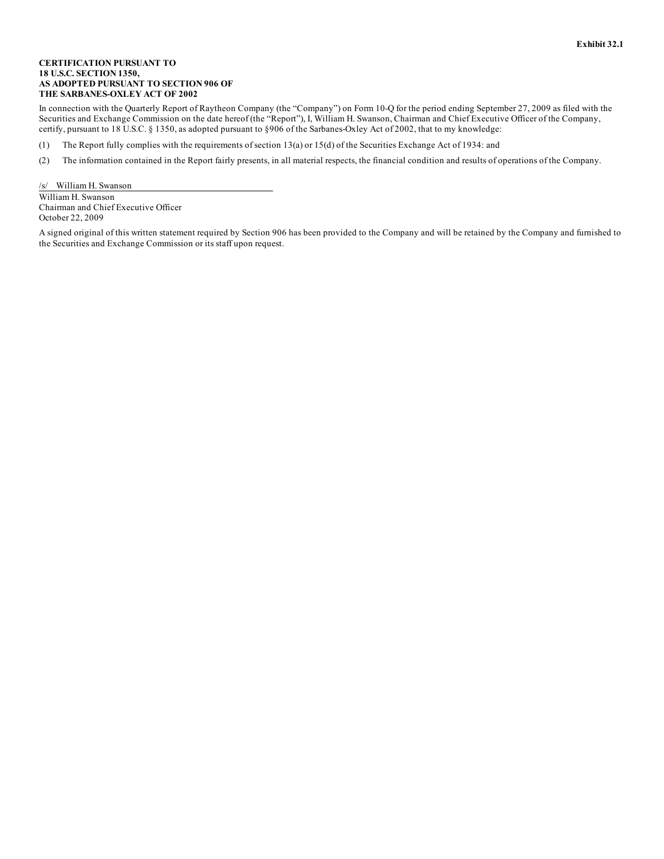#### **CERTIFICATION PURSUANT TO 18 U.S.C. SECTION 1350, AS ADOPTED PURSUANT TO SECTION 906 OF THE SARBANES-OXLEY ACT OF 2002**

In connection with the Quarterly Report of Raytheon Company (the "Company") on Form 10-Q for the period ending September 27, 2009 as filed with the Securities and Exchange Commission on the date hereof (the "Report"), I, William H. Swanson, Chairman and Chief Executive Officer of the Company, certify, pursuant to 18 U.S.C. § 1350, as adopted pursuant to §906 of the Sarbanes-Oxley Act of 2002, that to my knowledge:

(1) The Report fully complies with the requirements of section 13(a) or 15(d) of the Securities Exchange Act of 1934: and

(2) The information contained in the Report fairly presents, in all material respects, the financial condition and results of operations of the Company.

/s/ William H. Swanson William H. Swanson Chairman and Chief Executive Officer October 22, 2009

A signed original of this written statement required by Section 906 has been provided to the Company and will be retained by the Company and furnished to the Securities and Exchange Commission or its staff upon request.